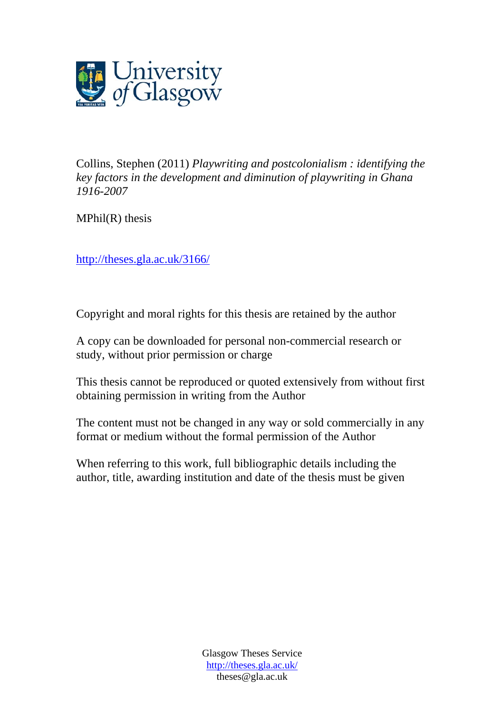

Collins, Stephen (2011) *Playwriting and postcolonialism : identifying the key factors in the development and diminution of playwriting in Ghana 1916-2007*

 $MPhil(R)$  thesis

<http://theses.gla.ac.uk/3166/>

Copyright and moral rights for this thesis are retained by the author

A copy can be downloaded for personal non-commercial research or study, without prior permission or charge

This thesis cannot be reproduced or quoted extensively from without first obtaining permission in writing from the Author

The content must not be changed in any way or sold commercially in any format or medium without the formal permission of the Author

When referring to this work, full bibliographic details including the author, title, awarding institution and date of the thesis must be given

> Glasgow Theses Service http://theses.gla.ac.uk/ theses@gla.ac.uk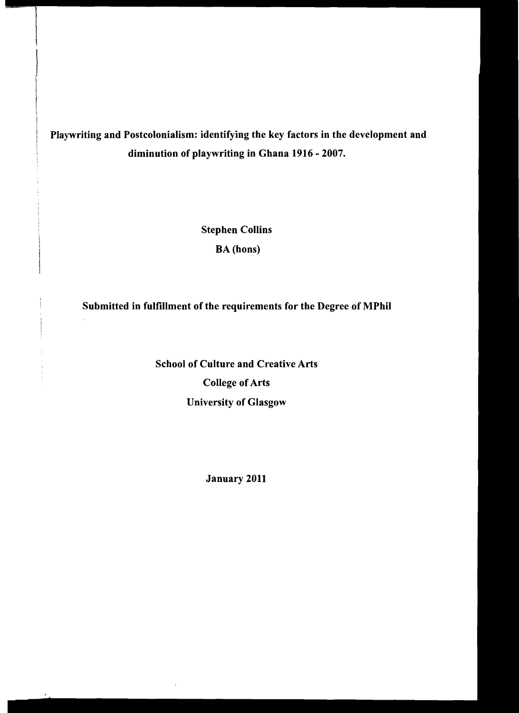# Playwriting and Postcolonialism: identifying the key factors in the development and diminution of playwriting in Ghana 1916 - 2007.

Stephen Collins

BA (hons)

Submitted in fulfillment of the requirements for the Degree of MPhil

School of Culture and Creative Arts College of Arts University of Glasgow

÷.

January 2011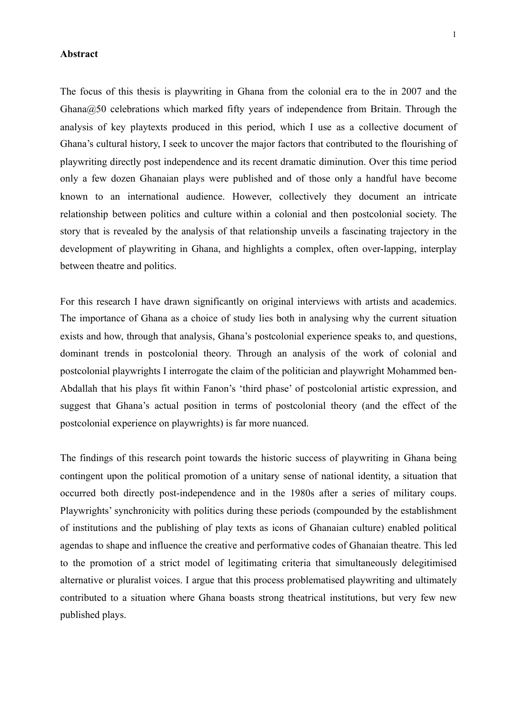#### **Abstract**

The focus of this thesis is playwriting in Ghana from the colonial era to the in 2007 and the Ghana@50 celebrations which marked fifty years of independence from Britain. Through the analysis of key playtexts produced in this period, which I use as a collective document of Ghana's cultural history, I seek to uncover the major factors that contributed to the flourishing of playwriting directly post independence and its recent dramatic diminution. Over this time period only a few dozen Ghanaian plays were published and of those only a handful have become known to an international audience. However, collectively they document an intricate relationship between politics and culture within a colonial and then postcolonial society. The story that is revealed by the analysis of that relationship unveils a fascinating trajectory in the development of playwriting in Ghana, and highlights a complex, often over-lapping, interplay between theatre and politics.

For this research I have drawn significantly on original interviews with artists and academics. The importance of Ghana as a choice of study lies both in analysing why the current situation exists and how, through that analysis, Ghana's postcolonial experience speaks to, and questions, dominant trends in postcolonial theory. Through an analysis of the work of colonial and postcolonial playwrights I interrogate the claim of the politician and playwright Mohammed ben-Abdallah that his plays fit within Fanon's 'third phase' of postcolonial artistic expression, and suggest that Ghana's actual position in terms of postcolonial theory (and the effect of the postcolonial experience on playwrights) is far more nuanced.

The findings of this research point towards the historic success of playwriting in Ghana being contingent upon the political promotion of a unitary sense of national identity, a situation that occurred both directly post-independence and in the 1980s after a series of military coups. Playwrights' synchronicity with politics during these periods (compounded by the establishment of institutions and the publishing of play texts as icons of Ghanaian culture) enabled political agendas to shape and influence the creative and performative codes of Ghanaian theatre. This led to the promotion of a strict model of legitimating criteria that simultaneously delegitimised alternative or pluralist voices. I argue that this process problematised playwriting and ultimately contributed to a situation where Ghana boasts strong theatrical institutions, but very few new published plays.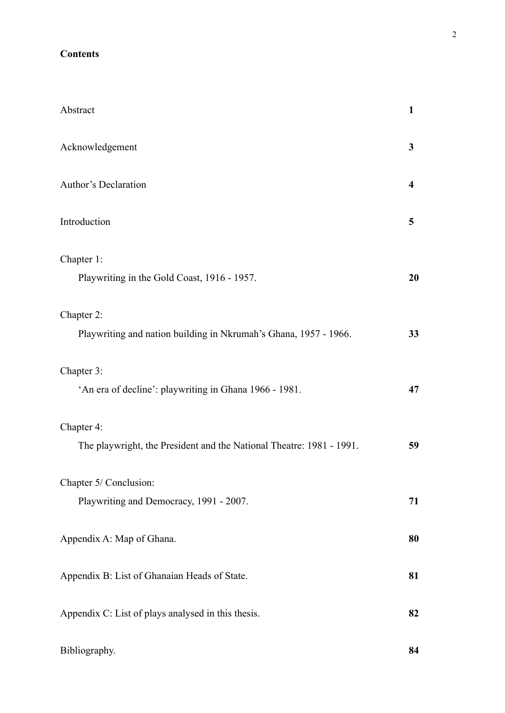## **Contents**

| Abstract                                                             | 1  |
|----------------------------------------------------------------------|----|
| Acknowledgement                                                      | 3  |
| Author's Declaration                                                 | 4  |
| Introduction                                                         | 5  |
| Chapter 1:                                                           |    |
| Playwriting in the Gold Coast, 1916 - 1957.                          | 20 |
| Chapter 2:                                                           |    |
| Playwriting and nation building in Nkrumah's Ghana, 1957 - 1966.     | 33 |
| Chapter 3:                                                           |    |
| 'An era of decline': playwriting in Ghana 1966 - 1981.               | 47 |
| Chapter 4:                                                           |    |
| The playwright, the President and the National Theatre: 1981 - 1991. | 59 |
| Chapter 5/ Conclusion:                                               |    |
| Playwriting and Democracy, 1991 - 2007.                              | 71 |
| Appendix A: Map of Ghana.                                            | 80 |
| Appendix B: List of Ghanaian Heads of State.                         | 81 |
| Appendix C: List of plays analysed in this thesis.                   | 82 |
| Bibliography.                                                        | 84 |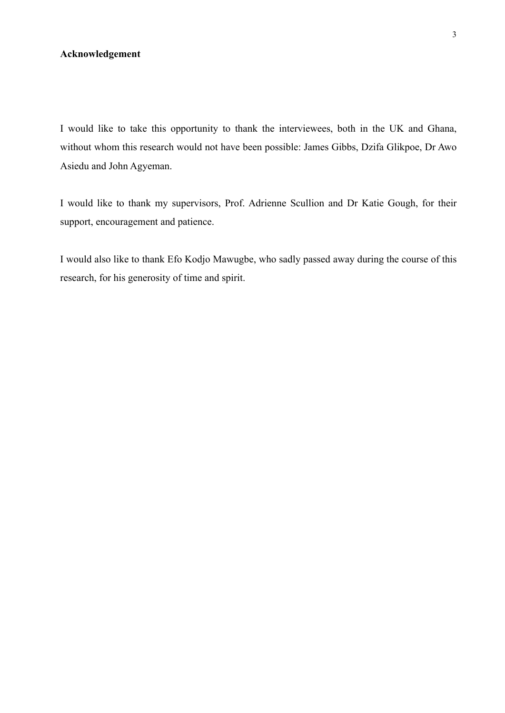## **Acknowledgement**

I would like to take this opportunity to thank the interviewees, both in the UK and Ghana, without whom this research would not have been possible: James Gibbs, Dzifa Glikpoe, Dr Awo Asiedu and John Agyeman.

I would like to thank my supervisors, Prof. Adrienne Scullion and Dr Katie Gough, for their support, encouragement and patience.

I would also like to thank Efo Kodjo Mawugbe, who sadly passed away during the course of this research, for his generosity of time and spirit.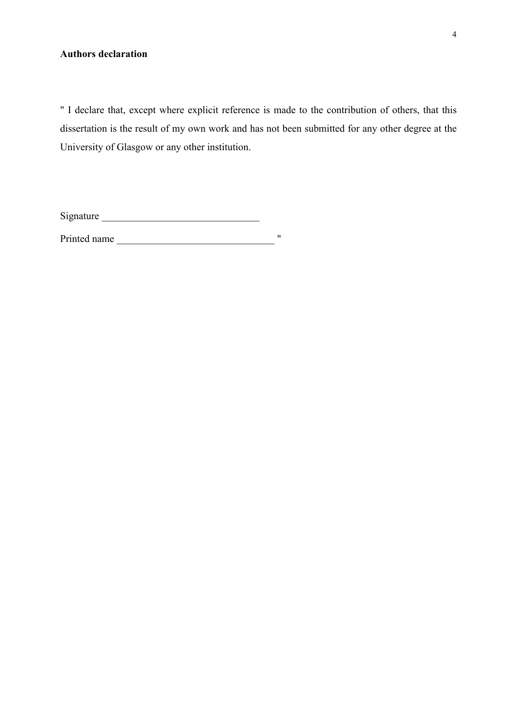## **Authors declaration**

" I declare that, except where explicit reference is made to the contribution of others, that this dissertation is the result of my own work and has not been submitted for any other degree at the University of Glasgow or any other institution.

Signature \_\_\_\_\_\_\_\_\_\_\_\_\_\_\_\_\_\_\_\_\_\_\_\_\_\_\_\_\_\_\_

Printed name \_\_\_\_\_\_\_\_\_\_\_\_\_\_\_\_\_\_\_\_\_\_\_\_\_\_\_\_\_\_\_ "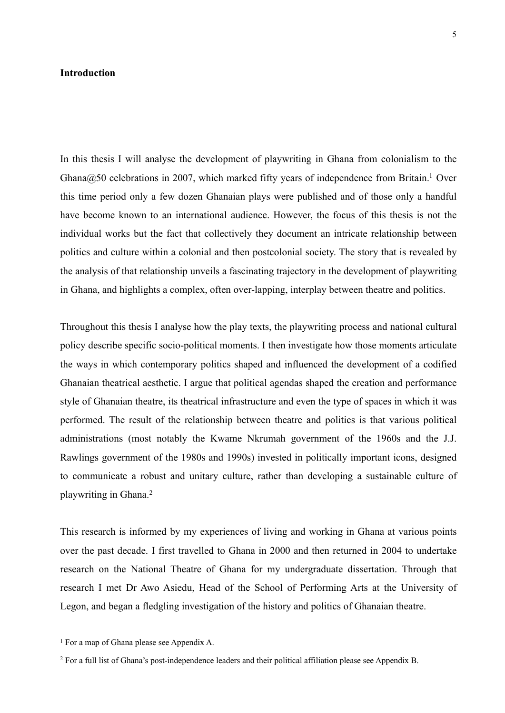## **Introduction**

In this thesis I will analyse the development of playwriting in Ghana from colonialism to the Ghana $@50$  celebrations in 2007, which marked fifty years of independence from Britain.<sup>1</sup> Over this time period only a few dozen Ghanaian plays were published and of those only a handful have become known to an international audience. However, the focus of this thesis is not the individual works but the fact that collectively they document an intricate relationship between politics and culture within a colonial and then postcolonial society. The story that is revealed by the analysis of that relationship unveils a fascinating trajectory in the development of playwriting in Ghana, and highlights a complex, often over-lapping, interplay between theatre and politics.

Throughout this thesis I analyse how the play texts, the playwriting process and national cultural policy describe specific socio-political moments. I then investigate how those moments articulate the ways in which contemporary politics shaped and influenced the development of a codified Ghanaian theatrical aesthetic. I argue that political agendas shaped the creation and performance style of Ghanaian theatre, its theatrical infrastructure and even the type of spaces in which it was performed. The result of the relationship between theatre and politics is that various political administrations (most notably the Kwame Nkrumah government of the 1960s and the J.J. Rawlings government of the 1980s and 1990s) invested in politically important icons, designed to communicate a robust and unitary culture, rather than developing a sustainable culture of playwriting in Ghana.[2](#page-6-1)

This research is informed by my experiences of living and working in Ghana at various points over the past decade. I first travelled to Ghana in 2000 and then returned in 2004 to undertake research on the National Theatre of Ghana for my undergraduate dissertation. Through that research I met Dr Awo Asiedu, Head of the School of Performing Arts at the University of Legon, and began a fledgling investigation of the history and politics of Ghanaian theatre.

<span id="page-6-0"></span><sup>1</sup> For a map of Ghana please see Appendix A.

<span id="page-6-1"></span><sup>2</sup> For a full list of Ghana's post-independence leaders and their political affiliation please see Appendix B.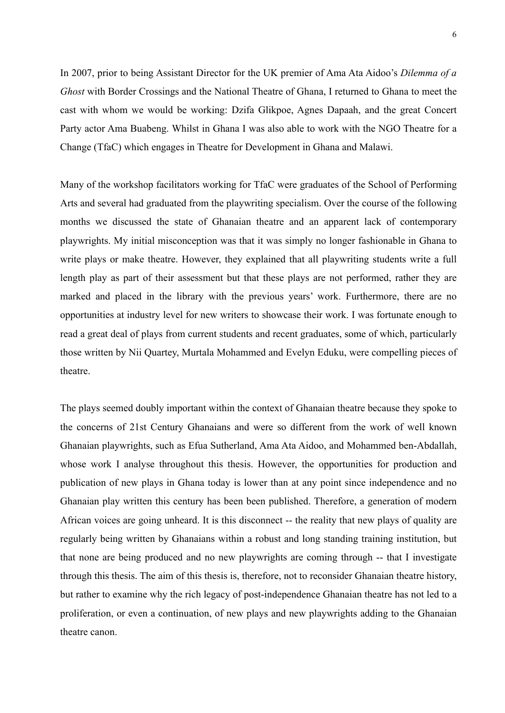In 2007, prior to being Assistant Director for the UK premier of Ama Ata Aidoo's *Dilemma of a Ghost* with Border Crossings and the National Theatre of Ghana, I returned to Ghana to meet the cast with whom we would be working: Dzifa Glikpoe, Agnes Dapaah, and the great Concert Party actor Ama Buabeng. Whilst in Ghana I was also able to work with the NGO Theatre for a Change (TfaC) which engages in Theatre for Development in Ghana and Malawi.

Many of the workshop facilitators working for TfaC were graduates of the School of Performing Arts and several had graduated from the playwriting specialism. Over the course of the following months we discussed the state of Ghanaian theatre and an apparent lack of contemporary playwrights. My initial misconception was that it was simply no longer fashionable in Ghana to write plays or make theatre. However, they explained that all playwriting students write a full length play as part of their assessment but that these plays are not performed, rather they are marked and placed in the library with the previous years' work. Furthermore, there are no opportunities at industry level for new writers to showcase their work. I was fortunate enough to read a great deal of plays from current students and recent graduates, some of which, particularly those written by Nii Quartey, Murtala Mohammed and Evelyn Eduku, were compelling pieces of theatre.

The plays seemed doubly important within the context of Ghanaian theatre because they spoke to the concerns of 21st Century Ghanaians and were so different from the work of well known Ghanaian playwrights, such as Efua Sutherland, Ama Ata Aidoo, and Mohammed ben-Abdallah, whose work I analyse throughout this thesis. However, the opportunities for production and publication of new plays in Ghana today is lower than at any point since independence and no Ghanaian play written this century has been been published. Therefore, a generation of modern African voices are going unheard. It is this disconnect -- the reality that new plays of quality are regularly being written by Ghanaians within a robust and long standing training institution, but that none are being produced and no new playwrights are coming through -- that I investigate through this thesis. The aim of this thesis is, therefore, not to reconsider Ghanaian theatre history, but rather to examine why the rich legacy of post-independence Ghanaian theatre has not led to a proliferation, or even a continuation, of new plays and new playwrights adding to the Ghanaian theatre canon.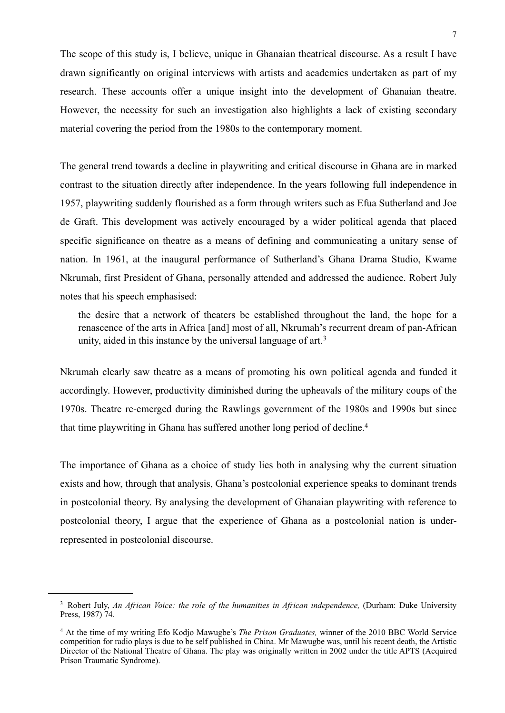The scope of this study is, I believe, unique in Ghanaian theatrical discourse. As a result I have drawn significantly on original interviews with artists and academics undertaken as part of my research. These accounts offer a unique insight into the development of Ghanaian theatre. However, the necessity for such an investigation also highlights a lack of existing secondary material covering the period from the 1980s to the contemporary moment.

The general trend towards a decline in playwriting and critical discourse in Ghana are in marked contrast to the situation directly after independence. In the years following full independence in 1957, playwriting suddenly flourished as a form through writers such as Efua Sutherland and Joe de Graft. This development was actively encouraged by a wider political agenda that placed specific significance on theatre as a means of defining and communicating a unitary sense of nation. In 1961, at the inaugural performance of Sutherland's Ghana Drama Studio, Kwame Nkrumah, first President of Ghana, personally attended and addressed the audience. Robert July notes that his speech emphasised:

 the desire that a network of theaters be established throughout the land, the hope for a renascence of the arts in Africa [and] most of all, Nkrumah's recurrent dream of pan-African unity, aided in this instance by the universal language of art.[3](#page-8-0)

Nkrumah clearly saw theatre as a means of promoting his own political agenda and funded it accordingly. However, productivity diminished during the upheavals of the military coups of the 1970s. Theatre re-emerged during the Rawlings government of the 1980s and 1990s but since that time playwriting in Ghana has suffered another long period of decline[.4](#page-8-1)

The importance of Ghana as a choice of study lies both in analysing why the current situation exists and how, through that analysis, Ghana's postcolonial experience speaks to dominant trends in postcolonial theory. By analysing the development of Ghanaian playwriting with reference to postcolonial theory, I argue that the experience of Ghana as a postcolonial nation is underrepresented in postcolonial discourse.

<span id="page-8-0"></span><sup>&</sup>lt;sup>3</sup> Robert July, *An African Voice: the role of the humanities in African independence, (Durham: Duke University* Press, 1987) 74.

<span id="page-8-1"></span><sup>4</sup> At the time of my writing Efo Kodjo Mawugbe's *The Prison Graduates,* winner of the 2010 BBC World Service competition for radio plays is due to be self published in China. Mr Mawugbe was, until his recent death, the Artistic Director of the National Theatre of Ghana. The play was originally written in 2002 under the title APTS (Acquired Prison Traumatic Syndrome).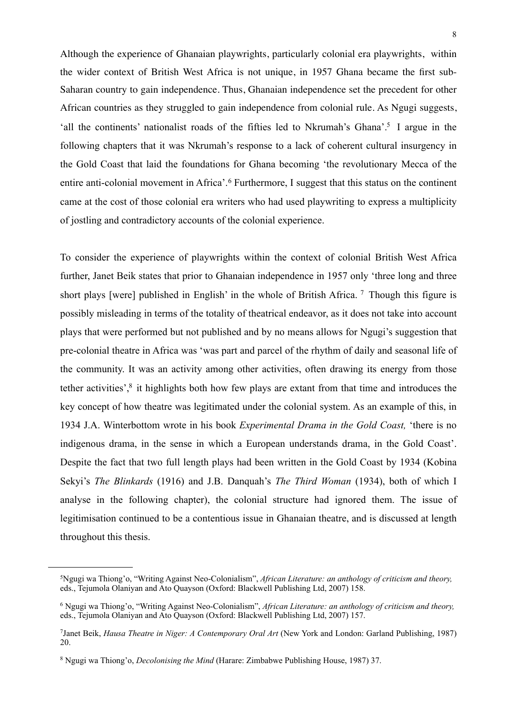Although the experience of Ghanaian playwrights, particularly colonial era playwrights, within the wider context of British West Africa is not unique, in 1957 Ghana became the first sub-Saharan country to gain independence. Thus, Ghanaian independence set the precedent for other African countries as they struggled to gain independence from colonial rule. As Ngugi suggests, 'all the continents' nationalist roads of the fifties led to Nkrumah's Ghana'[.5](#page-9-0) I argue in the following chapters that it was Nkrumah's response to a lack of coherent cultural insurgency in the Gold Coast that laid the foundations for Ghana becoming 'the revolutionary Mecca of the entire anti-colonial movement in Africa'.<sup>6</sup> Furthermore, I suggest that this status on the continent came at the cost of those colonial era writers who had used playwriting to express a multiplicity of jostling and contradictory accounts of the colonial experience.

To consider the experience of playwrights within the context of colonial British West Africa further, Janet Beik states that prior to Ghanaian independence in 1957 only 'three long and three short plays [were] published in English' in the whole of British Africa. <sup>7</sup> Though this figure is possibly misleading in terms of the totality of theatrical endeavor, as it does not take into account plays that were performed but not published and by no means allows for Ngugi's suggestion that pre-colonial theatre in Africa was 'was part and parcel of the rhythm of daily and seasonal life of the community. It was an activity among other activities, often drawing its energy from those tether activities'[,8](#page-9-3) it highlights both how few plays are extant from that time and introduces the key concept of how theatre was legitimated under the colonial system. As an example of this, in 1934 J.A. Winterbottom wrote in his book *Experimental Drama in the Gold Coast,* 'there is no indigenous drama, in the sense in which a European understands drama, in the Gold Coast'. Despite the fact that two full length plays had been written in the Gold Coast by 1934 (Kobina Sekyi's *The Blinkards* (1916) and J.B. Danquah's *The Third Woman* (1934), both of which I analyse in the following chapter), the colonial structure had ignored them. The issue of legitimisation continued to be a contentious issue in Ghanaian theatre, and is discussed at length throughout this thesis.

<span id="page-9-0"></span><sup>5</sup>Ngugi wa Thiong'o, "Writing Against Neo-Colonialism", *African Literature: an anthology of criticism and theory,*  eds., Tejumola Olaniyan and Ato Quayson (Oxford: Blackwell Publishing Ltd, 2007) 158.

<span id="page-9-1"></span><sup>6</sup> Ngugi wa Thiong'o, "Writing Against Neo-Colonialism", *African Literature: an anthology of criticism and theory,*  eds., Tejumola Olaniyan and Ato Quayson (Oxford: Blackwell Publishing Ltd, 2007) 157.

<span id="page-9-2"></span><sup>7</sup>Janet Beik, *Hausa Theatre in Niger: A Contemporary Oral Art* (New York and London: Garland Publishing, 1987) 20.

<span id="page-9-3"></span><sup>8</sup> Ngugi wa Thiong'o, *Decolonising the Mind* (Harare: Zimbabwe Publishing House, 1987) 37.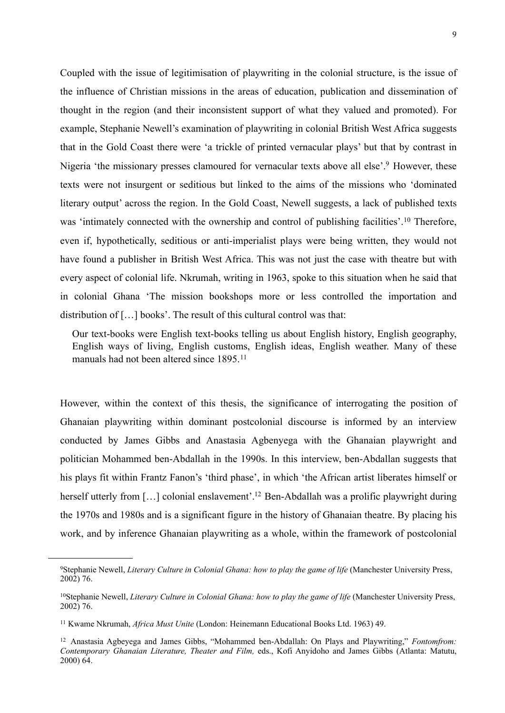Coupled with the issue of legitimisation of playwriting in the colonial structure, is the issue of the influence of Christian missions in the areas of education, publication and dissemination of thought in the region (and their inconsistent support of what they valued and promoted). For example, Stephanie Newell's examination of playwriting in colonial British West Africa suggests that in the Gold Coast there were 'a trickle of printed vernacular plays' but that by contrast in Nigeria 'the missionary presses clamoured for vernacular texts above all else'.[9](#page-10-0) However, these texts were not insurgent or seditious but linked to the aims of the missions who 'dominated literary output' across the region. In the Gold Coast, Newell suggests, a lack of published texts was 'intimately connected with the ownership and control of publishing facilities'.<sup>10</sup> Therefore, even if, hypothetically, seditious or anti-imperialist plays were being written, they would not have found a publisher in British West Africa. This was not just the case with theatre but with every aspect of colonial life. Nkrumah, writing in 1963, spoke to this situation when he said that in colonial Ghana 'The mission bookshops more or less controlled the importation and distribution of […] books'. The result of this cultural control was that:

Our text-books were English text-books telling us about English history, English geography, English ways of living, English customs, English ideas, English weather. Many of these manuals had not been altered since 1895.[11](#page-10-2)

However, within the context of this thesis, the significance of interrogating the position of Ghanaian playwriting within dominant postcolonial discourse is informed by an interview conducted by James Gibbs and Anastasia Agbenyega with the Ghanaian playwright and politician Mohammed ben-Abdallah in the 1990s. In this interview, ben-Abdallan suggests that his plays fit within Frantz Fanon's 'third phase', in which 'the African artist liberates himself or herself utterly from [...] colonial enslavement'.<sup>12</sup> Ben-Abdallah was a prolific playwright during the 1970s and 1980s and is a significant figure in the history of Ghanaian theatre. By placing his work, and by inference Ghanaian playwriting as a whole, within the framework of postcolonial

<span id="page-10-0"></span><sup>9</sup>Stephanie Newell, *Literary Culture in Colonial Ghana: how to play the game of life* (Manchester University Press, 2002) 76.

<span id="page-10-1"></span><sup>&</sup>lt;sup>10</sup>Stephanie Newell, *Literary Culture in Colonial Ghana: how to play the game of life* (Manchester University Press, 2002) 76.

<span id="page-10-2"></span><sup>11</sup> Kwame Nkrumah, *Africa Must Unite* (London: Heinemann Educational Books Ltd. 1963) 49.

<span id="page-10-3"></span><sup>12</sup> Anastasia Agbeyega and James Gibbs, "Mohammed ben-Abdallah: On Plays and Playwriting," *Fontomfrom: Contemporary Ghanaian Literature, Theater and Film,* eds., Kofi Anyidoho and James Gibbs (Atlanta: Matutu, 2000) 64.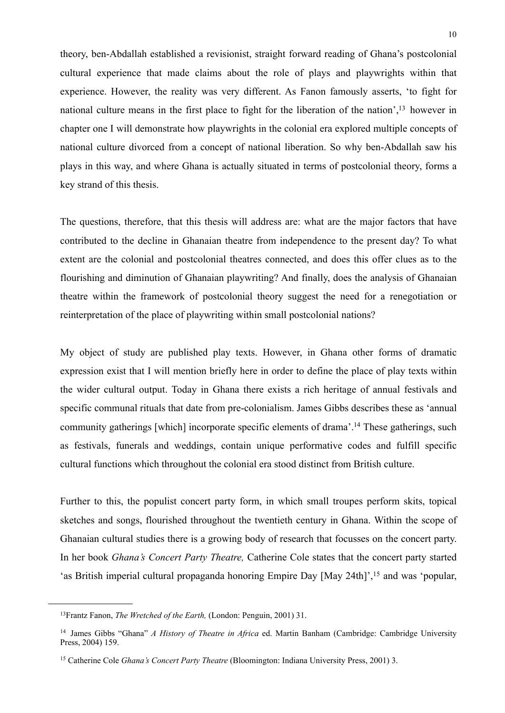theory, ben-Abdallah established a revisionist, straight forward reading of Ghana's postcolonial cultural experience that made claims about the role of plays and playwrights within that experience. However, the reality was very different. As Fanon famously asserts, 'to fight for national culture means in the first place to fight for the liberation of the nation'[,13](#page-11-0) however in chapter one I will demonstrate how playwrights in the colonial era explored multiple concepts of national culture divorced from a concept of national liberation. So why ben-Abdallah saw his plays in this way, and where Ghana is actually situated in terms of postcolonial theory, forms a key strand of this thesis.

The questions, therefore, that this thesis will address are: what are the major factors that have contributed to the decline in Ghanaian theatre from independence to the present day? To what extent are the colonial and postcolonial theatres connected, and does this offer clues as to the flourishing and diminution of Ghanaian playwriting? And finally, does the analysis of Ghanaian theatre within the framework of postcolonial theory suggest the need for a renegotiation or reinterpretation of the place of playwriting within small postcolonial nations?

My object of study are published play texts. However, in Ghana other forms of dramatic expression exist that I will mention briefly here in order to define the place of play texts within the wider cultural output. Today in Ghana there exists a rich heritage of annual festivals and specific communal rituals that date from pre-colonialism. James Gibbs describes these as 'annual community gatherings [which] incorporate specific elements of drama'.<sup>14</sup> These gatherings, such as festivals, funerals and weddings, contain unique performative codes and fulfill specific cultural functions which throughout the colonial era stood distinct from British culture.

Further to this, the populist concert party form, in which small troupes perform skits, topical sketches and songs, flourished throughout the twentieth century in Ghana. Within the scope of Ghanaian cultural studies there is a growing body of research that focusses on the concert party. In her book *Ghana's Concert Party Theatre,* Catherine Cole states that the concert party started 'as British imperial cultural propaganda honoring Empire Day [May 24th]',[15](#page-11-2) and was 'popular,

<span id="page-11-0"></span><sup>13</sup>Frantz Fanon, *The Wretched of the Earth,* (London: Penguin, 2001) 31.

<span id="page-11-1"></span><sup>14</sup> James Gibbs "Ghana" *A History of Theatre in Africa* ed. Martin Banham (Cambridge: Cambridge University Press, 2004) 159.

<span id="page-11-2"></span><sup>15</sup> Catherine Cole *Ghana's Concert Party Theatre* (Bloomington: Indiana University Press, 2001) 3.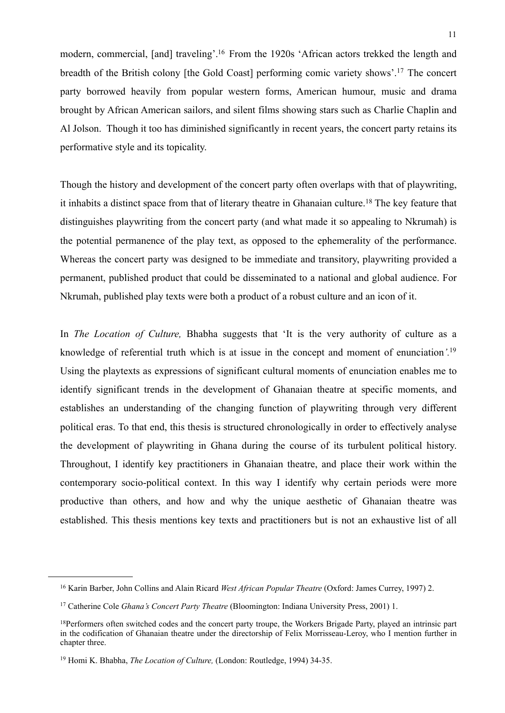modern, commercial, [and] traveling'[.16](#page-12-0) From the 1920s 'African actors trekked the length and breadth of the British colony [the Gold Coast] performing comic variety shows'.[17](#page-12-1) The concert party borrowed heavily from popular western forms, American humour, music and drama brought by African American sailors, and silent films showing stars such as Charlie Chaplin and Al Jolson. Though it too has diminished significantly in recent years, the concert party retains its performative style and its topicality.

Though the history and development of the concert party often overlaps with that of playwriting, it inhabits a distinct space from that of literary theatre in Ghanaian culture.[18](#page-12-2) The key feature that distinguishes playwriting from the concert party (and what made it so appealing to Nkrumah) is the potential permanence of the play text, as opposed to the ephemerality of the performance. Whereas the concert party was designed to be immediate and transitory, playwriting provided a permanent, published product that could be disseminated to a national and global audience. For Nkrumah, published play texts were both a product of a robust culture and an icon of it.

In *The Location of Culture,* Bhabha suggests that 'It is the very authority of culture as a knowledge of referential truth which is at issue in the concept and moment of enunciation*'.*[19](#page-12-3) Using the playtexts as expressions of significant cultural moments of enunciation enables me to identify significant trends in the development of Ghanaian theatre at specific moments, and establishes an understanding of the changing function of playwriting through very different political eras. To that end, this thesis is structured chronologically in order to effectively analyse the development of playwriting in Ghana during the course of its turbulent political history. Throughout, I identify key practitioners in Ghanaian theatre, and place their work within the contemporary socio-political context. In this way I identify why certain periods were more productive than others, and how and why the unique aesthetic of Ghanaian theatre was established. This thesis mentions key texts and practitioners but is not an exhaustive list of all

<span id="page-12-0"></span><sup>16</sup> Karin Barber, John Collins and Alain Ricard *West African Popular Theatre* (Oxford: James Currey, 1997) 2.

<span id="page-12-1"></span><sup>17</sup> Catherine Cole *Ghana's Concert Party Theatre* (Bloomington: Indiana University Press, 2001) 1.

<span id="page-12-2"></span><sup>&</sup>lt;sup>18</sup>Performers often switched codes and the concert party troupe, the Workers Brigade Party, played an intrinsic part in the codification of Ghanaian theatre under the directorship of Felix Morrisseau-Leroy, who I mention further in chapter three.

<span id="page-12-3"></span><sup>19</sup> Homi K. Bhabha, *The Location of Culture,* (London: Routledge, 1994) 34-35.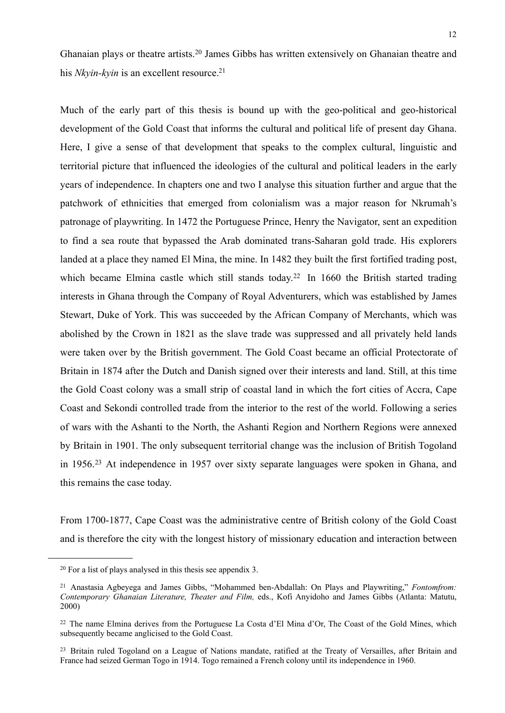Ghanaian plays or theatre artists.[20](#page-13-0) James Gibbs has written extensively on Ghanaian theatre and his *Nkyin-kyin* is an excellent resource.<sup>21</sup>

Much of the early part of this thesis is bound up with the geo-political and geo-historical development of the Gold Coast that informs the cultural and political life of present day Ghana. Here, I give a sense of that development that speaks to the complex cultural, linguistic and territorial picture that influenced the ideologies of the cultural and political leaders in the early years of independence. In chapters one and two I analyse this situation further and argue that the patchwork of ethnicities that emerged from colonialism was a major reason for Nkrumah's patronage of playwriting. In 1472 the Portuguese Prince, Henry the Navigator, sent an expedition to find a sea route that bypassed the Arab dominated trans-Saharan gold trade. His explorers landed at a place they named El Mina, the mine. In 1482 they built the first fortified trading post, which became Elmina castle which still stands today.<sup>[22](#page-13-2)</sup> In 1660 the British started trading interests in Ghana through the Company of Royal Adventurers, which was established by James Stewart, Duke of York. This was succeeded by the African Company of Merchants, which was abolished by the Crown in 1821 as the slave trade was suppressed and all privately held lands were taken over by the British government. The Gold Coast became an official Protectorate of Britain in 1874 after the Dutch and Danish signed over their interests and land. Still, at this time the Gold Coast colony was a small strip of coastal land in which the fort cities of Accra, Cape Coast and Sekondi controlled trade from the interior to the rest of the world. Following a series of wars with the Ashanti to the North, the Ashanti Region and Northern Regions were annexed by Britain in 1901. The only subsequent territorial change was the inclusion of British Togoland in 1956.[23](#page-13-3) At independence in 1957 over sixty separate languages were spoken in Ghana, and this remains the case today.

From 1700-1877, Cape Coast was the administrative centre of British colony of the Gold Coast and is therefore the city with the longest history of missionary education and interaction between

<span id="page-13-0"></span><sup>20</sup> For a list of plays analysed in this thesis see appendix 3.

<span id="page-13-1"></span><sup>21</sup> Anastasia Agbeyega and James Gibbs, "Mohammed ben-Abdallah: On Plays and Playwriting," *Fontomfrom: Contemporary Ghanaian Literature, Theater and Film,* eds., Kofi Anyidoho and James Gibbs (Atlanta: Matutu, 2000)

<span id="page-13-2"></span><sup>22</sup> The name Elmina derives from the Portuguese La Costa d'El Mina d'Or, The Coast of the Gold Mines, which subsequently became anglicised to the Gold Coast.

<span id="page-13-3"></span><sup>&</sup>lt;sup>23</sup> Britain ruled Togoland on a League of Nations mandate, ratified at the Treaty of Versailles, after Britain and France had seized German Togo in 1914. Togo remained a French colony until its independence in 1960.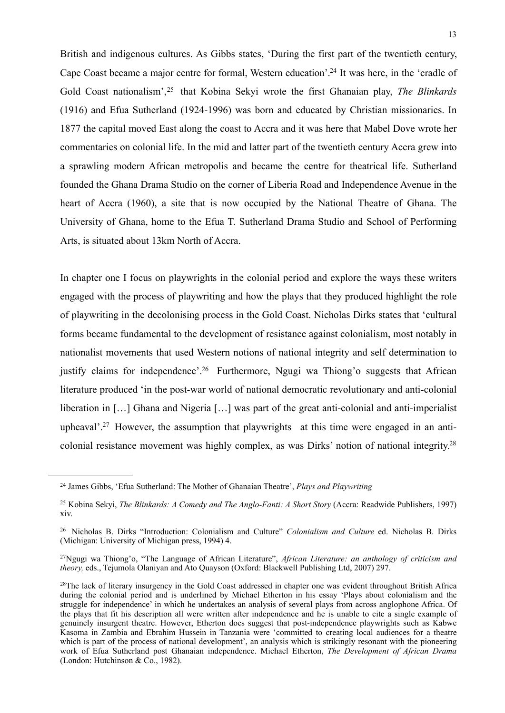British and indigenous cultures. As Gibbs states, 'During the first part of the twentieth century, Cape Coast became a major centre for formal, Western education'[.24](#page-14-0) It was here, in the 'cradle of Gold Coast nationalism',[25](#page-14-1) that Kobina Sekyi wrote the first Ghanaian play, *The Blinkards*  (1916) and Efua Sutherland (1924-1996) was born and educated by Christian missionaries. In 1877 the capital moved East along the coast to Accra and it was here that Mabel Dove wrote her commentaries on colonial life. In the mid and latter part of the twentieth century Accra grew into a sprawling modern African metropolis and became the centre for theatrical life. Sutherland founded the Ghana Drama Studio on the corner of Liberia Road and Independence Avenue in the heart of Accra (1960), a site that is now occupied by the National Theatre of Ghana. The University of Ghana, home to the Efua T. Sutherland Drama Studio and School of Performing Arts, is situated about 13km North of Accra.

In chapter one I focus on playwrights in the colonial period and explore the ways these writers engaged with the process of playwriting and how the plays that they produced highlight the role of playwriting in the decolonising process in the Gold Coast. Nicholas Dirks states that 'cultural forms became fundamental to the development of resistance against colonialism, most notably in nationalist movements that used Western notions of national integrity and self determination to justify claims for independence'.<sup>26</sup> Furthermore, Ngugi wa Thiong'o suggests that African literature produced 'in the post-war world of national democratic revolutionary and anti-colonial liberation in […] Ghana and Nigeria […] was part of the great anti-colonial and anti-imperialist upheaval'[.27](#page-14-3) However, the assumption that playwrights at this time were engaged in an anticolonial resistance movement was highly complex, as was Dirks' notion of national integrity[.28](#page-14-4)

<span id="page-14-0"></span><sup>24</sup> James Gibbs, 'Efua Sutherland: The Mother of Ghanaian Theatre', *Plays and Playwriting* 

<span id="page-14-1"></span><sup>&</sup>lt;sup>25</sup> Kobina Sekyi, *The Blinkards: A Comedy and The Anglo-Fanti: A Short Story* (Accra: Readwide Publishers, 1997) xiv.

<span id="page-14-2"></span><sup>26</sup> Nicholas B. Dirks "Introduction: Colonialism and Culture" *Colonialism and Culture* ed. Nicholas B. Dirks (Michigan: University of Michigan press, 1994) 4.

<span id="page-14-3"></span><sup>27</sup>Ngugi wa Thiong'o, "The Language of African Literature", *African Literature: an anthology of criticism and theory,* eds., Tejumola Olaniyan and Ato Quayson (Oxford: Blackwell Publishing Ltd, 2007) 297.

<span id="page-14-4"></span><sup>&</sup>lt;sup>28</sup>The lack of literary insurgency in the Gold Coast addressed in chapter one was evident throughout British Africa during the colonial period and is underlined by Michael Etherton in his essay 'Plays about colonialism and the struggle for independence' in which he undertakes an analysis of several plays from across anglophone Africa. Of the plays that fit his description all were written after independence and he is unable to cite a single example of genuinely insurgent theatre. However, Etherton does suggest that post-independence playwrights such as Kabwe Kasoma in Zambia and Ebrahim Hussein in Tanzania were 'committed to creating local audiences for a theatre which is part of the process of national development', an analysis which is strikingly resonant with the pioneering work of Efua Sutherland post Ghanaian independence. Michael Etherton, *The Development of African Drama* (London: Hutchinson & Co., 1982).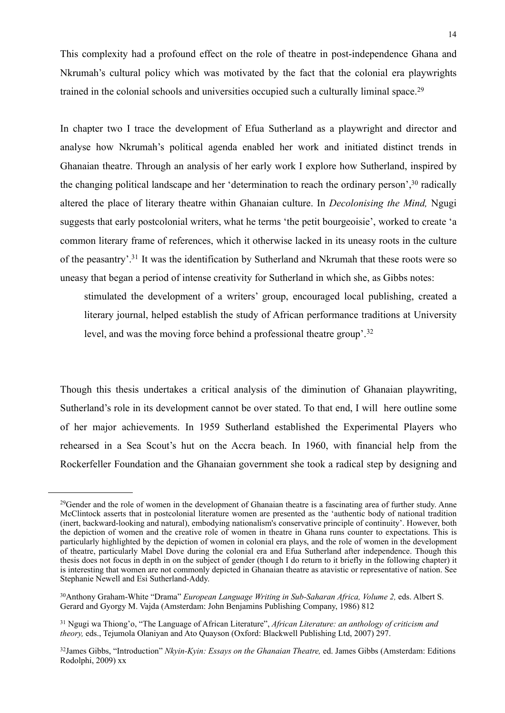This complexity had a profound effect on the role of theatre in post-independence Ghana and Nkrumah's cultural policy which was motivated by the fact that the colonial era playwrights trained in the colonial schools and universities occupied such a culturally liminal space.<sup>[29](#page-15-0)</sup>

In chapter two I trace the development of Efua Sutherland as a playwright and director and analyse how Nkrumah's political agenda enabled her work and initiated distinct trends in Ghanaian theatre. Through an analysis of her early work I explore how Sutherland, inspired by the changing political landscape and her 'determination to reach the ordinary person',<sup>30</sup> radically altered the place of literary theatre within Ghanaian culture. In *Decolonising the Mind,* Ngugi suggests that early postcolonial writers, what he terms 'the petit bourgeoisie', worked to create 'a common literary frame of references, which it otherwise lacked in its uneasy roots in the culture of the peasantry'[.31](#page-15-2) It was the identification by Sutherland and Nkrumah that these roots were so uneasy that began a period of intense creativity for Sutherland in which she, as Gibbs notes:

stimulated the development of a writers' group, encouraged local publishing, created a literary journal, helped establish the study of African performance traditions at University level, and was the moving force behind a professional theatre group'.[32](#page-15-3)

Though this thesis undertakes a critical analysis of the diminution of Ghanaian playwriting, Sutherland's role in its development cannot be over stated. To that end, I will here outline some of her major achievements. In 1959 Sutherland established the Experimental Players who rehearsed in a Sea Scout's hut on the Accra beach. In 1960, with financial help from the Rockerfeller Foundation and the Ghanaian government she took a radical step by designing and

<span id="page-15-0"></span><sup>&</sup>lt;sup>29</sup>Gender and the role of women in the development of Ghanaian theatre is a fascinating area of further study. Anne McClintock asserts that in postcolonial literature women are presented as the 'authentic body of national tradition (inert, backward-looking and natural), embodying nationalism's conservative principle of continuity'. However, both the depiction of women and the creative role of women in theatre in Ghana runs counter to expectations. This is particularly highlighted by the depiction of women in colonial era plays, and the role of women in the development of theatre, particularly Mabel Dove during the colonial era and Efua Sutherland after independence. Though this thesis does not focus in depth in on the subject of gender (though I do return to it briefly in the following chapter) it is interesting that women are not commonly depicted in Ghanaian theatre as atavistic or representative of nation. See Stephanie Newell and Esi Sutherland-Addy.

<span id="page-15-1"></span><sup>&</sup>lt;sup>30</sup>Anthony Graham-White "Drama" *European Language Writing in Sub-Saharan Africa, Volume 2, eds. Albert S.* Gerard and Gyorgy M. Vajda (Amsterdam: John Benjamins Publishing Company, 1986) 812

<span id="page-15-2"></span><sup>31</sup> Ngugi wa Thiong'o, "The Language of African Literature", *African Literature: an anthology of criticism and theory,* eds., Tejumola Olaniyan and Ato Quayson (Oxford: Blackwell Publishing Ltd, 2007) 297.

<span id="page-15-3"></span><sup>32</sup>James Gibbs, "Introduction" *Nkyin-Kyin: Essays on the Ghanaian Theatre,* ed. James Gibbs (Amsterdam: Editions Rodolphi, 2009) xx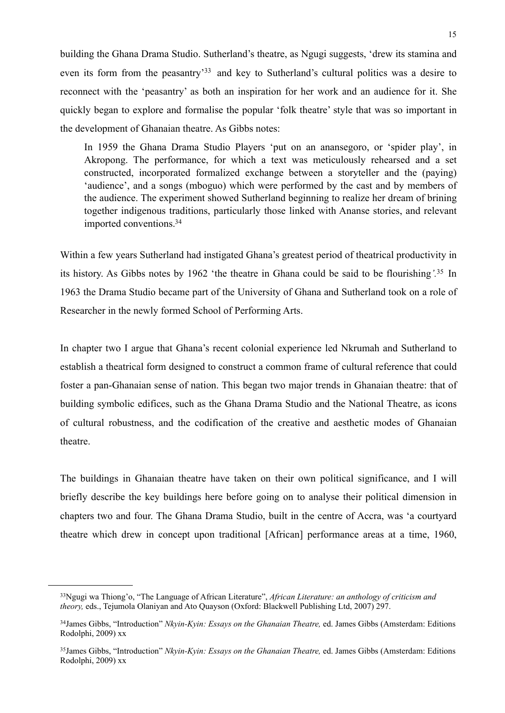building the Ghana Drama Studio. Sutherland's theatre, as Ngugi suggests, 'drew its stamina and even its form from the peasantry'[33](#page-16-0) and key to Sutherland's cultural politics was a desire to reconnect with the 'peasantry' as both an inspiration for her work and an audience for it. She quickly began to explore and formalise the popular 'folk theatre' style that was so important in the development of Ghanaian theatre. As Gibbs notes:

In 1959 the Ghana Drama Studio Players 'put on an anansegoro, or 'spider play', in Akropong. The performance, for which a text was meticulously rehearsed and a set constructed, incorporated formalized exchange between a storyteller and the (paying) 'audience', and a songs (mboguo) which were performed by the cast and by members of the audience. The experiment showed Sutherland beginning to realize her dream of brining together indigenous traditions, particularly those linked with Ananse stories, and relevant imported conventions[.34](#page-16-1)

Within a few years Sutherland had instigated Ghana's greatest period of theatrical productivity in its history. As Gibbs notes by 1962 'the theatre in Ghana could be said to be flourishing*'.*[35](#page-16-2) In 1963 the Drama Studio became part of the University of Ghana and Sutherland took on a role of Researcher in the newly formed School of Performing Arts.

In chapter two I argue that Ghana's recent colonial experience led Nkrumah and Sutherland to establish a theatrical form designed to construct a common frame of cultural reference that could foster a pan-Ghanaian sense of nation. This began two major trends in Ghanaian theatre: that of building symbolic edifices, such as the Ghana Drama Studio and the National Theatre, as icons of cultural robustness, and the codification of the creative and aesthetic modes of Ghanaian theatre.

The buildings in Ghanaian theatre have taken on their own political significance, and I will briefly describe the key buildings here before going on to analyse their political dimension in chapters two and four. The Ghana Drama Studio, built in the centre of Accra, was 'a courtyard theatre which drew in concept upon traditional [African] performance areas at a time, 1960,

<span id="page-16-0"></span><sup>33</sup>Ngugi wa Thiong'o, "The Language of African Literature", *African Literature: an anthology of criticism and theory,* eds., Tejumola Olaniyan and Ato Quayson (Oxford: Blackwell Publishing Ltd, 2007) 297.

<span id="page-16-1"></span><sup>34</sup>James Gibbs, "Introduction" *Nkyin-Kyin: Essays on the Ghanaian Theatre,* ed. James Gibbs (Amsterdam: Editions Rodolphi, 2009) xx

<span id="page-16-2"></span><sup>35</sup>James Gibbs, "Introduction" *Nkyin-Kyin: Essays on the Ghanaian Theatre,* ed. James Gibbs (Amsterdam: Editions Rodolphi, 2009) xx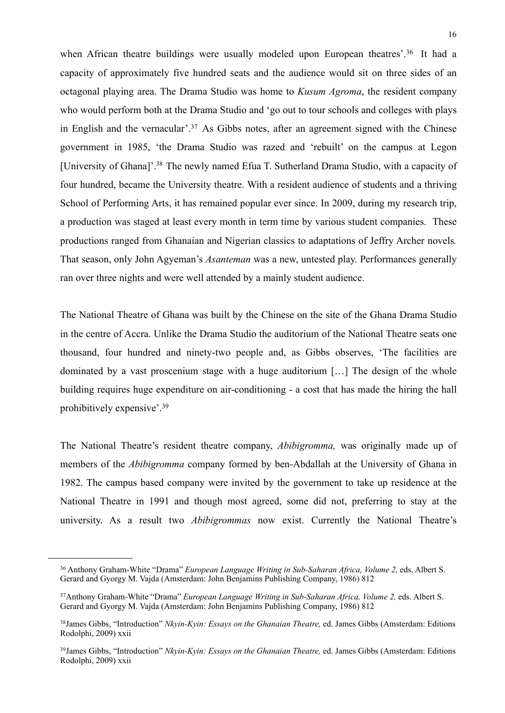when African theatre buildings were usually modeled upon European theatres'.<sup>36</sup> It had a capacity of approximately five hundred seats and the audience would sit on three sides of an octagonal playing area. The Drama Studio was home to *Kusum Agroma*, the resident company who would perform both at the Drama Studio and 'go out to tour schools and colleges with plays in English and the vernacular'.<sup>37</sup> As Gibbs notes, after an agreement signed with the Chinese government in 1985, 'the Drama Studio was razed and 'rebuilt' on the campus at Legon [University of Ghana]'[.38](#page-17-2) The newly named Efua T. Sutherland Drama Studio, with a capacity of four hundred, became the University theatre. With a resident audience of students and a thriving School of Performing Arts, it has remained popular ever since. In 2009, during my research trip, a production was staged at least every month in term time by various student companies. These productions ranged from Ghanaian and Nigerian classics to adaptations of Jeffry Archer novels*.*  That season, only John Agyeman's *Asanteman* was a new, untested play. Performances generally ran over three nights and were well attended by a mainly student audience.

The National Theatre of Ghana was built by the Chinese on the site of the Ghana Drama Studio in the centre of Accra. Unlike the Drama Studio the auditorium of the National Theatre seats one thousand, four hundred and ninety-two people and, as Gibbs observes, 'The facilities are dominated by a vast proscenium stage with a huge auditorium […] The design of the whole building requires huge expenditure on air-conditioning - a cost that has made the hiring the hall prohibitively expensive'.[39](#page-17-3)

The National Theatre's resident theatre company, *Abibigromma,* was originally made up of members of the *Abibigromma* company formed by ben-Abdallah at the University of Ghana in 1982. The campus based company were invited by the government to take up residence at the National Theatre in 1991 and though most agreed, some did not, preferring to stay at the university. As a result two *Abibigrommas* now exist. Currently the National Theatre's

<span id="page-17-0"></span><sup>&</sup>lt;sup>36</sup> Anthony Graham-White "Drama" *European Language Writing in Sub-Saharan Africa, Volume 2, eds. Albert S.* Gerard and Gyorgy M. Vajda (Amsterdam: John Benjamins Publishing Company, 1986) 812

<span id="page-17-1"></span><sup>&</sup>lt;sup>37</sup>Anthony Graham-White "Drama" *European Language Writing in Sub-Saharan Africa, Volume 2, eds. Albert S.* Gerard and Gyorgy M. Vajda (Amsterdam: John Benjamins Publishing Company, 1986) 812

<span id="page-17-2"></span><sup>38</sup>James Gibbs, "Introduction" *Nkyin-Kyin: Essays on the Ghanaian Theatre,* ed. James Gibbs (Amsterdam: Editions Rodolphi, 2009) xxii

<span id="page-17-3"></span><sup>39</sup>James Gibbs, "Introduction" *Nkyin-Kyin: Essays on the Ghanaian Theatre,* ed. James Gibbs (Amsterdam: Editions Rodolphi, 2009) xxii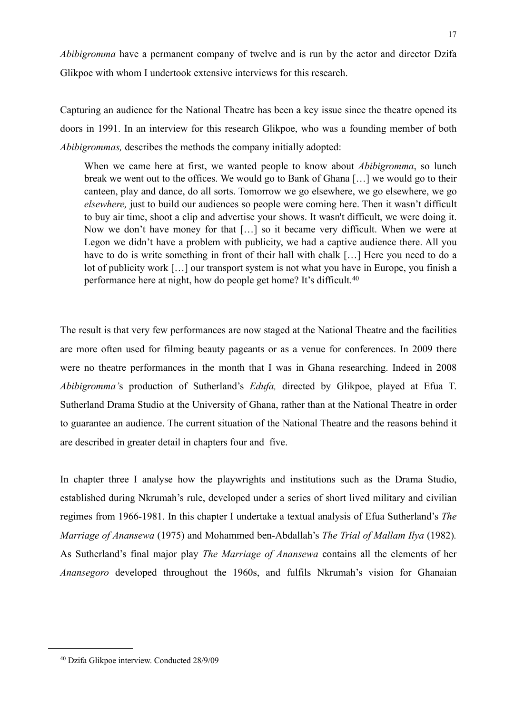*Abibigromma* have a permanent company of twelve and is run by the actor and director Dzifa Glikpoe with whom I undertook extensive interviews for this research.

Capturing an audience for the National Theatre has been a key issue since the theatre opened its doors in 1991. In an interview for this research Glikpoe, who was a founding member of both *Abibigrommas,* describes the methods the company initially adopted:

When we came here at first, we wanted people to know about *Abibigromma*, so lunch break we went out to the offices. We would go to Bank of Ghana […] we would go to their canteen, play and dance, do all sorts. Tomorrow we go elsewhere, we go elsewhere, we go *elsewhere,* just to build our audiences so people were coming here. Then it wasn't difficult to buy air time, shoot a clip and advertise your shows. It wasn't difficult, we were doing it. Now we don't have money for that […] so it became very difficult. When we were at Legon we didn't have a problem with publicity, we had a captive audience there. All you have to do is write something in front of their hall with chalk [...] Here you need to do a lot of publicity work […] our transport system is not what you have in Europe, you finish a performance here at night, how do people get home? It's difficult[.40](#page-18-0)

The result is that very few performances are now staged at the National Theatre and the facilities are more often used for filming beauty pageants or as a venue for conferences. In 2009 there were no theatre performances in the month that I was in Ghana researching. Indeed in 2008 *Abibigromma'*s production of Sutherland's *Edufa,* directed by Glikpoe, played at Efua T. Sutherland Drama Studio at the University of Ghana, rather than at the National Theatre in order to guarantee an audience. The current situation of the National Theatre and the reasons behind it are described in greater detail in chapters four and five.

In chapter three I analyse how the playwrights and institutions such as the Drama Studio, established during Nkrumah's rule, developed under a series of short lived military and civilian regimes from 1966-1981. In this chapter I undertake a textual analysis of Efua Sutherland's *The Marriage of Anansewa* (1975) and Mohammed ben-Abdallah's *The Trial of Mallam Ilya* (1982)*.*  As Sutherland's final major play *The Marriage of Anansewa* contains all the elements of her *Anansegoro* developed throughout the 1960s, and fulfils Nkrumah's vision for Ghanaian

<span id="page-18-0"></span><sup>40</sup> Dzifa Glikpoe interview. Conducted 28/9/09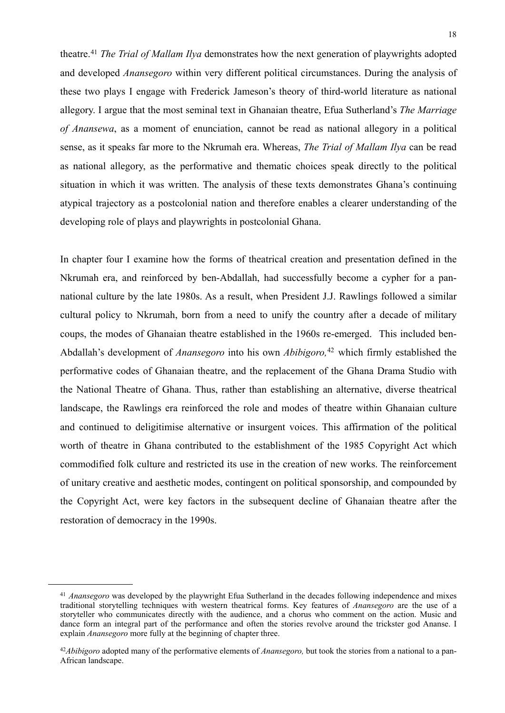theatre.[41](#page-19-0) *The Trial of Mallam Ilya* demonstrates how the next generation of playwrights adopted and developed *Anansegoro* within very different political circumstances. During the analysis of these two plays I engage with Frederick Jameson's theory of third-world literature as national allegory. I argue that the most seminal text in Ghanaian theatre, Efua Sutherland's *The Marriage of Anansewa*, as a moment of enunciation, cannot be read as national allegory in a political sense, as it speaks far more to the Nkrumah era. Whereas, *The Trial of Mallam Ilya* can be read as national allegory, as the performative and thematic choices speak directly to the political situation in which it was written. The analysis of these texts demonstrates Ghana's continuing atypical trajectory as a postcolonial nation and therefore enables a clearer understanding of the developing role of plays and playwrights in postcolonial Ghana.

In chapter four I examine how the forms of theatrical creation and presentation defined in the Nkrumah era, and reinforced by ben-Abdallah, had successfully become a cypher for a pannational culture by the late 1980s. As a result, when President J.J. Rawlings followed a similar cultural policy to Nkrumah, born from a need to unify the country after a decade of military coups, the modes of Ghanaian theatre established in the 1960s re-emerged. This included ben-Abdallah's development of *Anansegoro* into his own *Abibigoro,*[42](#page-19-1) which firmly established the performative codes of Ghanaian theatre, and the replacement of the Ghana Drama Studio with the National Theatre of Ghana. Thus, rather than establishing an alternative, diverse theatrical landscape, the Rawlings era reinforced the role and modes of theatre within Ghanaian culture and continued to deligitimise alternative or insurgent voices. This affirmation of the political worth of theatre in Ghana contributed to the establishment of the 1985 Copyright Act which commodified folk culture and restricted its use in the creation of new works. The reinforcement of unitary creative and aesthetic modes, contingent on political sponsorship, and compounded by the Copyright Act, were key factors in the subsequent decline of Ghanaian theatre after the restoration of democracy in the 1990s.

<span id="page-19-0"></span><sup>41</sup> *Anansegoro* was developed by the playwright Efua Sutherland in the decades following independence and mixes traditional storytelling techniques with western theatrical forms. Key features of *Anansegoro* are the use of a storyteller who communicates directly with the audience, and a chorus who comment on the action. Music and dance form an integral part of the performance and often the stories revolve around the trickster god Ananse. I explain *Anansegoro* more fully at the beginning of chapter three.

<span id="page-19-1"></span><sup>42</sup>*Abibigoro* adopted many of the performative elements of *Anansegoro,* but took the stories from a national to a pan-African landscape.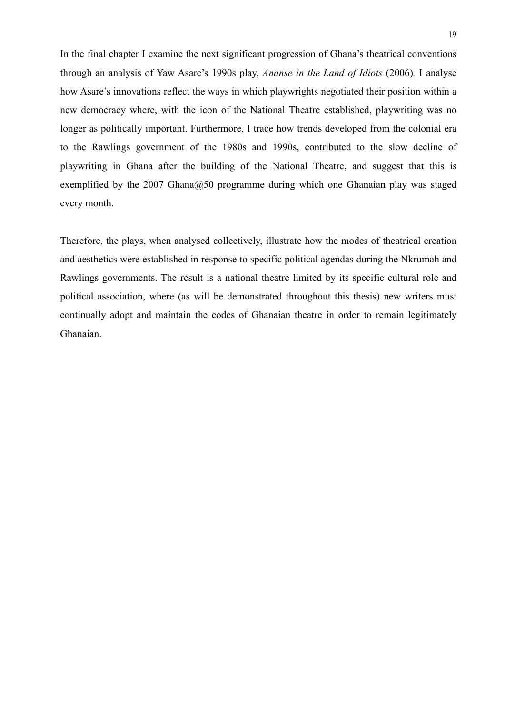In the final chapter I examine the next significant progression of Ghana's theatrical conventions through an analysis of Yaw Asare's 1990s play, *Ananse in the Land of Idiots* (2006)*.* I analyse how Asare's innovations reflect the ways in which playwrights negotiated their position within a new democracy where, with the icon of the National Theatre established, playwriting was no longer as politically important. Furthermore, I trace how trends developed from the colonial era to the Rawlings government of the 1980s and 1990s, contributed to the slow decline of playwriting in Ghana after the building of the National Theatre, and suggest that this is exemplified by the 2007 Ghana $@50$  programme during which one Ghanaian play was staged every month.

Therefore, the plays, when analysed collectively, illustrate how the modes of theatrical creation and aesthetics were established in response to specific political agendas during the Nkrumah and Rawlings governments. The result is a national theatre limited by its specific cultural role and political association, where (as will be demonstrated throughout this thesis) new writers must continually adopt and maintain the codes of Ghanaian theatre in order to remain legitimately Ghanaian.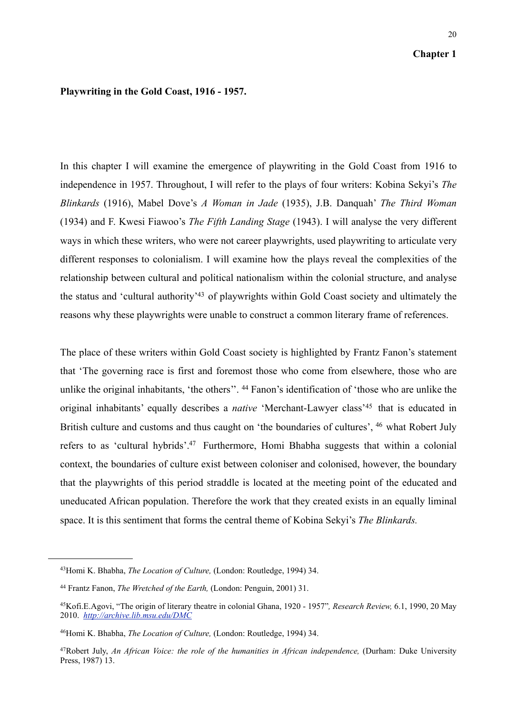#### **Chapter 1**

### **Playwriting in the Gold Coast, 1916 - 1957.**

In this chapter I will examine the emergence of playwriting in the Gold Coast from 1916 to independence in 1957. Throughout, I will refer to the plays of four writers: Kobina Sekyi's *The Blinkards* (1916), Mabel Dove's *A Woman in Jade* (1935), J.B. Danquah' *The Third Woman*  (1934) and F. Kwesi Fiawoo's *The Fifth Landing Stage* (1943). I will analyse the very different ways in which these writers, who were not career playwrights, used playwriting to articulate very different responses to colonialism. I will examine how the plays reveal the complexities of the relationship between cultural and political nationalism within the colonial structure, and analyse the status and 'cultural authority['43](#page-21-0) of playwrights within Gold Coast society and ultimately the reasons why these playwrights were unable to construct a common literary frame of references.

The place of these writers within Gold Coast society is highlighted by Frantz Fanon's statement that 'The governing race is first and foremost those who come from elsewhere, those who are unlike the original inhabitants, 'the others''. [44](#page-21-1) Fanon's identification of 'those who are unlike the original inhabitants' equally describes a *native* 'Merchant-Lawyer class'[45](#page-21-2) that is educated in British culture and customs and thus caught on 'the boundaries of cultures', <sup>46</sup> what Robert July refers to as 'cultural hybrids'.<sup>47</sup> Furthermore, Homi Bhabha suggests that within a colonial context, the boundaries of culture exist between coloniser and colonised, however, the boundary that the playwrights of this period straddle is located at the meeting point of the educated and uneducated African population. Therefore the work that they created exists in an equally liminal space. It is this sentiment that forms the central theme of Kobina Sekyi's *The Blinkards.*

<span id="page-21-0"></span><sup>43</sup>Homi K. Bhabha, *The Location of Culture,* (London: Routledge, 1994) 34.

<span id="page-21-1"></span><sup>44</sup> Frantz Fanon, *The Wretched of the Earth,* (London: Penguin, 2001) 31.

<span id="page-21-2"></span><sup>45</sup>Kofi.E.Agovi, "The origin of literary theatre in colonial Ghana, 1920 - 1957"*, Research Review,* 6.1, 1990, 20 May 2010. *<http://archive.lib.msu.edu/DMC>*

<span id="page-21-3"></span><sup>46</sup>Homi K. Bhabha, *The Location of Culture,* (London: Routledge, 1994) 34.

<span id="page-21-4"></span><sup>47</sup>Robert July, *An African Voice: the role of the humanities in African independence,* (Durham: Duke University Press, 1987) 13.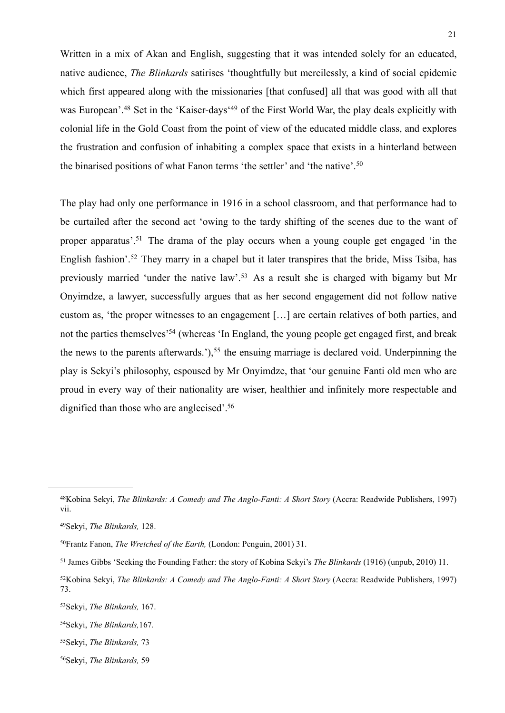Written in a mix of Akan and English, suggesting that it was intended solely for an educated, native audience, *The Blinkards* satirises 'thoughtfully but mercilessly, a kind of social epidemic which first appeared along with the missionaries [that confused] all that was good with all that was European'.<sup>48</sup> Set in the 'Kaiser-days<sup>'49</sup> of the First World War, the play deals explicitly with colonial life in the Gold Coast from the point of view of the educated middle class, and explores the frustration and confusion of inhabiting a complex space that exists in a hinterland between the binarised positions of what Fanon terms 'the settler' and 'the native'.[50](#page-22-2)

The play had only one performance in 1916 in a school classroom, and that performance had to be curtailed after the second act 'owing to the tardy shifting of the scenes due to the want of proper apparatus'[.51](#page-22-3) The drama of the play occurs when a young couple get engaged 'in the English fashion'.<sup>52</sup> They marry in a chapel but it later transpires that the bride, Miss Tsiba, has previously married 'under the native law'.[53](#page-22-5) As a result she is charged with bigamy but Mr Onyimdze, a lawyer, successfully argues that as her second engagement did not follow native custom as, 'the proper witnesses to an engagement […] are certain relatives of both parties, and not the parties themselves<sup>'54</sup> (whereas 'In England, the young people get engaged first, and break the news to the parents afterwards.'),<sup>55</sup> the ensuing marriage is declared void. Underpinning the play is Sekyi's philosophy, espoused by Mr Onyimdze, that 'our genuine Fanti old men who are proud in every way of their nationality are wiser, healthier and infinitely more respectable and dignified than those who are anglecised'.<sup>56</sup>

<span id="page-22-8"></span>56Sekyi, *The Blinkards,* 59

<span id="page-22-0"></span><sup>48</sup>Kobina Sekyi, *The Blinkards: A Comedy and The Anglo-Fanti: A Short Story* (Accra: Readwide Publishers, 1997) vii.

<span id="page-22-1"></span><sup>49</sup>Sekyi, *The Blinkards,* 128.

<span id="page-22-2"></span><sup>50</sup>Frantz Fanon, *The Wretched of the Earth,* (London: Penguin, 2001) 31.

<span id="page-22-3"></span><sup>51</sup> James Gibbs 'Seeking the Founding Father: the story of Kobina Sekyi's *The Blinkards* (1916) (unpub, 2010) 11.

<span id="page-22-4"></span><sup>52</sup>Kobina Sekyi, *The Blinkards: A Comedy and The Anglo-Fanti: A Short Story* (Accra: Readwide Publishers, 1997) 73.

<span id="page-22-5"></span><sup>53</sup>Sekyi, *The Blinkards,* 167.

<span id="page-22-6"></span><sup>54</sup>Sekyi, *The Blinkards,*167.

<span id="page-22-7"></span><sup>55</sup>Sekyi, *The Blinkards,* 73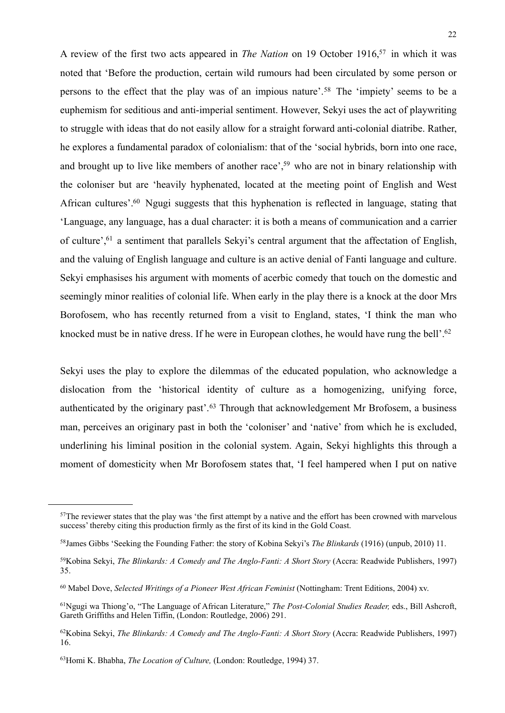A review of the first two acts appeared in *The Nation* on 19 October 1916[,57](#page-23-0) in which it was noted that 'Before the production, certain wild rumours had been circulated by some person or persons to the effect that the play was of an impious nature'.[58](#page-23-1) The 'impiety' seems to be a euphemism for seditious and anti-imperial sentiment. However, Sekyi uses the act of playwriting to struggle with ideas that do not easily allow for a straight forward anti-colonial diatribe. Rather, he explores a fundamental paradox of colonialism: that of the 'social hybrids, born into one race, and brought up to live like members of another race',<sup>59</sup> who are not in binary relationship with the coloniser but are 'heavily hyphenated, located at the meeting point of English and West African cultures'[.60](#page-23-3) Ngugi suggests that this hyphenation is reflected in language, stating that 'Language, any language, has a dual character: it is both a means of communication and a carrier of culture'[,61](#page-23-4) a sentiment that parallels Sekyi's central argument that the affectation of English, and the valuing of English language and culture is an active denial of Fanti language and culture. Sekyi emphasises his argument with moments of acerbic comedy that touch on the domestic and seemingly minor realities of colonial life. When early in the play there is a knock at the door Mrs Borofosem, who has recently returned from a visit to England, states, 'I think the man who knocked must be in native dress. If he were in European clothes, he would have rung the bell'.<sup>62</sup>

Sekyi uses the play to explore the dilemmas of the educated population, who acknowledge a dislocation from the 'historical identity of culture as a homogenizing, unifying force, authenticated by the originary past'.[63](#page-23-6) Through that acknowledgement Mr Brofosem, a business man, perceives an originary past in both the 'coloniser' and 'native' from which he is excluded, underlining his liminal position in the colonial system. Again, Sekyi highlights this through a moment of domesticity when Mr Borofosem states that, 'I feel hampered when I put on native

<span id="page-23-0"></span><sup>&</sup>lt;sup>57</sup>The reviewer states that the play was 'the first attempt by a native and the effort has been crowned with marvelous success' thereby citing this production firmly as the first of its kind in the Gold Coast.

<span id="page-23-1"></span><sup>58</sup>James Gibbs 'Seeking the Founding Father: the story of Kobina Sekyi's *The Blinkards* (1916) (unpub, 2010) 11.

<span id="page-23-2"></span><sup>59</sup>Kobina Sekyi, *The Blinkards: A Comedy and The Anglo-Fanti: A Short Story* (Accra: Readwide Publishers, 1997) 35.

<span id="page-23-3"></span><sup>60</sup> Mabel Dove, *Selected Writings of a Pioneer West African Feminist* (Nottingham: Trent Editions, 2004) xv.

<span id="page-23-4"></span><sup>61</sup>Ngugi wa Thiong'o, "The Language of African Literature," *The Post-Colonial Studies Reader,* eds., Bill Ashcroft, Gareth Griffiths and Helen Tiffin, (London: Routledge, 2006) 291.

<span id="page-23-5"></span><sup>62</sup>Kobina Sekyi, *The Blinkards: A Comedy and The Anglo-Fanti: A Short Story* (Accra: Readwide Publishers, 1997) 16.

<span id="page-23-6"></span><sup>63</sup>Homi K. Bhabha, *The Location of Culture,* (London: Routledge, 1994) 37.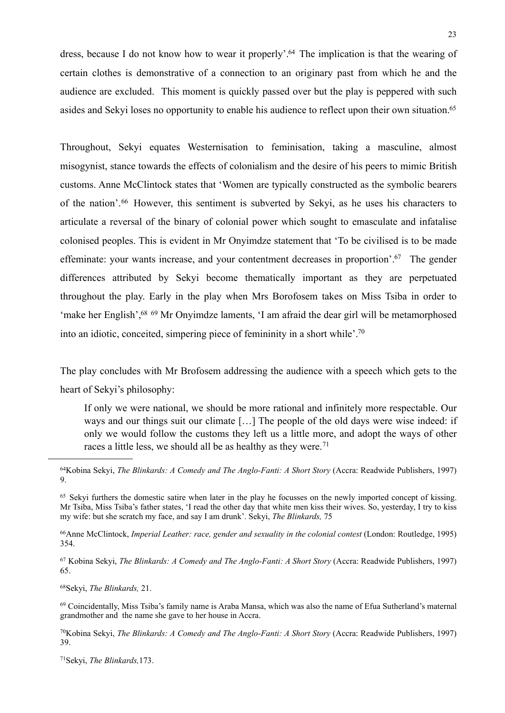dress, because I do not know how to wear it properly'[.64](#page-24-0) The implication is that the wearing of certain clothes is demonstrative of a connection to an originary past from which he and the audience are excluded. This moment is quickly passed over but the play is peppered with such asides and Sekyi loses no opportunity to enable his audience to reflect upon their own situation[.65](#page-24-1)

Throughout, Sekyi equates Westernisation to feminisation, taking a masculine, almost misogynist, stance towards the effects of colonialism and the desire of his peers to mimic British customs. Anne McClintock states that 'Women are typically constructed as the symbolic bearers of the nation'.[66](#page-24-2) However, this sentiment is subverted by Sekyi, as he uses his characters to articulate a reversal of the binary of colonial power which sought to emasculate and infatalise colonised peoples. This is evident in Mr Onyimdze statement that 'To be civilised is to be made effeminate: your wants increase, and your contentment decreases in proportion'[.67](#page-24-3) The gender differences attributed by Sekyi become thematically important as they are perpetuated throughout the play. Early in the play when Mrs Borofosem takes on Miss Tsiba in order to 'make her English',<sup>68 69</sup> Mr Onyimdze laments, 'I am afraid the dear girl will be metamorphosed into an idiotic, conceited, simpering piece of femininity in a short while'[.70](#page-24-6)

The play concludes with Mr Brofosem addressing the audience with a speech which gets to the heart of Sekyi's philosophy:

If only we were national, we should be more rational and infinitely more respectable. Our ways and our things suit our climate […] The people of the old days were wise indeed: if only we would follow the customs they left us a little more, and adopt the ways of other races a little less, we should all be as healthy as they were.<sup>[71](#page-24-7)</sup>

<span id="page-24-0"></span>64Kobina Sekyi, *The Blinkards: A Comedy and The Anglo-Fanti: A Short Story* (Accra: Readwide Publishers, 1997) 9.

<span id="page-24-2"></span>66Anne McClintock, *Imperial Leather: race, gender and sexuality in the colonial contest* (London: Routledge, 1995) 354.

<span id="page-24-3"></span>67 Kobina Sekyi, *The Blinkards: A Comedy and The Anglo-Fanti: A Short Story* (Accra: Readwide Publishers, 1997) 65.

<span id="page-24-4"></span>68Sekyi, *The Blinkards,* 21.

<span id="page-24-5"></span>69 Coincidentally, Miss Tsiba's family name is Araba Mansa, which was also the name of Efua Sutherland's maternal grandmother and the name she gave to her house in Accra.

<span id="page-24-6"></span>70Kobina Sekyi, *The Blinkards: A Comedy and The Anglo-Fanti: A Short Story* (Accra: Readwide Publishers, 1997) 39.

<span id="page-24-7"></span>71Sekyi, *The Blinkards,*173.

<span id="page-24-1"></span><sup>&</sup>lt;sup>65</sup> Sekyi furthers the domestic satire when later in the play he focusses on the newly imported concept of kissing. Mr Tsiba, Miss Tsiba's father states, 'I read the other day that white men kiss their wives. So, yesterday, I try to kiss my wife: but she scratch my face, and say I am drunk'. Sekyi, *The Blinkards,* 75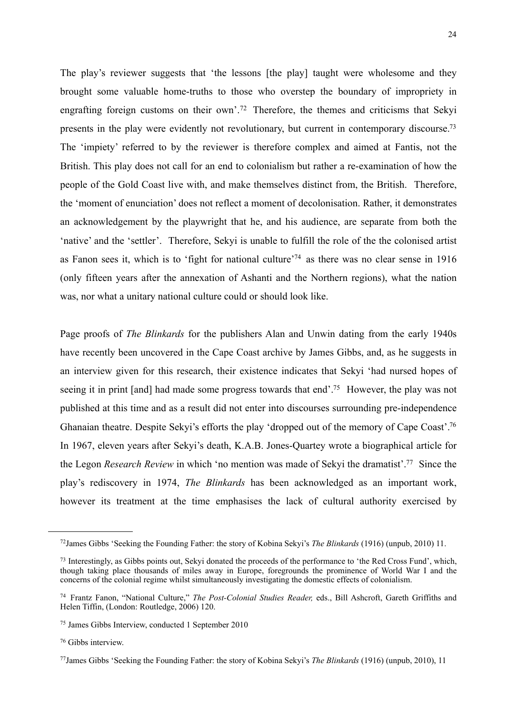The play's reviewer suggests that 'the lessons [the play] taught were wholesome and they brought some valuable home-truths to those who overstep the boundary of impropriety in engrafting foreign customs on their own'.[72](#page-25-0) Therefore, the themes and criticisms that Sekyi presents in the play were evidently not revolutionary, but current in contemporary discourse.<sup>73</sup> The 'impiety' referred to by the reviewer is therefore complex and aimed at Fantis, not the British. This play does not call for an end to colonialism but rather a re-examination of how the people of the Gold Coast live with, and make themselves distinct from, the British. Therefore, the 'moment of enunciation' does not reflect a moment of decolonisation. Rather, it demonstrates an acknowledgement by the playwright that he, and his audience, are separate from both the 'native' and the 'settler'. Therefore, Sekyi is unable to fulfill the role of the the colonised artist as Fanon sees it, which is to 'fight for national culture['74](#page-25-2) as there was no clear sense in 1916 (only fifteen years after the annexation of Ashanti and the Northern regions), what the nation was, nor what a unitary national culture could or should look like.

Page proofs of *The Blinkards* for the publishers Alan and Unwin dating from the early 1940s have recently been uncovered in the Cape Coast archive by James Gibbs, and, as he suggests in an interview given for this research, their existence indicates that Sekyi 'had nursed hopes of seeing it in print [and] had made some progress towards that end'.<sup>75</sup> However, the play was not published at this time and as a result did not enter into discourses surrounding pre-independence Ghanaian theatre. Despite Sekyi's efforts the play 'dropped out of the memory of Cape Coast'[.76](#page-25-4) In 1967, eleven years after Sekyi's death, K.A.B. Jones-Quartey wrote a biographical article for the Legon *Research Review* in which 'no mention was made of Sekyi the dramatist'[.77](#page-25-5) Since the play's rediscovery in 1974, *The Blinkards* has been acknowledged as an important work, however its treatment at the time emphasises the lack of cultural authority exercised by

<span id="page-25-0"></span><sup>72</sup>James Gibbs 'Seeking the Founding Father: the story of Kobina Sekyi's *The Blinkards* (1916) (unpub, 2010) 11.

<span id="page-25-1"></span><sup>73</sup> Interestingly, as Gibbs points out, Sekyi donated the proceeds of the performance to 'the Red Cross Fund', which, though taking place thousands of miles away in Europe, foregrounds the prominence of World War I and the concerns of the colonial regime whilst simultaneously investigating the domestic effects of colonialism.

<span id="page-25-2"></span><sup>74</sup> Frantz Fanon, "National Culture," *The Post-Colonial Studies Reader,* eds., Bill Ashcroft, Gareth Griffiths and Helen Tiffin, (London: Routledge, 2006) 120.

<span id="page-25-3"></span><sup>75</sup> James Gibbs Interview, conducted 1 September 2010

<span id="page-25-4"></span><sup>76</sup> Gibbs interview.

<span id="page-25-5"></span><sup>77</sup>James Gibbs 'Seeking the Founding Father: the story of Kobina Sekyi's *The Blinkards* (1916) (unpub, 2010), 11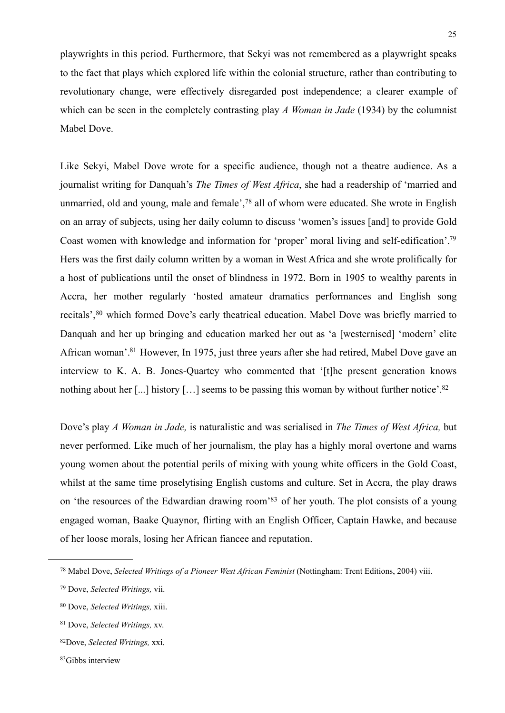playwrights in this period. Furthermore, that Sekyi was not remembered as a playwright speaks to the fact that plays which explored life within the colonial structure, rather than contributing to revolutionary change, were effectively disregarded post independence; a clearer example of which can be seen in the completely contrasting play *A Woman in Jade* (1934) by the columnist Mabel Dove.

Like Sekyi, Mabel Dove wrote for a specific audience, though not a theatre audience. As a journalist writing for Danquah's *The Times of West Africa*, she had a readership of 'married and unmarried, old and young, male and female',[78](#page-26-0) all of whom were educated. She wrote in English on an array of subjects, using her daily column to discuss 'women's issues [and] to provide Gold Coast women with knowledge and information for 'proper' moral living and self-edification'[.79](#page-26-1) Hers was the first daily column written by a woman in West Africa and she wrote prolifically for a host of publications until the onset of blindness in 1972. Born in 1905 to wealthy parents in Accra, her mother regularly 'hosted amateur dramatics performances and English song recitals',<sup>80</sup> which formed Dove's early theatrical education. Mabel Dove was briefly married to Danquah and her up bringing and education marked her out as 'a [westernised] 'modern' elite African woman'[.81](#page-26-3) However, In 1975, just three years after she had retired, Mabel Dove gave an interview to K. A. B. Jones-Quartey who commented that '[t]he present generation knows nothing about her [...] history [...] seems to be passing this woman by without further notice'.<sup>82</sup>

Dove's play *A Woman in Jade,* is naturalistic and was serialised in *The Times of West Africa,* but never performed. Like much of her journalism, the play has a highly moral overtone and warns young women about the potential perils of mixing with young white officers in the Gold Coast, whilst at the same time proselytising English customs and culture. Set in Accra, the play draws on 'the resources of the Edwardian drawing room['83](#page-26-5) of her youth. The plot consists of a young engaged woman, Baake Quaynor, flirting with an English Officer, Captain Hawke, and because of her loose morals, losing her African fiancee and reputation.

<span id="page-26-0"></span><sup>78</sup> Mabel Dove, *Selected Writings of a Pioneer West African Feminist* (Nottingham: Trent Editions, 2004) viii.

<span id="page-26-1"></span><sup>79</sup> Dove, *Selected Writings,* vii.

<span id="page-26-2"></span><sup>80</sup> Dove, *Selected Writings,* xiii.

<span id="page-26-3"></span><sup>81</sup> Dove, *Selected Writings,* xv.

<span id="page-26-4"></span><sup>82</sup>Dove, *Selected Writings,* xxi.

<span id="page-26-5"></span><sup>83</sup>Gibbs interview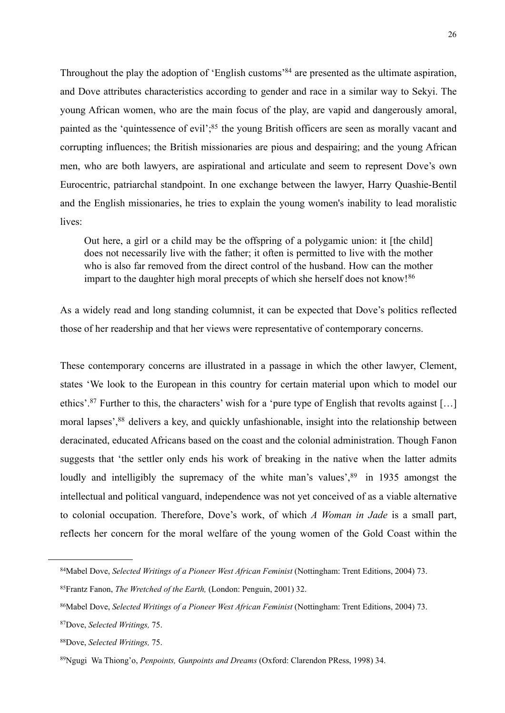Throughout the play the adoption of 'English customs['84](#page-27-0) are presented as the ultimate aspiration, and Dove attributes characteristics according to gender and race in a similar way to Sekyi. The young African women, who are the main focus of the play, are vapid and dangerously amoral, painted as the 'quintessence of evil';<sup>85</sup> the young British officers are seen as morally vacant and corrupting influences; the British missionaries are pious and despairing; and the young African men, who are both lawyers, are aspirational and articulate and seem to represent Dove's own Eurocentric, patriarchal standpoint. In one exchange between the lawyer, Harry Quashie-Bentil and the English missionaries, he tries to explain the young women's inability to lead moralistic lives:

Out here, a girl or a child may be the offspring of a polygamic union: it [the child] does not necessarily live with the father; it often is permitted to live with the mother who is also far removed from the direct control of the husband. How can the mother impart to the daughter high moral precepts of which she herself does not know!<sup>[86](#page-27-2)</sup>

As a widely read and long standing columnist, it can be expected that Dove's politics reflected those of her readership and that her views were representative of contemporary concerns.

These contemporary concerns are illustrated in a passage in which the other lawyer, Clement, states 'We look to the European in this country for certain material upon which to model our ethics'.[87](#page-27-3) Further to this, the characters' wish for a 'pure type of English that revolts against […] moral lapses',<sup>88</sup> delivers a key, and quickly unfashionable, insight into the relationship between deracinated, educated Africans based on the coast and the colonial administration. Though Fanon suggests that 'the settler only ends his work of breaking in the native when the latter admits loudly and intelligibly the supremacy of the white man's values', <sup>89</sup> in 1935 amongst the intellectual and political vanguard, independence was not yet conceived of as a viable alternative to colonial occupation. Therefore, Dove's work, of which *A Woman in Jade* is a small part, reflects her concern for the moral welfare of the young women of the Gold Coast within the

<span id="page-27-0"></span><sup>84</sup>Mabel Dove, *Selected Writings of a Pioneer West African Feminist* (Nottingham: Trent Editions, 2004) 73.

<span id="page-27-1"></span><sup>85</sup>Frantz Fanon, *The Wretched of the Earth,* (London: Penguin, 2001) 32.

<span id="page-27-2"></span><sup>86</sup>Mabel Dove, *Selected Writings of a Pioneer West African Feminist* (Nottingham: Trent Editions, 2004) 73.

<span id="page-27-3"></span><sup>87</sup>Dove, *Selected Writings,* 75.

<span id="page-27-4"></span><sup>88</sup>Dove, *Selected Writings,* 75.

<span id="page-27-5"></span><sup>89</sup>Ngugi Wa Thiong'o, *Penpoints, Gunpoints and Dreams* (Oxford: Clarendon PRess, 1998) 34.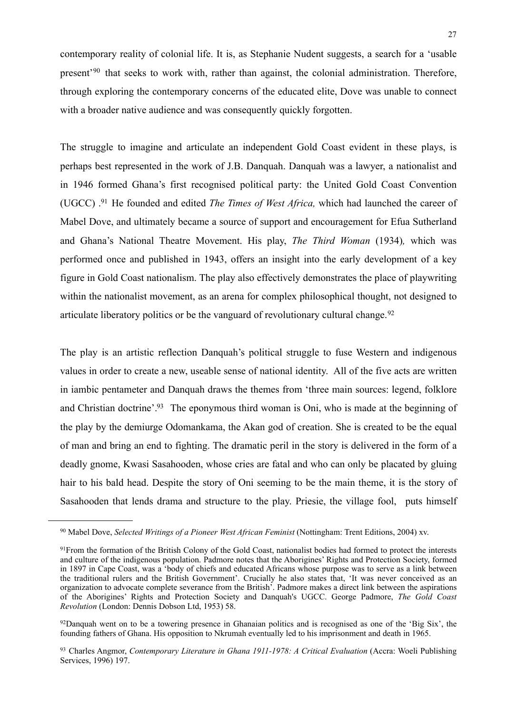contemporary reality of colonial life. It is, as Stephanie Nudent suggests, a search for a 'usable present'[90](#page-28-0) that seeks to work with, rather than against, the colonial administration. Therefore, through exploring the contemporary concerns of the educated elite, Dove was unable to connect with a broader native audience and was consequently quickly forgotten.

The struggle to imagine and articulate an independent Gold Coast evident in these plays, is perhaps best represented in the work of J.B. Danquah. Danquah was a lawyer, a nationalist and in 1946 formed Ghana's first recognised political party: the United Gold Coast Convention (UGCC) [.91](#page-28-1) He founded and edited *The Times of West Africa,* which had launched the career of Mabel Dove, and ultimately became a source of support and encouragement for Efua Sutherland and Ghana's National Theatre Movement. His play, *The Third Woman* (1934)*,* which was performed once and published in 1943, offers an insight into the early development of a key figure in Gold Coast nationalism. The play also effectively demonstrates the place of playwriting within the nationalist movement, as an arena for complex philosophical thought, not designed to articulate liberatory politics or be the vanguard of revolutionary cultural change.<sup>[92](#page-28-2)</sup>

The play is an artistic reflection Danquah's political struggle to fuse Western and indigenous values in order to create a new, useable sense of national identity. All of the five acts are written in iambic pentameter and Danquah draws the themes from 'three main sources: legend, folklore and Christian doctrine'.<sup>93</sup> The eponymous third woman is Oni, who is made at the beginning of the play by the demiurge Odomankama, the Akan god of creation. She is created to be the equal of man and bring an end to fighting. The dramatic peril in the story is delivered in the form of a deadly gnome, Kwasi Sasahooden, whose cries are fatal and who can only be placated by gluing hair to his bald head. Despite the story of Oni seeming to be the main theme, it is the story of Sasahooden that lends drama and structure to the play. Priesie, the village fool, puts himself

<span id="page-28-2"></span>92Danquah went on to be a towering presence in Ghanaian politics and is recognised as one of the 'Big Six', the founding fathers of Ghana. His opposition to Nkrumah eventually led to his imprisonment and death in 1965.

<span id="page-28-0"></span><sup>90</sup> Mabel Dove, *Selected Writings of a Pioneer West African Feminist* (Nottingham: Trent Editions, 2004) xv.

<span id="page-28-1"></span><sup>91</sup>From the formation of the British Colony of the Gold Coast, nationalist bodies had formed to protect the interests and culture of the indigenous population. Padmore notes that the Aborigines' Rights and Protection Society, formed in 1897 in Cape Coast, was a 'body of chiefs and educated Africans whose purpose was to serve as a link between the traditional rulers and the British Government'. Crucially he also states that, 'It was never conceived as an organization to advocate complete severance from the British'. Padmore makes a direct link between the aspirations of the Aborigines' Rights and Protection Society and Danquah's UGCC. George Padmore, *The Gold Coast Revolution* (London: Dennis Dobson Ltd, 1953) 58.

<span id="page-28-3"></span><sup>93</sup> Charles Angmor, *Contemporary Literature in Ghana 1911-1978: A Critical Evaluation* (Accra: Woeli Publishing Services, 1996) 197.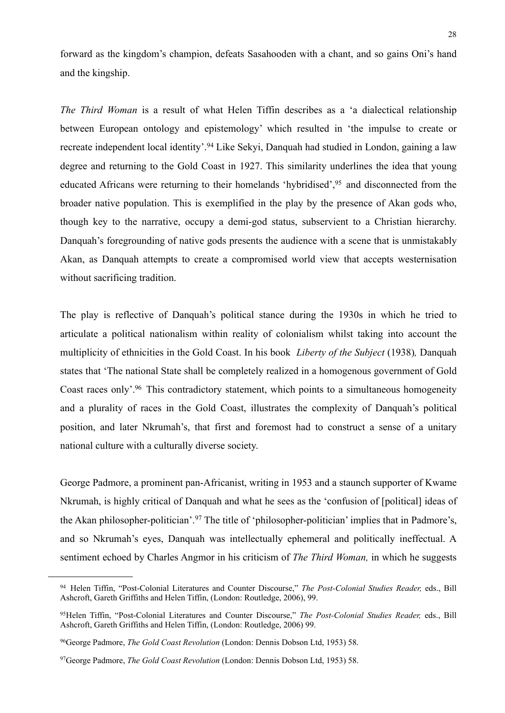forward as the kingdom's champion, defeats Sasahooden with a chant, and so gains Oni's hand and the kingship.

*The Third Woman* is a result of what Helen Tiffin describes as a 'a dialectical relationship between European ontology and epistemology' which resulted in 'the impulse to create or recreate independent local identity'.<sup>94</sup> Like Sekyi, Danquah had studied in London, gaining a law degree and returning to the Gold Coast in 1927. This similarity underlines the idea that young educated Africans were returning to their homelands 'hybridised'[,95](#page-29-1) and disconnected from the broader native population. This is exemplified in the play by the presence of Akan gods who, though key to the narrative, occupy a demi-god status, subservient to a Christian hierarchy. Danquah's foregrounding of native gods presents the audience with a scene that is unmistakably Akan, as Danquah attempts to create a compromised world view that accepts westernisation without sacrificing tradition.

The play is reflective of Danquah's political stance during the 1930s in which he tried to articulate a political nationalism within reality of colonialism whilst taking into account the multiplicity of ethnicities in the Gold Coast. In his book *Liberty of the Subject* (1938)*,* Danquah states that 'The national State shall be completely realized in a homogenous government of Gold Coast races only'[.96](#page-29-2) This contradictory statement, which points to a simultaneous homogeneity and a plurality of races in the Gold Coast, illustrates the complexity of Danquah's political position, and later Nkrumah's, that first and foremost had to construct a sense of a unitary national culture with a culturally diverse society.

George Padmore, a prominent pan-Africanist, writing in 1953 and a staunch supporter of Kwame Nkrumah, is highly critical of Danquah and what he sees as the 'confusion of [political] ideas of the Akan philosopher-politician'.<sup>97</sup> The title of 'philosopher-politician' implies that in Padmore's, and so Nkrumah's eyes, Danquah was intellectually ephemeral and politically ineffectual. A sentiment echoed by Charles Angmor in his criticism of *The Third Woman,* in which he suggests

<span id="page-29-0"></span><sup>94</sup> Helen Tiffin, "Post-Colonial Literatures and Counter Discourse," *The Post-Colonial Studies Reader,* eds., Bill Ashcroft, Gareth Griffiths and Helen Tiffin, (London: Routledge, 2006), 99.

<span id="page-29-1"></span><sup>95</sup>Helen Tiffin, "Post-Colonial Literatures and Counter Discourse," *The Post-Colonial Studies Reader,* eds., Bill Ashcroft, Gareth Griffiths and Helen Tiffin, (London: Routledge, 2006) 99.

<span id="page-29-2"></span><sup>96</sup>George Padmore, *The Gold Coast Revolution* (London: Dennis Dobson Ltd, 1953) 58.

<span id="page-29-3"></span><sup>97</sup>George Padmore, *The Gold Coast Revolution* (London: Dennis Dobson Ltd, 1953) 58.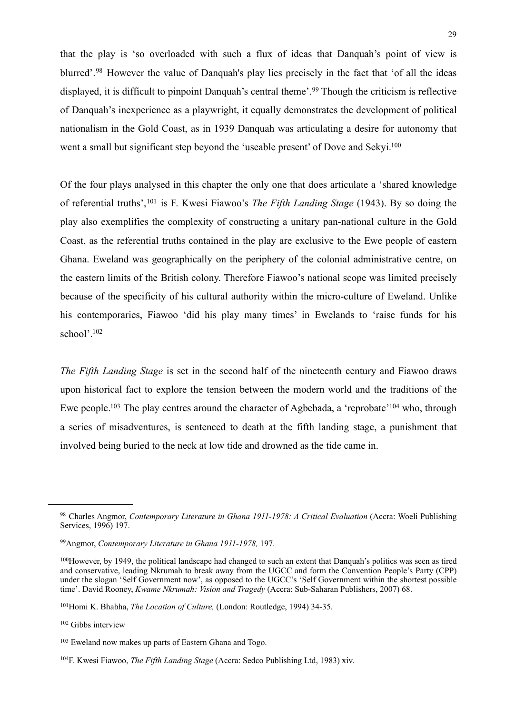that the play is 'so overloaded with such a flux of ideas that Danquah's point of view is blurred'.[98](#page-30-0) However the value of Danquah's play lies precisely in the fact that 'of all the ideas displayed, it is difficult to pinpoint Danquah's central theme'.[99](#page-30-1) Though the criticism is reflective of Danquah's inexperience as a playwright, it equally demonstrates the development of political nationalism in the Gold Coast, as in 1939 Danquah was articulating a desire for autonomy that went a small but significant step beyond the 'useable present' of Dove and Sekyi.<sup>100</sup>

Of the four plays analysed in this chapter the only one that does articulate a 'shared knowledge of referential truths',[101](#page-30-3) is F. Kwesi Fiawoo's *The Fifth Landing Stage* (1943). By so doing the play also exemplifies the complexity of constructing a unitary pan-national culture in the Gold Coast, as the referential truths contained in the play are exclusive to the Ewe people of eastern Ghana. Eweland was geographically on the periphery of the colonial administrative centre, on the eastern limits of the British colony. Therefore Fiawoo's national scope was limited precisely because of the specificity of his cultural authority within the micro-culture of Eweland. Unlike his contemporaries, Fiawoo 'did his play many times' in Ewelands to 'raise funds for his school'[.102](#page-30-4)

*The Fifth Landing Stage* is set in the second half of the nineteenth century and Fiawoo draws upon historical fact to explore the tension between the modern world and the traditions of the Ewe people.<sup>103</sup> The play centres around the character of Agbebada, a 'reprobate'<sup>104</sup> who, through a series of misadventures, is sentenced to death at the fifth landing stage, a punishment that involved being buried to the neck at low tide and drowned as the tide came in.

<span id="page-30-0"></span><sup>98</sup> Charles Angmor, *Contemporary Literature in Ghana 1911-1978: A Critical Evaluation* (Accra: Woeli Publishing Services, 1996) 197.

<span id="page-30-1"></span><sup>99</sup>Angmor, *Contemporary Literature in Ghana 1911-1978,* 197.

<span id="page-30-2"></span><sup>100</sup>However, by 1949, the political landscape had changed to such an extent that Danquah's politics was seen as tired and conservative, leading Nkrumah to break away from the UGCC and form the Convention People's Party (CPP) under the slogan 'Self Government now', as opposed to the UGCC's 'Self Government within the shortest possible time'. David Rooney, *Kwame Nkrumah: Vision and Tragedy* (Accra: Sub-Saharan Publishers, 2007) 68.

<span id="page-30-3"></span><sup>101</sup>Homi K. Bhabha, *The Location of Culture,* (London: Routledge, 1994) 34-35.

<span id="page-30-4"></span><sup>102</sup> Gibbs interview

<span id="page-30-5"></span><sup>103</sup> Eweland now makes up parts of Eastern Ghana and Togo.

<span id="page-30-6"></span><sup>104</sup>F. Kwesi Fiawoo, *The Fifth Landing Stage* (Accra: Sedco Publishing Ltd, 1983) xiv.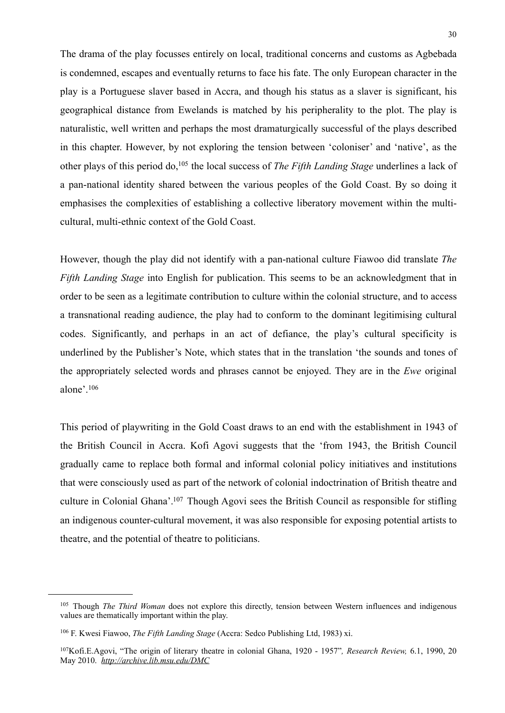The drama of the play focusses entirely on local, traditional concerns and customs as Agbebada is condemned, escapes and eventually returns to face his fate. The only European character in the play is a Portuguese slaver based in Accra, and though his status as a slaver is significant, his geographical distance from Ewelands is matched by his peripherality to the plot. The play is naturalistic, well written and perhaps the most dramaturgically successful of the plays described in this chapter. However, by not exploring the tension between 'coloniser' and 'native', as the other plays of this period do[,105](#page-31-0) the local success of *The Fifth Landing Stage* underlines a lack of a pan-national identity shared between the various peoples of the Gold Coast. By so doing it emphasises the complexities of establishing a collective liberatory movement within the multicultural, multi-ethnic context of the Gold Coast.

However, though the play did not identify with a pan-national culture Fiawoo did translate *The Fifth Landing Stage* into English for publication. This seems to be an acknowledgment that in order to be seen as a legitimate contribution to culture within the colonial structure, and to access a transnational reading audience, the play had to conform to the dominant legitimising cultural codes. Significantly, and perhaps in an act of defiance, the play's cultural specificity is underlined by the Publisher's Note, which states that in the translation 'the sounds and tones of the appropriately selected words and phrases cannot be enjoyed. They are in the *Ewe* original alone'.[106](#page-31-1)

This period of playwriting in the Gold Coast draws to an end with the establishment in 1943 of the British Council in Accra. Kofi Agovi suggests that the 'from 1943, the British Council gradually came to replace both formal and informal colonial policy initiatives and institutions that were consciously used as part of the network of colonial indoctrination of British theatre and culture in Colonial Ghana'[.107](#page-31-2) Though Agovi sees the British Council as responsible for stifling an indigenous counter-cultural movement, it was also responsible for exposing potential artists to theatre, and the potential of theatre to politicians.

<span id="page-31-0"></span><sup>105</sup> Though *The Third Woman* does not explore this directly, tension between Western influences and indigenous values are thematically important within the play.

<span id="page-31-1"></span><sup>106</sup> F. Kwesi Fiawoo, *The Fifth Landing Stage* (Accra: Sedco Publishing Ltd, 1983) xi.

<span id="page-31-2"></span><sup>107</sup>Kofi.E.Agovi, "The origin of literary theatre in colonial Ghana, 1920 - 1957"*, Research Review,* 6.1, 1990, 20 May 2010. *<http://archive.lib.msu.edu/DMC>*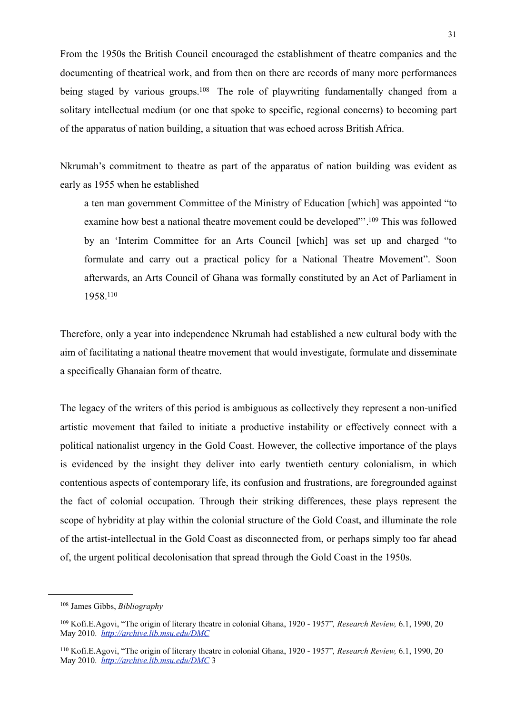From the 1950s the British Council encouraged the establishment of theatre companies and the documenting of theatrical work, and from then on there are records of many more performances being staged by various groups.<sup>108</sup> The role of playwriting fundamentally changed from a solitary intellectual medium (or one that spoke to specific, regional concerns) to becoming part of the apparatus of nation building, a situation that was echoed across British Africa.

Nkrumah's commitment to theatre as part of the apparatus of nation building was evident as early as 1955 when he established

a ten man government Committee of the Ministry of Education [which] was appointed "to examine how best a national theatre movement could be developed"'[.109](#page-32-1) This was followed by an 'Interim Committee for an Arts Council [which] was set up and charged "to formulate and carry out a practical policy for a National Theatre Movement". Soon afterwards, an Arts Council of Ghana was formally constituted by an Act of Parliament in 1958[.110](#page-32-2)

Therefore, only a year into independence Nkrumah had established a new cultural body with the aim of facilitating a national theatre movement that would investigate, formulate and disseminate a specifically Ghanaian form of theatre.

The legacy of the writers of this period is ambiguous as collectively they represent a non-unified artistic movement that failed to initiate a productive instability or effectively connect with a political nationalist urgency in the Gold Coast. However, the collective importance of the plays is evidenced by the insight they deliver into early twentieth century colonialism, in which contentious aspects of contemporary life, its confusion and frustrations, are foregrounded against the fact of colonial occupation. Through their striking differences, these plays represent the scope of hybridity at play within the colonial structure of the Gold Coast, and illuminate the role of the artist-intellectual in the Gold Coast as disconnected from, or perhaps simply too far ahead of, the urgent political decolonisation that spread through the Gold Coast in the 1950s.

<span id="page-32-0"></span><sup>108</sup> James Gibbs, *Bibliography*

<span id="page-32-1"></span><sup>109</sup> Kofi.E.Agovi, "The origin of literary theatre in colonial Ghana, 1920 - 1957"*, Research Review,* 6.1, 1990, 20 May 2010. *<http://archive.lib.msu.edu/DMC>*

<span id="page-32-2"></span><sup>110</sup> Kofi.E.Agovi, "The origin of literary theatre in colonial Ghana, 1920 - 1957"*, Research Review,* 6.1, 1990, 20 May 2010. *<http://archive.lib.msu.edu/DMC>* 3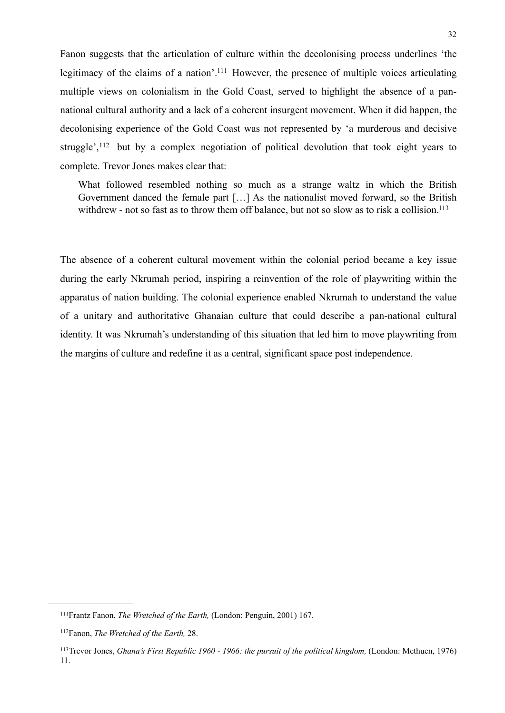Fanon suggests that the articulation of culture within the decolonising process underlines 'the legitimacy of the claims of a nation'.<sup>111</sup> However, the presence of multiple voices articulating multiple views on colonialism in the Gold Coast, served to highlight the absence of a pannational cultural authority and a lack of a coherent insurgent movement. When it did happen, the decolonising experience of the Gold Coast was not represented by 'a murderous and decisive struggle',<sup>112</sup> but by a complex negotiation of political devolution that took eight years to complete. Trevor Jones makes clear that:

 What followed resembled nothing so much as a strange waltz in which the British Government danced the female part […] As the nationalist moved forward, so the British withdrew - not so fast as to throw them off balance, but not so slow as to risk a collision.<sup>113</sup>

The absence of a coherent cultural movement within the colonial period became a key issue during the early Nkrumah period, inspiring a reinvention of the role of playwriting within the apparatus of nation building. The colonial experience enabled Nkrumah to understand the value of a unitary and authoritative Ghanaian culture that could describe a pan-national cultural identity. It was Nkrumah's understanding of this situation that led him to move playwriting from the margins of culture and redefine it as a central, significant space post independence.

<span id="page-33-0"></span><sup>111</sup>Frantz Fanon, *The Wretched of the Earth,* (London: Penguin, 2001) 167.

<span id="page-33-1"></span><sup>112</sup>Fanon, *The Wretched of the Earth,* 28.

<span id="page-33-2"></span><sup>113</sup>Trevor Jones, *Ghana's First Republic 1960 - 1966: the pursuit of the political kingdom,* (London: Methuen, 1976) 11.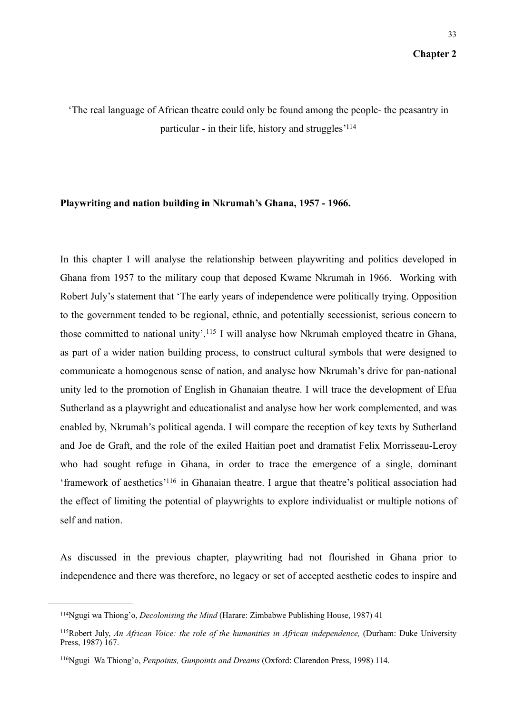'The real language of African theatre could only be found among the people- the peasantry in particular - in their life, history and struggles['114](#page-34-0)

## **Playwriting and nation building in Nkrumah's Ghana, 1957 - 1966.**

In this chapter I will analyse the relationship between playwriting and politics developed in Ghana from 1957 to the military coup that deposed Kwame Nkrumah in 1966. Working with Robert July's statement that 'The early years of independence were politically trying. Opposition to the government tended to be regional, ethnic, and potentially secessionist, serious concern to those committed to national unity'.[115](#page-34-1) I will analyse how Nkrumah employed theatre in Ghana, as part of a wider nation building process, to construct cultural symbols that were designed to communicate a homogenous sense of nation, and analyse how Nkrumah's drive for pan-national unity led to the promotion of English in Ghanaian theatre. I will trace the development of Efua Sutherland as a playwright and educationalist and analyse how her work complemented, and was enabled by, Nkrumah's political agenda. I will compare the reception of key texts by Sutherland and Joe de Graft, and the role of the exiled Haitian poet and dramatist Felix Morrisseau-Leroy who had sought refuge in Ghana, in order to trace the emergence of a single, dominant 'framework of aesthetics['116](#page-34-2) in Ghanaian theatre. I argue that theatre's political association had the effect of limiting the potential of playwrights to explore individualist or multiple notions of self and nation.

As discussed in the previous chapter, playwriting had not flourished in Ghana prior to independence and there was therefore, no legacy or set of accepted aesthetic codes to inspire and

<span id="page-34-0"></span><sup>114</sup>Ngugi wa Thiong'o, *Decolonising the Mind* (Harare: Zimbabwe Publishing House, 1987) 41

<span id="page-34-1"></span><sup>&</sup>lt;sup>115</sup>Robert July, *An African Voice: the role of the humanities in African independence*, (Durham: Duke University Press, 1987) 167.

<span id="page-34-2"></span><sup>116</sup>Ngugi Wa Thiong'o, *Penpoints, Gunpoints and Dreams* (Oxford: Clarendon Press, 1998) 114.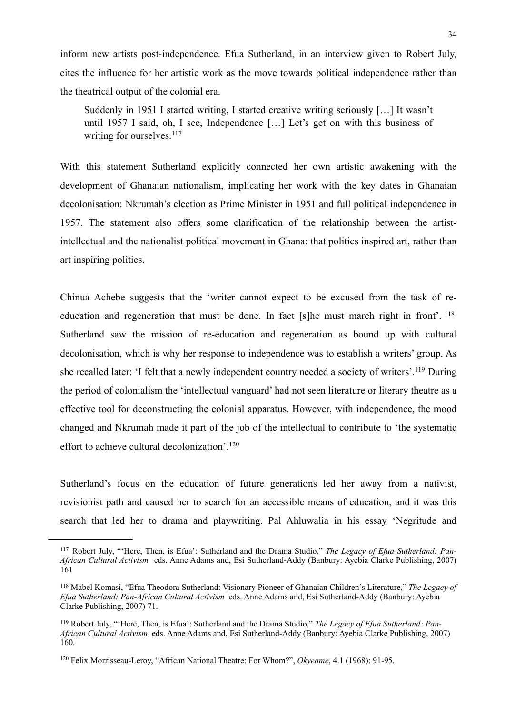inform new artists post-independence. Efua Sutherland, in an interview given to Robert July, cites the influence for her artistic work as the move towards political independence rather than the theatrical output of the colonial era.

Suddenly in 1951 I started writing, I started creative writing seriously […] It wasn't until 1957 I said, oh, I see, Independence […] Let's get on with this business of writing for ourselves.<sup>117</sup>

With this statement Sutherland explicitly connected her own artistic awakening with the development of Ghanaian nationalism, implicating her work with the key dates in Ghanaian decolonisation: Nkrumah's election as Prime Minister in 1951 and full political independence in 1957. The statement also offers some clarification of the relationship between the artistintellectual and the nationalist political movement in Ghana: that politics inspired art, rather than art inspiring politics.

Chinua Achebe suggests that the 'writer cannot expect to be excused from the task of reeducation and regeneration that must be done. In fact [s]he must march right in front'. [118](#page-35-1) Sutherland saw the mission of re-education and regeneration as bound up with cultural decolonisation, which is why her response to independence was to establish a writers' group. As she recalled later: 'I felt that a newly independent country needed a society of writers'[.119](#page-35-2) During the period of colonialism the 'intellectual vanguard' had not seen literature or literary theatre as a effective tool for deconstructing the colonial apparatus. However, with independence, the mood changed and Nkrumah made it part of the job of the intellectual to contribute to 'the systematic effort to achieve cultural decolonization'.[120](#page-35-3)

Sutherland's focus on the education of future generations led her away from a nativist, revisionist path and caused her to search for an accessible means of education, and it was this search that led her to drama and playwriting. Pal Ahluwalia in his essay 'Negritude and

<span id="page-35-0"></span><sup>117</sup> Robert July, "'Here, Then, is Efua': Sutherland and the Drama Studio," *The Legacy of Efua Sutherland: Pan-African Cultural Activism* eds. Anne Adams and, Esi Sutherland-Addy (Banbury: Ayebia Clarke Publishing, 2007) 161

<span id="page-35-1"></span><sup>118</sup> Mabel Komasi, "Efua Theodora Sutherland: Visionary Pioneer of Ghanaian Children's Literature," *The Legacy of Efua Sutherland: Pan-African Cultural Activism* eds. Anne Adams and, Esi Sutherland-Addy (Banbury: Ayebia Clarke Publishing, 2007) 71.

<span id="page-35-2"></span><sup>119</sup> Robert July, "'Here, Then, is Efua': Sutherland and the Drama Studio," *The Legacy of Efua Sutherland: Pan-African Cultural Activism* eds. Anne Adams and, Esi Sutherland-Addy (Banbury: Ayebia Clarke Publishing, 2007) 160.

<span id="page-35-3"></span><sup>120</sup> Felix Morrisseau-Leroy, "African National Theatre: For Whom?", *Okyeame*, 4.1 (1968): 91-95.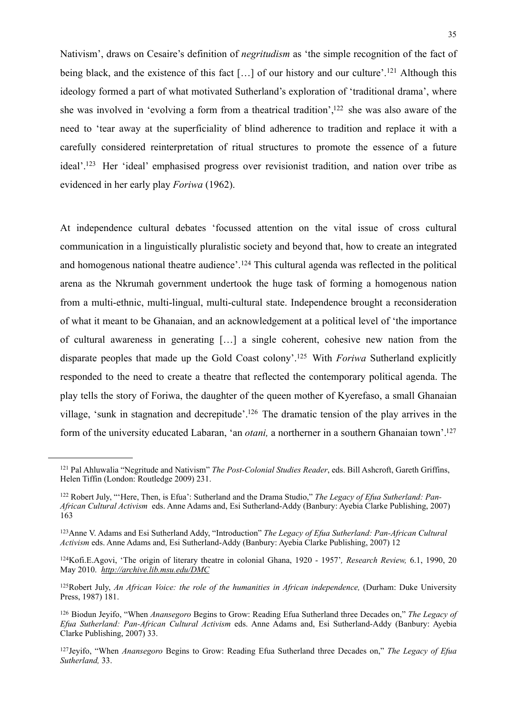Nativism', draws on Cesaire's definition of *negritudism* as 'the simple recognition of the fact of being black, and the existence of this fact  $[\,\ldots]$  of our history and our culture'.<sup>121</sup> Although this ideology formed a part of what motivated Sutherland's exploration of 'traditional drama', where she was involved in 'evolving a form from a theatrical tradition', $122$  she was also aware of the need to 'tear away at the superficiality of blind adherence to tradition and replace it with a carefully considered reinterpretation of ritual structures to promote the essence of a future ideal'. [123](#page-36-2) Her 'ideal' emphasised progress over revisionist tradition, and nation over tribe as evidenced in her early play *Foriwa* (1962).

At independence cultural debates 'focussed attention on the vital issue of cross cultural communication in a linguistically pluralistic society and beyond that, how to create an integrated and homogenous national theatre audience'.[124](#page-36-3) This cultural agenda was reflected in the political arena as the Nkrumah government undertook the huge task of forming a homogenous nation from a multi-ethnic, multi-lingual, multi-cultural state. Independence brought a reconsideration of what it meant to be Ghanaian, and an acknowledgement at a political level of 'the importance of cultural awareness in generating […] a single coherent, cohesive new nation from the disparate peoples that made up the Gold Coast colony'.[125](#page-36-4) With *Foriwa* Sutherland explicitly responded to the need to create a theatre that reflected the contemporary political agenda. The play tells the story of Foriwa, the daughter of the queen mother of Kyerefaso, a small Ghanaian village, 'sunk in stagnation and decrepitude'[.126](#page-36-5) The dramatic tension of the play arrives in the form of the university educated Labaran, 'an *otani,* a northerner in a southern Ghanaian town'[.127](#page-36-6)

<span id="page-36-0"></span><sup>121</sup> Pal Ahluwalia "Negritude and Nativism" *The Post-Colonial Studies Reader*, eds. Bill Ashcroft, Gareth Griffins, Helen Tiffin (London: Routledge 2009) 231.

<span id="page-36-1"></span><sup>122</sup> Robert July, "'Here, Then, is Efua': Sutherland and the Drama Studio," *The Legacy of Efua Sutherland: Pan-African Cultural Activism* eds. Anne Adams and, Esi Sutherland-Addy (Banbury: Ayebia Clarke Publishing, 2007) 163

<span id="page-36-2"></span><sup>123</sup>Anne V. Adams and Esi Sutherland Addy, "Introduction" *The Legacy of Efua Sutherland: Pan-African Cultural Activism* eds. Anne Adams and, Esi Sutherland-Addy (Banbury: Ayebia Clarke Publishing, 2007) 12

<span id="page-36-3"></span><sup>124</sup>Kofi.E.Agovi, 'The origin of literary theatre in colonial Ghana, 1920 - 1957'*, Research Review,* 6.1, 1990, 20 May 2010. *<http://archive.lib.msu.edu/DMC>*

<span id="page-36-4"></span><sup>&</sup>lt;sup>125</sup>Robert July, *An African Voice: the role of the humanities in African independence*, (Durham: Duke University Press, 1987) 181.

<span id="page-36-5"></span><sup>126</sup> Biodun Jeyifo, "When *Anansegoro* Begins to Grow: Reading Efua Sutherland three Decades on," *The Legacy of Efua Sutherland: Pan-African Cultural Activism* eds. Anne Adams and, Esi Sutherland-Addy (Banbury: Ayebia Clarke Publishing, 2007) 33.

<span id="page-36-6"></span><sup>127</sup>Jeyifo, "When *Anansegoro* Begins to Grow: Reading Efua Sutherland three Decades on," *The Legacy of Efua Sutherland,* 33.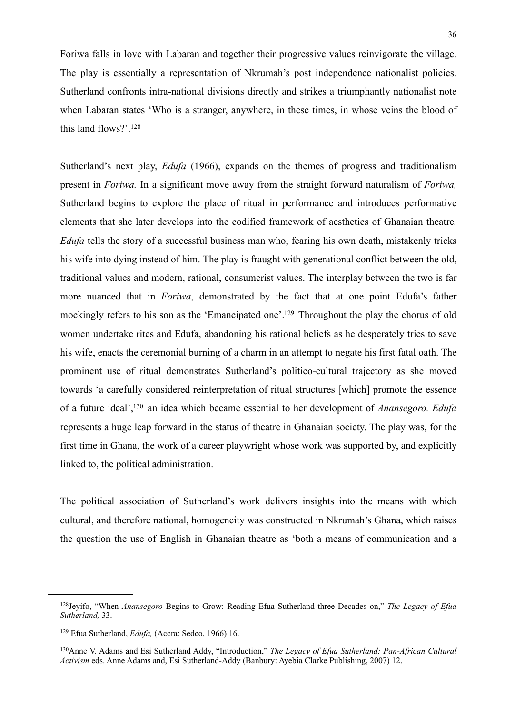Foriwa falls in love with Labaran and together their progressive values reinvigorate the village. The play is essentially a representation of Nkrumah's post independence nationalist policies. Sutherland confronts intra-national divisions directly and strikes a triumphantly nationalist note when Labaran states 'Who is a stranger, anywhere, in these times, in whose veins the blood of this land flows?'.[128](#page-37-0)

Sutherland's next play, *Edufa* (1966), expands on the themes of progress and traditionalism present in *Foriwa.* In a significant move away from the straight forward naturalism of *Foriwa,*  Sutherland begins to explore the place of ritual in performance and introduces performative elements that she later develops into the codified framework of aesthetics of Ghanaian theatre*. Edufa* tells the story of a successful business man who, fearing his own death, mistakenly tricks his wife into dying instead of him. The play is fraught with generational conflict between the old, traditional values and modern, rational, consumerist values. The interplay between the two is far more nuanced that in *Foriwa*, demonstrated by the fact that at one point Edufa's father mockingly refers to his son as the 'Emancipated one'.<sup>129</sup> Throughout the play the chorus of old women undertake rites and Edufa, abandoning his rational beliefs as he desperately tries to save his wife, enacts the ceremonial burning of a charm in an attempt to negate his first fatal oath. The prominent use of ritual demonstrates Sutherland's politico-cultural trajectory as she moved towards 'a carefully considered reinterpretation of ritual structures [which] promote the essence of a future ideal'[,130](#page-37-2) an idea which became essential to her development of *Anansegoro. Edufa*  represents a huge leap forward in the status of theatre in Ghanaian society. The play was, for the first time in Ghana, the work of a career playwright whose work was supported by, and explicitly linked to, the political administration.

The political association of Sutherland's work delivers insights into the means with which cultural, and therefore national, homogeneity was constructed in Nkrumah's Ghana, which raises the question the use of English in Ghanaian theatre as 'both a means of communication and a

<span id="page-37-0"></span><sup>128</sup>Jeyifo, "When *Anansegoro* Begins to Grow: Reading Efua Sutherland three Decades on," *The Legacy of Efua Sutherland,* 33.

<span id="page-37-1"></span><sup>129</sup> Efua Sutherland, *Edufa,* (Accra: Sedco, 1966) 16.

<span id="page-37-2"></span><sup>130</sup>Anne V. Adams and Esi Sutherland Addy, "Introduction," *The Legacy of Efua Sutherland: Pan-African Cultural Activism* eds. Anne Adams and, Esi Sutherland-Addy (Banbury: Ayebia Clarke Publishing, 2007) 12.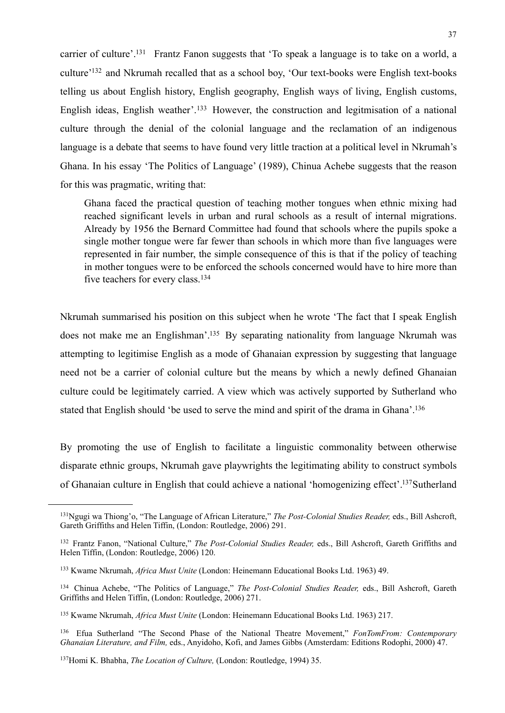carrier of culture'[.131](#page-38-0) Frantz Fanon suggests that 'To speak a language is to take on a world, a culture['132](#page-38-1) and Nkrumah recalled that as a school boy, 'Our text-books were English text-books telling us about English history, English geography, English ways of living, English customs, English ideas, English weather'.[133](#page-38-2) However, the construction and legitmisation of a national culture through the denial of the colonial language and the reclamation of an indigenous language is a debate that seems to have found very little traction at a political level in Nkrumah's Ghana. In his essay 'The Politics of Language' (1989), Chinua Achebe suggests that the reason for this was pragmatic, writing that:

Ghana faced the practical question of teaching mother tongues when ethnic mixing had reached significant levels in urban and rural schools as a result of internal migrations. Already by 1956 the Bernard Committee had found that schools where the pupils spoke a single mother tongue were far fewer than schools in which more than five languages were represented in fair number, the simple consequence of this is that if the policy of teaching in mother tongues were to be enforced the schools concerned would have to hire more than five teachers for every class[.134](#page-38-3)

Nkrumah summarised his position on this subject when he wrote 'The fact that I speak English does not make me an Englishman'[.135](#page-38-4) By separating nationality from language Nkrumah was attempting to legitimise English as a mode of Ghanaian expression by suggesting that language need not be a carrier of colonial culture but the means by which a newly defined Ghanaian culture could be legitimately carried. A view which was actively supported by Sutherland who stated that English should 'be used to serve the mind and spirit of the drama in Ghana'[.136](#page-38-5)

By promoting the use of English to facilitate a linguistic commonality between otherwise disparate ethnic groups, Nkrumah gave playwrights the legitimating ability to construct symbols of Ghanaian culture in English that could achieve a national 'homogenizing effect'[.137](#page-38-6)Sutherland

<span id="page-38-0"></span><sup>131</sup>Ngugi wa Thiong'o, "The Language of African Literature," *The Post-Colonial Studies Reader,* eds., Bill Ashcroft, Gareth Griffiths and Helen Tiffin, (London: Routledge, 2006) 291.

<span id="page-38-1"></span><sup>132</sup> Frantz Fanon, "National Culture," *The Post-Colonial Studies Reader,* eds., Bill Ashcroft, Gareth Griffiths and Helen Tiffin, (London: Routledge, 2006) 120.

<span id="page-38-2"></span><sup>133</sup> Kwame Nkrumah, *Africa Must Unite* (London: Heinemann Educational Books Ltd. 1963) 49.

<span id="page-38-3"></span><sup>134</sup> Chinua Achebe, "The Politics of Language," *The Post-Colonial Studies Reader,* eds., Bill Ashcroft, Gareth Griffiths and Helen Tiffin, (London: Routledge, 2006) 271.

<span id="page-38-4"></span><sup>135</sup> Kwame Nkrumah, *Africa Must Unite* (London: Heinemann Educational Books Ltd. 1963) 217.

<span id="page-38-5"></span><sup>136</sup> Efua Sutherland "The Second Phase of the National Theatre Movement," *FonTomFrom: Contemporary Ghanaian Literature, and Film,* eds., Anyidoho, Kofi, and James Gibbs (Amsterdam: Editions Rodophi, 2000) 47.

<span id="page-38-6"></span><sup>137</sup>Homi K. Bhabha, *The Location of Culture,* (London: Routledge, 1994) 35.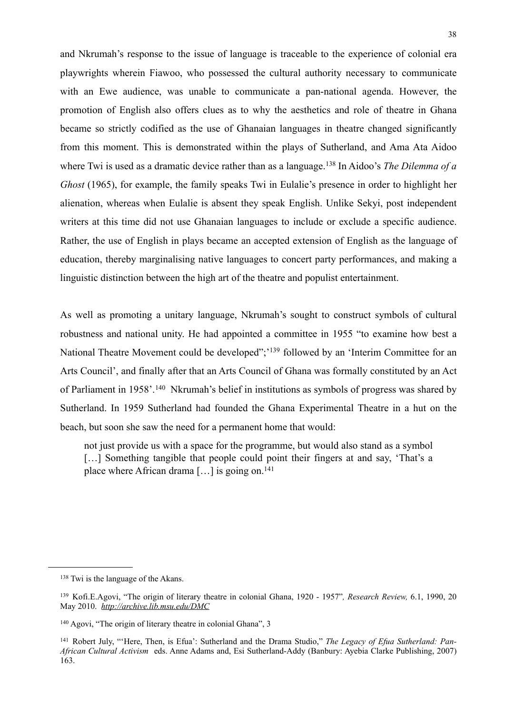and Nkrumah's response to the issue of language is traceable to the experience of colonial era playwrights wherein Fiawoo, who possessed the cultural authority necessary to communicate with an Ewe audience, was unable to communicate a pan-national agenda. However, the promotion of English also offers clues as to why the aesthetics and role of theatre in Ghana became so strictly codified as the use of Ghanaian languages in theatre changed significantly from this moment. This is demonstrated within the plays of Sutherland, and Ama Ata Aidoo where Twi is used as a dramatic device rather than as a language.[138](#page-39-0) In Aidoo's *The Dilemma of a Ghost* (1965), for example, the family speaks Twi in Eulalie's presence in order to highlight her alienation, whereas when Eulalie is absent they speak English. Unlike Sekyi, post independent writers at this time did not use Ghanaian languages to include or exclude a specific audience. Rather, the use of English in plays became an accepted extension of English as the language of education, thereby marginalising native languages to concert party performances, and making a linguistic distinction between the high art of the theatre and populist entertainment.

As well as promoting a unitary language, Nkrumah's sought to construct symbols of cultural robustness and national unity. He had appointed a committee in 1955 "to examine how best a National Theatre Movement could be developed";<sup>139</sup> followed by an 'Interim Committee for an Arts Council', and finally after that an Arts Council of Ghana was formally constituted by an Act of Parliament in 1958'.[140](#page-39-2) Nkrumah's belief in institutions as symbols of progress was shared by Sutherland. In 1959 Sutherland had founded the Ghana Experimental Theatre in a hut on the beach, but soon she saw the need for a permanent home that would:

not just provide us with a space for the programme, but would also stand as a symbol [...] Something tangible that people could point their fingers at and say, 'That's a place where African drama  $[\dots]$  is going on.<sup>141</sup>

<span id="page-39-0"></span><sup>138</sup> Twi is the language of the Akans.

<span id="page-39-1"></span><sup>139</sup> Kofi.E.Agovi, "The origin of literary theatre in colonial Ghana, 1920 - 1957"*, Research Review,* 6.1, 1990, 20 May 2010. *<http://archive.lib.msu.edu/DMC>*

<span id="page-39-2"></span><sup>140</sup> Agovi, "The origin of literary theatre in colonial Ghana", 3

<span id="page-39-3"></span><sup>141</sup> Robert July, "'Here, Then, is Efua': Sutherland and the Drama Studio," *The Legacy of Efua Sutherland: Pan-African Cultural Activism* eds. Anne Adams and, Esi Sutherland-Addy (Banbury: Ayebia Clarke Publishing, 2007) 163.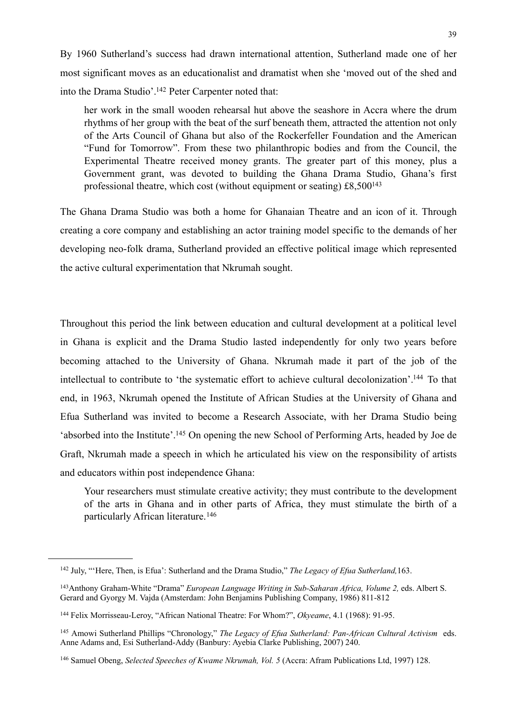By 1960 Sutherland's success had drawn international attention, Sutherland made one of her most significant moves as an educationalist and dramatist when she 'moved out of the shed and into the Drama Studio'[.142](#page-40-0) Peter Carpenter noted that:

her work in the small wooden rehearsal hut above the seashore in Accra where the drum rhythms of her group with the beat of the surf beneath them, attracted the attention not only of the Arts Council of Ghana but also of the Rockerfeller Foundation and the American "Fund for Tomorrow". From these two philanthropic bodies and from the Council, the Experimental Theatre received money grants. The greater part of this money, plus a Government grant, was devoted to building the Ghana Drama Studio, Ghana's first professional theatre, which cost (without equipment or seating) £8,50[0143](#page-40-1)

The Ghana Drama Studio was both a home for Ghanaian Theatre and an icon of it. Through creating a core company and establishing an actor training model specific to the demands of her developing neo-folk drama, Sutherland provided an effective political image which represented the active cultural experimentation that Nkrumah sought.

Throughout this period the link between education and cultural development at a political level in Ghana is explicit and the Drama Studio lasted independently for only two years before becoming attached to the University of Ghana. Nkrumah made it part of the job of the intellectual to contribute to 'the systematic effort to achieve cultural decolonization'[.144](#page-40-2) To that end, in 1963, Nkrumah opened the Institute of African Studies at the University of Ghana and Efua Sutherland was invited to become a Research Associate, with her Drama Studio being 'absorbed into the Institute'[.145](#page-40-3) On opening the new School of Performing Arts, headed by Joe de Graft, Nkrumah made a speech in which he articulated his view on the responsibility of artists and educators within post independence Ghana:

Your researchers must stimulate creative activity; they must contribute to the development of the arts in Ghana and in other parts of Africa, they must stimulate the birth of a particularly African literature.[146](#page-40-4)

<span id="page-40-0"></span><sup>142</sup> July, "'Here, Then, is Efua': Sutherland and the Drama Studio," *The Legacy of Efua Sutherland,*163.

<span id="page-40-1"></span><sup>&</sup>lt;sup>143</sup> Anthony Graham-White "Drama" *European Language Writing in Sub-Saharan Africa, Volume 2, eds. Albert S.* Gerard and Gyorgy M. Vajda (Amsterdam: John Benjamins Publishing Company, 1986) 811-812

<span id="page-40-2"></span><sup>144</sup> Felix Morrisseau-Leroy, "African National Theatre: For Whom?", *Okyeame*, 4.1 (1968): 91-95.

<span id="page-40-3"></span><sup>145</sup> Amowi Sutherland Phillips "Chronology," *The Legacy of Efua Sutherland: Pan-African Cultural Activism* eds. Anne Adams and, Esi Sutherland-Addy (Banbury: Ayebia Clarke Publishing, 2007) 240.

<span id="page-40-4"></span><sup>146</sup> Samuel Obeng, *Selected Speeches of Kwame Nkrumah, Vol. 5* (Accra: Afram Publications Ltd, 1997) 128.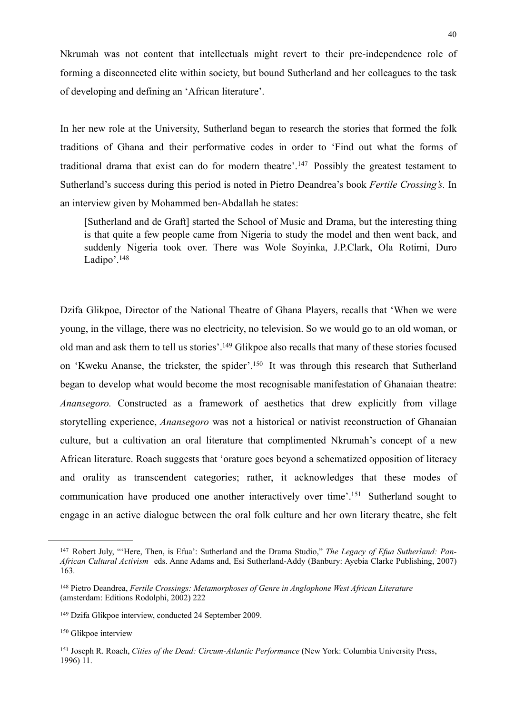Nkrumah was not content that intellectuals might revert to their pre-independence role of forming a disconnected elite within society, but bound Sutherland and her colleagues to the task of developing and defining an 'African literature'.

In her new role at the University, Sutherland began to research the stories that formed the folk traditions of Ghana and their performative codes in order to 'Find out what the forms of traditional drama that exist can do for modern theatre'.[147](#page-41-0) Possibly the greatest testament to Sutherland's success during this period is noted in Pietro Deandrea's book *Fertile Crossing's.* In an interview given by Mohammed ben-Abdallah he states:

[Sutherland and de Graft] started the School of Music and Drama, but the interesting thing is that quite a few people came from Nigeria to study the model and then went back, and suddenly Nigeria took over. There was Wole Soyinka, J.P.Clark, Ola Rotimi, Duro Ladipo'.<sup>148</sup>

Dzifa Glikpoe, Director of the National Theatre of Ghana Players, recalls that 'When we were young, in the village, there was no electricity, no television. So we would go to an old woman, or old man and ask them to tell us stories'[.149](#page-41-2) Glikpoe also recalls that many of these stories focused on 'Kweku Ananse, the trickster, the spider'[.150](#page-41-3) It was through this research that Sutherland began to develop what would become the most recognisable manifestation of Ghanaian theatre: *Anansegoro.* Constructed as a framework of aesthetics that drew explicitly from village storytelling experience, *Anansegoro* was not a historical or nativist reconstruction of Ghanaian culture, but a cultivation an oral literature that complimented Nkrumah's concept of a new African literature. Roach suggests that 'orature goes beyond a schematized opposition of literacy and orality as transcendent categories; rather, it acknowledges that these modes of communication have produced one another interactively over time'[.151](#page-41-4) Sutherland sought to engage in an active dialogue between the oral folk culture and her own literary theatre, she felt

<span id="page-41-0"></span><sup>147</sup> Robert July, "'Here, Then, is Efua': Sutherland and the Drama Studio," *The Legacy of Efua Sutherland: Pan-African Cultural Activism* eds. Anne Adams and, Esi Sutherland-Addy (Banbury: Ayebia Clarke Publishing, 2007) 163.

<span id="page-41-1"></span><sup>148</sup> Pietro Deandrea, *Fertile Crossings: Metamorphoses of Genre in Anglophone West African Literature*  (amsterdam: Editions Rodolphi, 2002) 222

<span id="page-41-2"></span><sup>149</sup> Dzifa Glikpoe interview, conducted 24 September 2009.

<span id="page-41-3"></span><sup>150</sup> Glikpoe interview

<span id="page-41-4"></span><sup>151</sup> Joseph R. Roach, *Cities of the Dead: Circum-Atlantic Performance* (New York: Columbia University Press, 1996) 11.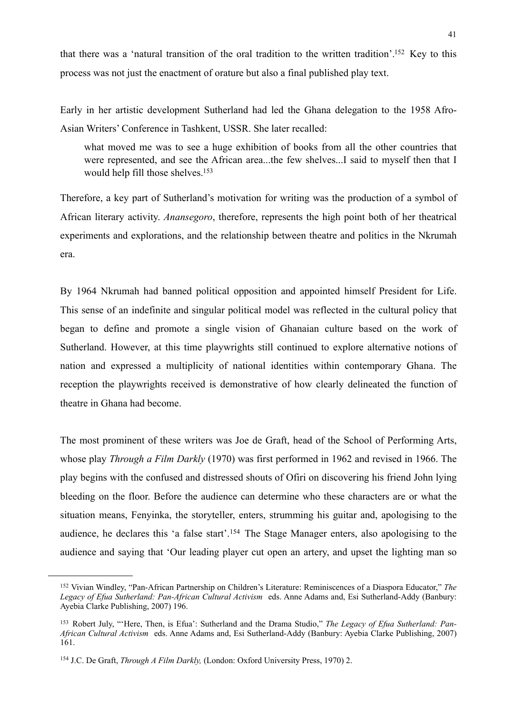that there was a 'natural transition of the oral tradition to the written tradition'[.152](#page-42-0) Key to this process was not just the enactment of orature but also a final published play text.

Early in her artistic development Sutherland had led the Ghana delegation to the 1958 Afro-Asian Writers' Conference in Tashkent, USSR. She later recalled:

what moved me was to see a huge exhibition of books from all the other countries that were represented, and see the African area...the few shelves...I said to myself then that I would help fill those shelves.<sup>153</sup>

Therefore, a key part of Sutherland's motivation for writing was the production of a symbol of African literary activity. *Anansegoro*, therefore, represents the high point both of her theatrical experiments and explorations, and the relationship between theatre and politics in the Nkrumah era.

By 1964 Nkrumah had banned political opposition and appointed himself President for Life. This sense of an indefinite and singular political model was reflected in the cultural policy that began to define and promote a single vision of Ghanaian culture based on the work of Sutherland. However, at this time playwrights still continued to explore alternative notions of nation and expressed a multiplicity of national identities within contemporary Ghana. The reception the playwrights received is demonstrative of how clearly delineated the function of theatre in Ghana had become.

The most prominent of these writers was Joe de Graft, head of the School of Performing Arts, whose play *Through a Film Darkly* (1970) was first performed in 1962 and revised in 1966. The play begins with the confused and distressed shouts of Ofiri on discovering his friend John lying bleeding on the floor. Before the audience can determine who these characters are or what the situation means, Fenyinka, the storyteller, enters, strumming his guitar and, apologising to the audience, he declares this 'a false start'.[154](#page-42-2) The Stage Manager enters, also apologising to the audience and saying that 'Our leading player cut open an artery, and upset the lighting man so

<span id="page-42-0"></span><sup>152</sup> Vivian Windley, "Pan-African Partnership on Children's Literature: Reminiscences of a Diaspora Educator," *The Legacy of Efua Sutherland: Pan-African Cultural Activism* eds. Anne Adams and, Esi Sutherland-Addy (Banbury: Ayebia Clarke Publishing, 2007) 196.

<span id="page-42-1"></span><sup>153</sup> Robert July, "'Here, Then, is Efua': Sutherland and the Drama Studio," *The Legacy of Efua Sutherland: Pan-African Cultural Activism* eds. Anne Adams and, Esi Sutherland-Addy (Banbury: Ayebia Clarke Publishing, 2007) 161.

<span id="page-42-2"></span><sup>154</sup> J.C. De Graft, *Through A Film Darkly,* (London: Oxford University Press, 1970) 2.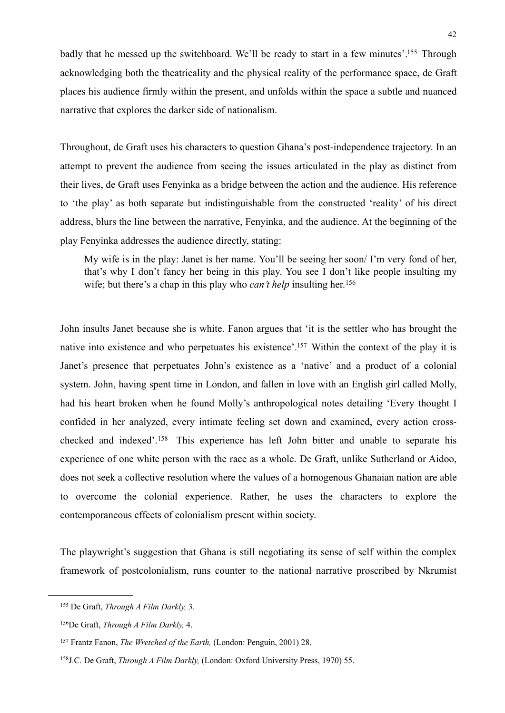badly that he messed up the switchboard. We'll be ready to start in a few minutes'.<sup>155</sup> Through acknowledging both the theatricality and the physical reality of the performance space, de Graft places his audience firmly within the present, and unfolds within the space a subtle and nuanced narrative that explores the darker side of nationalism.

Throughout, de Graft uses his characters to question Ghana's post-independence trajectory. In an attempt to prevent the audience from seeing the issues articulated in the play as distinct from their lives, de Graft uses Fenyinka as a bridge between the action and the audience. His reference to 'the play' as both separate but indistinguishable from the constructed 'reality' of his direct address, blurs the line between the narrative, Fenyinka, and the audience. At the beginning of the play Fenyinka addresses the audience directly, stating:

My wife is in the play: Janet is her name. You'll be seeing her soon/ I'm very fond of her, that's why I don't fancy her being in this play. You see I don't like people insulting my wife; but there's a chap in this play who *can't help* insulting her.<sup>[156](#page-43-1)</sup>

John insults Janet because she is white. Fanon argues that 'it is the settler who has brought the native into existence and who perpetuates his existence'[.157](#page-43-2) Within the context of the play it is Janet's presence that perpetuates John's existence as a 'native' and a product of a colonial system. John, having spent time in London, and fallen in love with an English girl called Molly, had his heart broken when he found Molly's anthropological notes detailing 'Every thought I confided in her analyzed, every intimate feeling set down and examined, every action crosschecked and indexed'.[158](#page-43-3) This experience has left John bitter and unable to separate his experience of one white person with the race as a whole. De Graft, unlike Sutherland or Aidoo, does not seek a collective resolution where the values of a homogenous Ghanaian nation are able to overcome the colonial experience. Rather, he uses the characters to explore the contemporaneous effects of colonialism present within society.

The playwright's suggestion that Ghana is still negotiating its sense of self within the complex framework of postcolonialism, runs counter to the national narrative proscribed by Nkrumist

<span id="page-43-0"></span><sup>155</sup> De Graft, *Through A Film Darkly,* 3.

<span id="page-43-1"></span><sup>156</sup>De Graft, *Through A Film Darkly,* 4.

<span id="page-43-2"></span><sup>157</sup> Frantz Fanon, *The Wretched of the Earth,* (London: Penguin, 2001) 28.

<span id="page-43-3"></span><sup>158</sup>J.C. De Graft, *Through A Film Darkly,* (London: Oxford University Press, 1970) 55.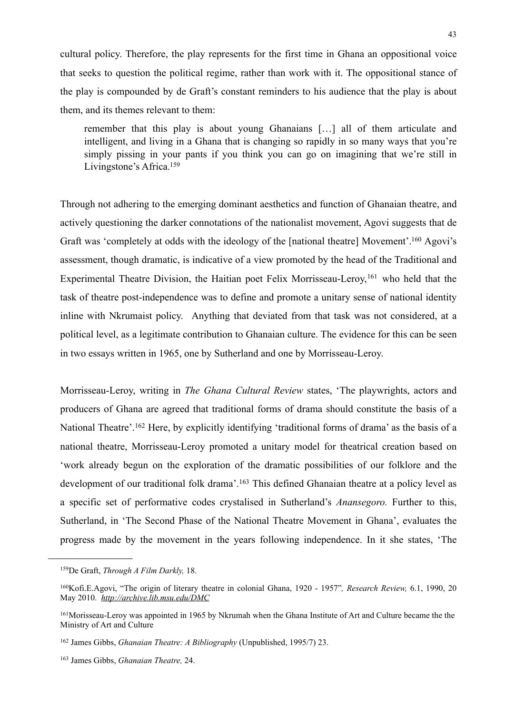cultural policy. Therefore, the play represents for the first time in Ghana an oppositional voice that seeks to question the political regime, rather than work with it. The oppositional stance of the play is compounded by de Graft's constant reminders to his audience that the play is about them, and its themes relevant to them:

remember that this play is about young Ghanaians […] all of them articulate and intelligent, and living in a Ghana that is changing so rapidly in so many ways that you're simply pissing in your pants if you think you can go on imagining that we're still in Livingstone's Africa[.159](#page-44-0)

Through not adhering to the emerging dominant aesthetics and function of Ghanaian theatre, and actively questioning the darker connotations of the nationalist movement, Agovi suggests that de Graft was 'completely at odds with the ideology of the [national theatre] Movement'[.160](#page-44-1) Agovi's assessment, though dramatic, is indicative of a view promoted by the head of the Traditional and Experimental Theatre Division, the Haitian poet Felix Morrisseau-Leroy, <sup>161</sup> who held that the task of theatre post-independence was to define and promote a unitary sense of national identity inline with Nkrumaist policy. Anything that deviated from that task was not considered, at a political level, as a legitimate contribution to Ghanaian culture. The evidence for this can be seen in two essays written in 1965, one by Sutherland and one by Morrisseau-Leroy.

Morrisseau-Leroy, writing in *The Ghana Cultural Review* states, 'The playwrights, actors and producers of Ghana are agreed that traditional forms of drama should constitute the basis of a National Theatre'[.162](#page-44-3) Here, by explicitly identifying 'traditional forms of drama' as the basis of a national theatre, Morrisseau-Leroy promoted a unitary model for theatrical creation based on 'work already begun on the exploration of the dramatic possibilities of our folklore and the development of our traditional folk drama'.<sup>163</sup> This defined Ghanaian theatre at a policy level as a specific set of performative codes crystalised in Sutherland's *Anansegoro.* Further to this, Sutherland, in 'The Second Phase of the National Theatre Movement in Ghana', evaluates the progress made by the movement in the years following independence. In it she states, 'The

<span id="page-44-0"></span><sup>159</sup>De Graft, *Through A Film Darkly,* 18.

<span id="page-44-1"></span><sup>160</sup>Kofi.E.Agovi, "The origin of literary theatre in colonial Ghana, 1920 - 1957"*, Research Review,* 6.1, 1990, 20 May 2010. *<http://archive.lib.msu.edu/DMC>*

<span id="page-44-2"></span><sup>161</sup>Morisseau-Leroy was appointed in 1965 by Nkrumah when the Ghana Institute of Art and Culture became the the Ministry of Art and Culture

<span id="page-44-3"></span><sup>162</sup> James Gibbs, *Ghanaian Theatre: A Bibliography* (Unpublished, 1995/7) 23.

<span id="page-44-4"></span><sup>163</sup> James Gibbs, *Ghanaian Theatre,* 24.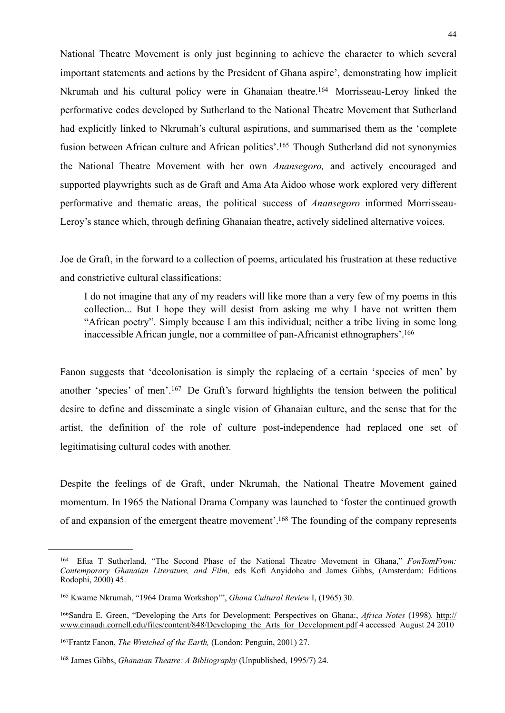National Theatre Movement is only just beginning to achieve the character to which several important statements and actions by the President of Ghana aspire', demonstrating how implicit Nkrumah and his cultural policy were in Ghanaian theatre.[164](#page-45-0) Morrisseau-Leroy linked the performative codes developed by Sutherland to the National Theatre Movement that Sutherland had explicitly linked to Nkrumah's cultural aspirations, and summarised them as the 'complete fusion between African culture and African politics'.<sup>165</sup> Though Sutherland did not synonymies the National Theatre Movement with her own *Anansegoro,* and actively encouraged and supported playwrights such as de Graft and Ama Ata Aidoo whose work explored very different performative and thematic areas, the political success of *Anansegoro* informed Morrisseau-Leroy's stance which, through defining Ghanaian theatre, actively sidelined alternative voices.

Joe de Graft, in the forward to a collection of poems, articulated his frustration at these reductive and constrictive cultural classifications:

I do not imagine that any of my readers will like more than a very few of my poems in this collection... But I hope they will desist from asking me why I have not written them "African poetry". Simply because I am this individual; neither a tribe living in some long inaccessible African jungle, nor a committee of pan-Africanist ethnographers'[.166](#page-45-2)

Fanon suggests that 'decolonisation is simply the replacing of a certain 'species of men' by another 'species' of men'.[167](#page-45-3) De Graft's forward highlights the tension between the political desire to define and disseminate a single vision of Ghanaian culture, and the sense that for the artist, the definition of the role of culture post-independence had replaced one set of legitimatising cultural codes with another.

Despite the feelings of de Graft, under Nkrumah, the National Theatre Movement gained momentum. In 1965 the National Drama Company was launched to 'foster the continued growth of and expansion of the emergent theatre movement'[.168](#page-45-4) The founding of the company represents

<span id="page-45-0"></span><sup>164</sup> Efua T Sutherland, "The Second Phase of the National Theatre Movement in Ghana," *FonTomFrom: Contemporary Ghanaian Literature, and Film,* eds Kofi Anyidoho and James Gibbs, (Amsterdam: Editions Rodophi, 2000) 45.

<span id="page-45-1"></span><sup>165</sup> Kwame Nkrumah, "1964 Drama Workshop'", *Ghana Cultural Review* I, (1965) 30.

<span id="page-45-2"></span><sup>166</sup>Sandra E. Green, "Developing the Arts for Development: Perspectives on Ghana:, *Africa Notes* (1998)*.* [http://](http://www.einaudi.cornell.edu/files/content/848/Developing_the_Arts_for_Development.pdf) [www.einaudi.cornell.edu/files/content/848/Developing\\_the\\_Arts\\_for\\_Development.pdf](http://www.einaudi.cornell.edu/files/content/848/Developing_the_Arts_for_Development.pdf) 4 accessed August 24 2010

<span id="page-45-3"></span><sup>167</sup>Frantz Fanon, *The Wretched of the Earth,* (London: Penguin, 2001) 27.

<span id="page-45-4"></span><sup>168</sup> James Gibbs, *Ghanaian Theatre: A Bibliography* (Unpublished, 1995/7) 24.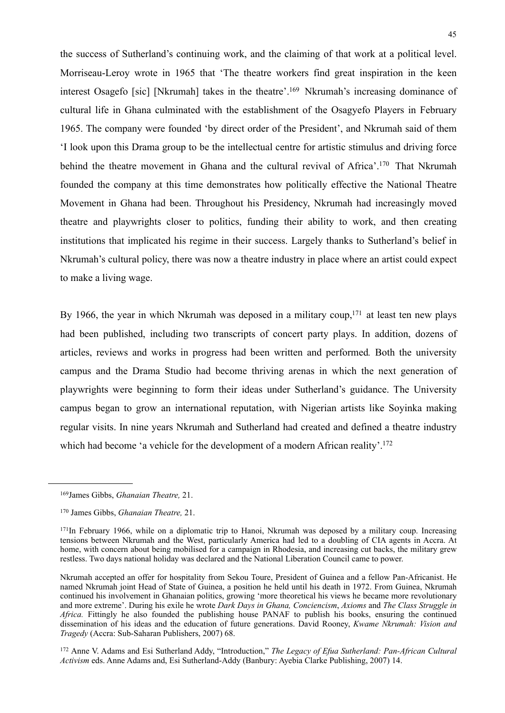the success of Sutherland's continuing work, and the claiming of that work at a political level. Morriseau-Leroy wrote in 1965 that 'The theatre workers find great inspiration in the keen interest Osagefo [sic] [Nkrumah] takes in the theatre'[.169](#page-46-0) Nkrumah's increasing dominance of cultural life in Ghana culminated with the establishment of the Osagyefo Players in February 1965. The company were founded 'by direct order of the President', and Nkrumah said of them 'I look upon this Drama group to be the intellectual centre for artistic stimulus and driving force behind the theatre movement in Ghana and the cultural revival of Africa'[.170](#page-46-1) That Nkrumah founded the company at this time demonstrates how politically effective the National Theatre Movement in Ghana had been. Throughout his Presidency, Nkrumah had increasingly moved theatre and playwrights closer to politics, funding their ability to work, and then creating institutions that implicated his regime in their success. Largely thanks to Sutherland's belief in Nkrumah's cultural policy, there was now a theatre industry in place where an artist could expect to make a living wage.

By 1966, the year in which Nkrumah was deposed in a military coup,<sup>171</sup> at least ten new plays had been published, including two transcripts of concert party plays. In addition, dozens of articles, reviews and works in progress had been written and performed*.* Both the university campus and the Drama Studio had become thriving arenas in which the next generation of playwrights were beginning to form their ideas under Sutherland's guidance. The University campus began to grow an international reputation, with Nigerian artists like Soyinka making regular visits. In nine years Nkrumah and Sutherland had created and defined a theatre industry which had become 'a vehicle for the development of a modern African reality'.<sup>172</sup>

<span id="page-46-3"></span>172 Anne V. Adams and Esi Sutherland Addy, "Introduction," *The Legacy of Efua Sutherland: Pan-African Cultural Activism* eds. Anne Adams and, Esi Sutherland-Addy (Banbury: Ayebia Clarke Publishing, 2007) 14.

<span id="page-46-0"></span><sup>169</sup>James Gibbs, *Ghanaian Theatre,* 21.

<span id="page-46-1"></span><sup>170</sup> James Gibbs, *Ghanaian Theatre,* 21.

<span id="page-46-2"></span><sup>171</sup>In February 1966, while on a diplomatic trip to Hanoi, Nkrumah was deposed by a military coup. Increasing tensions between Nkrumah and the West, particularly America had led to a doubling of CIA agents in Accra. At home, with concern about being mobilised for a campaign in Rhodesia, and increasing cut backs, the military grew restless. Two days national holiday was declared and the National Liberation Council came to power.

Nkrumah accepted an offer for hospitality from Sekou Toure, President of Guinea and a fellow Pan-Africanist. He named Nkrumah joint Head of State of Guinea, a position he held until his death in 1972. From Guinea, Nkrumah continued his involvement in Ghanaian politics, growing 'more theoretical his views he became more revolutionary and more extreme'. During his exile he wrote *Dark Days in Ghana, Conciencism*, *Axioms* and *The Class Struggle in*  Africa. Fittingly he also founded the publishing house PANAF to publish his books, ensuring the continued dissemination of his ideas and the education of future generations. David Rooney, *Kwame Nkrumah: Vision and Tragedy* (Accra: Sub-Saharan Publishers, 2007) 68.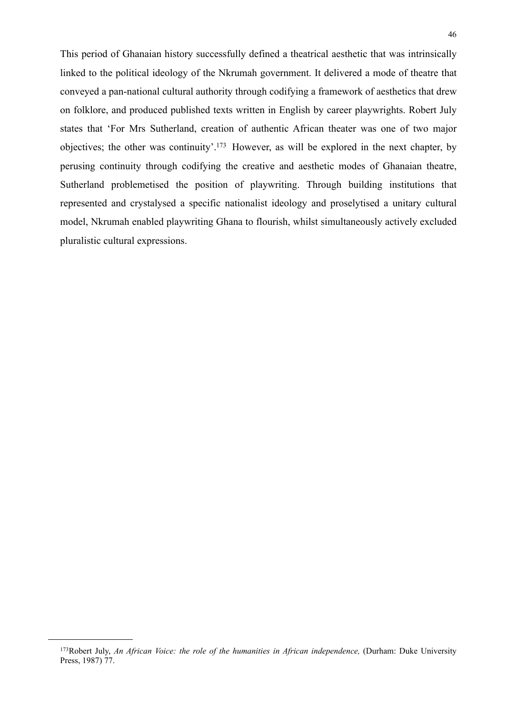This period of Ghanaian history successfully defined a theatrical aesthetic that was intrinsically linked to the political ideology of the Nkrumah government. It delivered a mode of theatre that conveyed a pan-national cultural authority through codifying a framework of aesthetics that drew on folklore, and produced published texts written in English by career playwrights. Robert July states that 'For Mrs Sutherland, creation of authentic African theater was one of two major objectives; the other was continuity'[.173](#page-47-0) However, as will be explored in the next chapter, by perusing continuity through codifying the creative and aesthetic modes of Ghanaian theatre, Sutherland problemetised the position of playwriting. Through building institutions that represented and crystalysed a specific nationalist ideology and proselytised a unitary cultural model, Nkrumah enabled playwriting Ghana to flourish, whilst simultaneously actively excluded pluralistic cultural expressions.

<span id="page-47-0"></span><sup>&</sup>lt;sup>173</sup>Robert July, *An African Voice: the role of the humanities in African independence, (Durham: Duke University* Press, 1987) 77.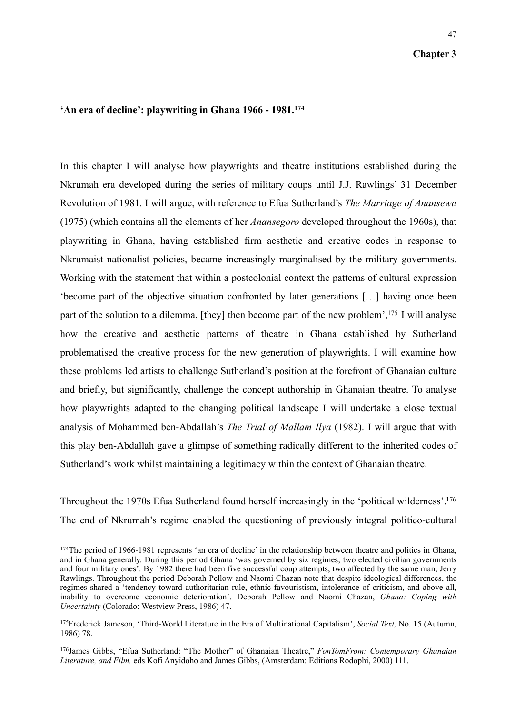47

## **'An era of decline': playwriting in Ghana 1966 - 1981.[174](#page-48-0)**

In this chapter I will analyse how playwrights and theatre institutions established during the Nkrumah era developed during the series of military coups until J.J. Rawlings' 31 December Revolution of 1981. I will argue, with reference to Efua Sutherland's *The Marriage of Anansewa*  (1975) (which contains all the elements of her *Anansegoro* developed throughout the 1960s), that playwriting in Ghana, having established firm aesthetic and creative codes in response to Nkrumaist nationalist policies, became increasingly marginalised by the military governments. Working with the statement that within a postcolonial context the patterns of cultural expression 'become part of the objective situation confronted by later generations […] having once been part of the solution to a dilemma, [they] then become part of the new problem',<sup>175</sup> I will analyse how the creative and aesthetic patterns of theatre in Ghana established by Sutherland problematised the creative process for the new generation of playwrights. I will examine how these problems led artists to challenge Sutherland's position at the forefront of Ghanaian culture and briefly, but significantly, challenge the concept authorship in Ghanaian theatre. To analyse how playwrights adapted to the changing political landscape I will undertake a close textual analysis of Mohammed ben-Abdallah's *The Trial of Mallam Ilya* (1982). I will argue that with this play ben-Abdallah gave a glimpse of something radically different to the inherited codes of Sutherland's work whilst maintaining a legitimacy within the context of Ghanaian theatre.

Throughout the 1970s Efua Sutherland found herself increasingly in the 'political wilderness'[.176](#page-48-2) The end of Nkrumah's regime enabled the questioning of previously integral politico-cultural

<span id="page-48-0"></span><sup>174</sup>The period of 1966-1981 represents 'an era of decline' in the relationship between theatre and politics in Ghana, and in Ghana generally. During this period Ghana 'was governed by six regimes; two elected civilian governments and four military ones'. By 1982 there had been five successful coup attempts, two affected by the same man, Jerry Rawlings. Throughout the period Deborah Pellow and Naomi Chazan note that despite ideological differences, the regimes shared a 'tendency toward authoritarian rule, ethnic favouristism, intolerance of criticism, and above all, inability to overcome economic deterioration'. Deborah Pellow and Naomi Chazan, *Ghana: Coping with Uncertainty* (Colorado: Westview Press, 1986) 47.

<span id="page-48-1"></span><sup>175</sup>Frederick Jameson, 'Third-World Literature in the Era of Multinational Capitalism', *Social Text,* No. 15 (Autumn, 1986) 78.

<span id="page-48-2"></span><sup>176</sup>James Gibbs, "Efua Sutherland: "The Mother" of Ghanaian Theatre," *FonTomFrom: Contemporary Ghanaian Literature, and Film,* eds Kofi Anyidoho and James Gibbs, (Amsterdam: Editions Rodophi, 2000) 111.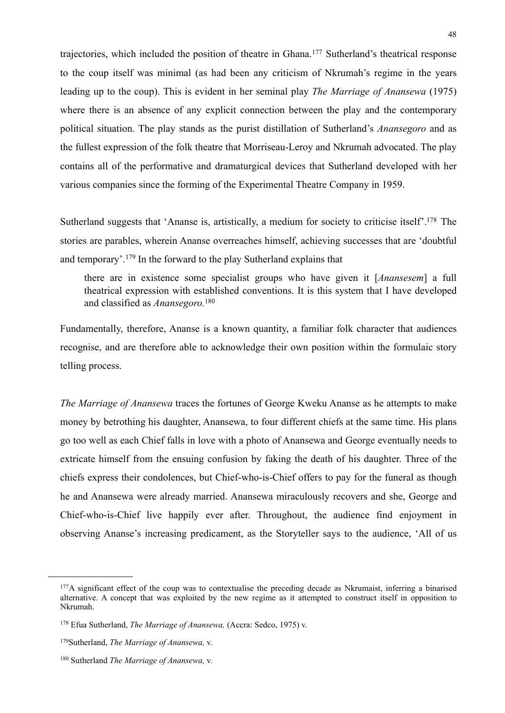trajectories, which included the position of theatre in Ghana.[177](#page-49-0) Sutherland's theatrical response to the coup itself was minimal (as had been any criticism of Nkrumah's regime in the years leading up to the coup). This is evident in her seminal play *The Marriage of Anansewa* (1975) where there is an absence of any explicit connection between the play and the contemporary political situation. The play stands as the purist distillation of Sutherland's *Anansegoro* and as the fullest expression of the folk theatre that Morriseau-Leroy and Nkrumah advocated. The play contains all of the performative and dramaturgical devices that Sutherland developed with her various companies since the forming of the Experimental Theatre Company in 1959.

Sutherland suggests that 'Ananse is, artistically, a medium for society to criticise itself'[.178](#page-49-1) The stories are parables, wherein Ananse overreaches himself, achieving successes that are 'doubtful and temporary'.[179](#page-49-2) In the forward to the play Sutherland explains that

there are in existence some specialist groups who have given it [*Anansesem*] a full theatrical expression with established conventions. It is this system that I have developed and classified as *Anansegoro.*[180](#page-49-3)

Fundamentally, therefore, Ananse is a known quantity, a familiar folk character that audiences recognise, and are therefore able to acknowledge their own position within the formulaic story telling process.

*The Marriage of Anansewa* traces the fortunes of George Kweku Ananse as he attempts to make money by betrothing his daughter, Anansewa, to four different chiefs at the same time. His plans go too well as each Chief falls in love with a photo of Anansewa and George eventually needs to extricate himself from the ensuing confusion by faking the death of his daughter. Three of the chiefs express their condolences, but Chief-who-is-Chief offers to pay for the funeral as though he and Anansewa were already married. Anansewa miraculously recovers and she, George and Chief-who-is-Chief live happily ever after. Throughout, the audience find enjoyment in observing Ananse's increasing predicament, as the Storyteller says to the audience, 'All of us

<span id="page-49-0"></span><sup>&</sup>lt;sup>177</sup>A significant effect of the coup was to contextualise the preceding decade as Nkrumaist, inferring a binarised alternative. A concept that was exploited by the new regime as it attempted to construct itself in opposition to Nkrumah.

<span id="page-49-1"></span><sup>178</sup> Efua Sutherland, *The Marriage of Anansewa,* (Accra: Sedco, 1975) v.

<span id="page-49-2"></span><sup>179</sup>Sutherland, *The Marriage of Anansewa,* v.

<span id="page-49-3"></span><sup>180</sup> Sutherland *The Marriage of Anansewa,* v.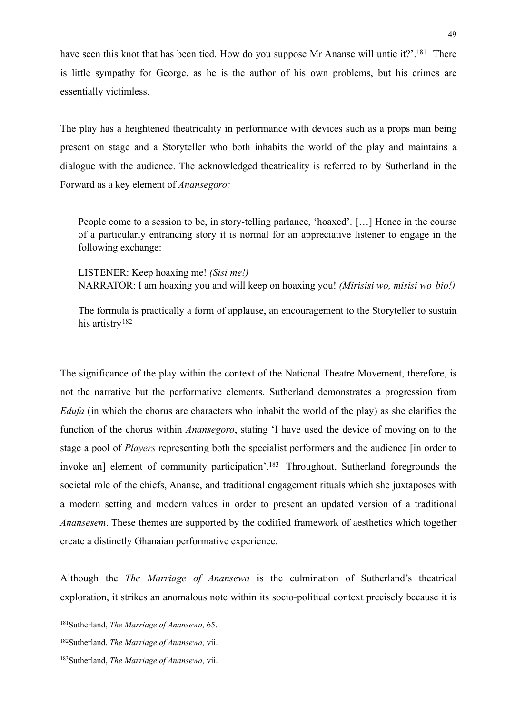have seen this knot that has been tied. How do you suppose Mr Ananse will untie it?'.<sup>181</sup> There is little sympathy for George, as he is the author of his own problems, but his crimes are essentially victimless.

The play has a heightened theatricality in performance with devices such as a props man being present on stage and a Storyteller who both inhabits the world of the play and maintains a dialogue with the audience. The acknowledged theatricality is referred to by Sutherland in the Forward as a key element of *Anansegoro:*

People come to a session to be, in story-telling parlance, 'hoaxed'. […] Hence in the course of a particularly entrancing story it is normal for an appreciative listener to engage in the following exchange:

LISTENER: Keep hoaxing me! *(Sisi me!)* NARRATOR: I am hoaxing you and will keep on hoaxing you! *(Mirisisi wo, misisi wo bio!)*

The formula is practically a form of applause, an encouragement to the Storyteller to sustain his artistry<sup>[182](#page-50-1)</sup>

The significance of the play within the context of the National Theatre Movement, therefore, is not the narrative but the performative elements. Sutherland demonstrates a progression from *Edufa* (in which the chorus are characters who inhabit the world of the play) as she clarifies the function of the chorus within *Anansegoro*, stating 'I have used the device of moving on to the stage a pool of *Players* representing both the specialist performers and the audience [in order to invoke an] element of community participation'.<sup>183</sup> Throughout, Sutherland foregrounds the societal role of the chiefs, Ananse, and traditional engagement rituals which she juxtaposes with a modern setting and modern values in order to present an updated version of a traditional *Anansesem*. These themes are supported by the codified framework of aesthetics which together create a distinctly Ghanaian performative experience.

Although the *The Marriage of Anansewa* is the culmination of Sutherland's theatrical exploration, it strikes an anomalous note within its socio-political context precisely because it is

<span id="page-50-0"></span><sup>181</sup>Sutherland, *The Marriage of Anansewa,* 65.

<span id="page-50-1"></span><sup>182</sup>Sutherland, *The Marriage of Anansewa,* vii.

<span id="page-50-2"></span><sup>183</sup>Sutherland, *The Marriage of Anansewa,* vii.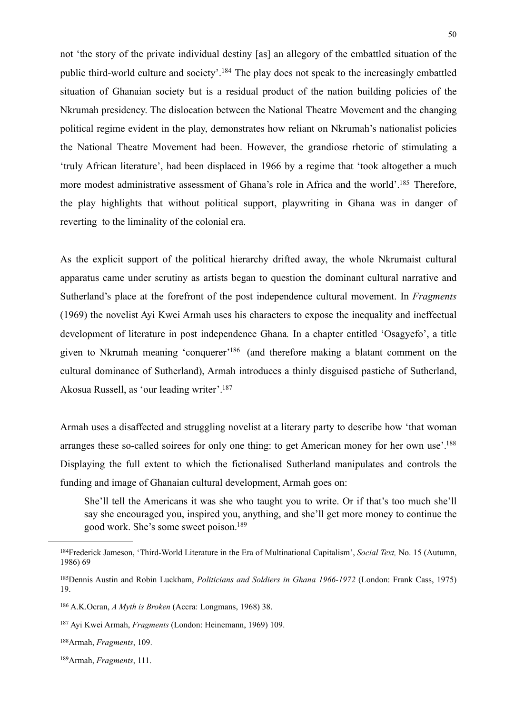not 'the story of the private individual destiny [as] an allegory of the embattled situation of the public third-world culture and society'[.184](#page-51-0) The play does not speak to the increasingly embattled situation of Ghanaian society but is a residual product of the nation building policies of the Nkrumah presidency. The dislocation between the National Theatre Movement and the changing political regime evident in the play, demonstrates how reliant on Nkrumah's nationalist policies the National Theatre Movement had been. However, the grandiose rhetoric of stimulating a 'truly African literature', had been displaced in 1966 by a regime that 'took altogether a much more modest administrative assessment of Ghana's role in Africa and the world'[.185](#page-51-1) Therefore, the play highlights that without political support, playwriting in Ghana was in danger of reverting to the liminality of the colonial era.

As the explicit support of the political hierarchy drifted away, the whole Nkrumaist cultural apparatus came under scrutiny as artists began to question the dominant cultural narrative and Sutherland's place at the forefront of the post independence cultural movement. In *Fragments*  (1969) the novelist Ayi Kwei Armah uses his characters to expose the inequality and ineffectual development of literature in post independence Ghana*.* In a chapter entitled 'Osagyefo', a title given to Nkrumah meaning 'conquerer['186](#page-51-2) (and therefore making a blatant comment on the cultural dominance of Sutherland), Armah introduces a thinly disguised pastiche of Sutherland, Akosua Russell, as 'our leading writer'[.187](#page-51-3)

Armah uses a disaffected and struggling novelist at a literary party to describe how 'that woman arranges these so-called soirees for only one thing: to get American money for her own use'.<sup>188</sup> Displaying the full extent to which the fictionalised Sutherland manipulates and controls the funding and image of Ghanaian cultural development, Armah goes on:

She'll tell the Americans it was she who taught you to write. Or if that's too much she'll say she encouraged you, inspired you, anything, and she'll get more money to continue the good work. She's some sweet poison[.189](#page-51-5)

<span id="page-51-0"></span><sup>184</sup>Frederick Jameson, 'Third-World Literature in the Era of Multinational Capitalism', *Social Text,* No. 15 (Autumn, 1986) 69

<span id="page-51-1"></span><sup>185</sup>Dennis Austin and Robin Luckham, *Politicians and Soldiers in Ghana 1966-1972* (London: Frank Cass, 1975) 19.

<span id="page-51-2"></span><sup>186</sup> A.K.Ocran, *A Myth is Broken* (Accra: Longmans, 1968) 38.

<span id="page-51-3"></span><sup>187</sup> Ayi Kwei Armah, *Fragments* (London: Heinemann, 1969) 109.

<span id="page-51-4"></span><sup>188</sup>Armah, *Fragments*, 109.

<span id="page-51-5"></span><sup>189</sup>Armah, *Fragments*, 111.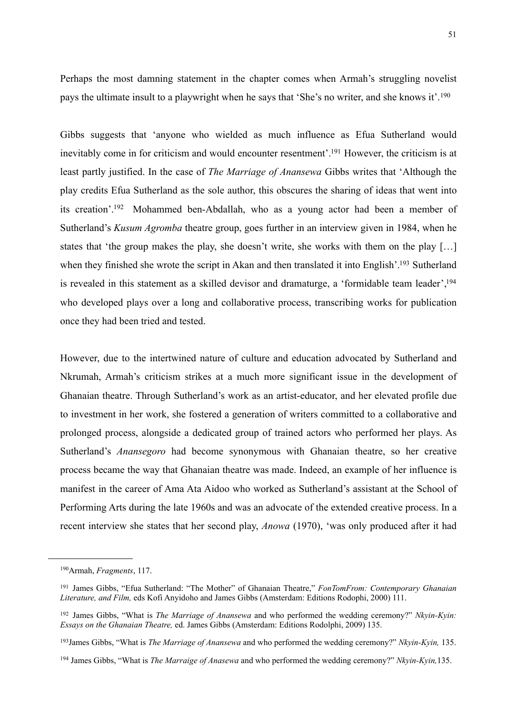51

Perhaps the most damning statement in the chapter comes when Armah's struggling novelist pays the ultimate insult to a playwright when he says that 'She's no writer, and she knows it'.[190](#page-52-0)

Gibbs suggests that 'anyone who wielded as much influence as Efua Sutherland would inevitably come in for criticism and would encounter resentment'[.191](#page-52-1) However, the criticism is at least partly justified. In the case of *The Marriage of Anansewa* Gibbs writes that 'Although the play credits Efua Sutherland as the sole author, this obscures the sharing of ideas that went into its creation'[.192](#page-52-2) Mohammed ben-Abdallah, who as a young actor had been a member of Sutherland's *Kusum Agromba* theatre group, goes further in an interview given in 1984, when he states that 'the group makes the play, she doesn't write, she works with them on the play […] when they finished she wrote the script in Akan and then translated it into English'.<sup>193</sup> Sutherland is revealed in this statement as a skilled devisor and dramaturge, a 'formidable team leader'[,194](#page-52-4) who developed plays over a long and collaborative process, transcribing works for publication once they had been tried and tested.

However, due to the intertwined nature of culture and education advocated by Sutherland and Nkrumah, Armah's criticism strikes at a much more significant issue in the development of Ghanaian theatre. Through Sutherland's work as an artist-educator, and her elevated profile due to investment in her work, she fostered a generation of writers committed to a collaborative and prolonged process, alongside a dedicated group of trained actors who performed her plays. As Sutherland's *Anansegoro* had become synonymous with Ghanaian theatre, so her creative process became the way that Ghanaian theatre was made. Indeed, an example of her influence is manifest in the career of Ama Ata Aidoo who worked as Sutherland's assistant at the School of Performing Arts during the late 1960s and was an advocate of the extended creative process. In a recent interview she states that her second play, *Anowa* (1970), 'was only produced after it had

<span id="page-52-0"></span><sup>190</sup>Armah, *Fragments*, 117.

<span id="page-52-1"></span><sup>191</sup> James Gibbs, "Efua Sutherland: "The Mother" of Ghanaian Theatre," *FonTomFrom: Contemporary Ghanaian Literature, and Film,* eds Kofi Anyidoho and James Gibbs (Amsterdam: Editions Rodophi, 2000) 111.

<span id="page-52-2"></span><sup>192</sup> James Gibbs, "What is *The Marriage of Anansewa* and who performed the wedding ceremony?" *Nkyin-Kyin: Essays on the Ghanaian Theatre,* ed. James Gibbs (Amsterdam: Editions Rodolphi, 2009) 135.

<span id="page-52-3"></span><sup>193</sup>James Gibbs, "What is *The Marriage of Anansewa* and who performed the wedding ceremony?" *Nkyin-Kyin,* 135.

<span id="page-52-4"></span><sup>194</sup> James Gibbs, "What is *The Marraige of Anasewa* and who performed the wedding ceremony?" *Nkyin-Kyin,*135.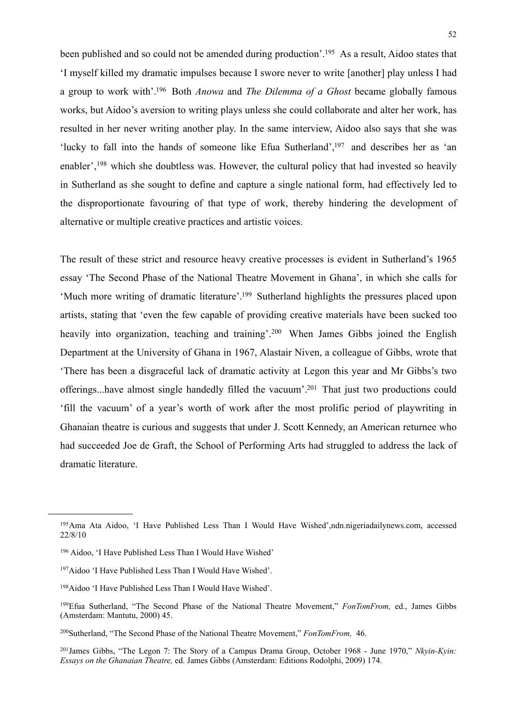been published and so could not be amended during production'.<sup>195</sup> As a result, Aidoo states that 'I myself killed my dramatic impulses because I swore never to write [another] play unless I had a group to work with'[.196](#page-53-1) Both *Anowa* and *The Dilemma of a Ghost* became globally famous works, but Aidoo's aversion to writing plays unless she could collaborate and alter her work, has resulted in her never writing another play. In the same interview, Aidoo also says that she was 'lucky to fall into the hands of someone like Efua Sutherland'[,197](#page-53-2) and describes her as 'an enabler',<sup>198</sup> which she doubtless was. However, the cultural policy that had invested so heavily in Sutherland as she sought to define and capture a single national form, had effectively led to the disproportionate favouring of that type of work, thereby hindering the development of alternative or multiple creative practices and artistic voices.

The result of these strict and resource heavy creative processes is evident in Sutherland's 1965 essay 'The Second Phase of the National Theatre Movement in Ghana', in which she calls for 'Much more writing of dramatic literature'[.199](#page-53-4) Sutherland highlights the pressures placed upon artists, stating that 'even the few capable of providing creative materials have been sucked too heavily into organization, teaching and training'.<sup>200</sup> When James Gibbs joined the English Department at the University of Ghana in 1967, Alastair Niven, a colleague of Gibbs, wrote that 'There has been a disgraceful lack of dramatic activity at Legon this year and Mr Gibbs's two offerings...have almost single handedly filled the vacuum'[.201](#page-53-6) That just two productions could 'fill the vacuum' of a year's worth of work after the most prolific period of playwriting in Ghanaian theatre is curious and suggests that under J. Scott Kennedy, an American returnee who had succeeded Joe de Graft, the School of Performing Arts had struggled to address the lack of dramatic literature.

<span id="page-53-0"></span><sup>195</sup>Ama Ata Aidoo, 'I Have Published Less Than I Would Have Wished',ndn.nigeriadailynews.com, accessed 22/8/10

<span id="page-53-1"></span><sup>196</sup> Aidoo, 'I Have Published Less Than I Would Have Wished'

<span id="page-53-2"></span><sup>197</sup>Aidoo 'I Have Published Less Than I Would Have Wished'.

<span id="page-53-3"></span><sup>198</sup>Aidoo 'I Have Published Less Than I Would Have Wished'.

<span id="page-53-4"></span><sup>199</sup>Efua Sutherland, "The Second Phase of the National Theatre Movement," *FonTomFrom,* ed., James Gibbs (Amsterdam: Mantutu, 2000) 45.

<span id="page-53-5"></span><sup>200</sup>Sutherland, "The Second Phase of the National Theatre Movement," *FonTomFrom,* 46.

<span id="page-53-6"></span><sup>201</sup>James Gibbs, "The Legon 7: The Story of a Campus Drama Group, October 1968 - June 1970," *Nkyin-Kyin: Essays on the Ghanaian Theatre,* ed. James Gibbs (Amsterdam: Editions Rodolphi, 2009) 174.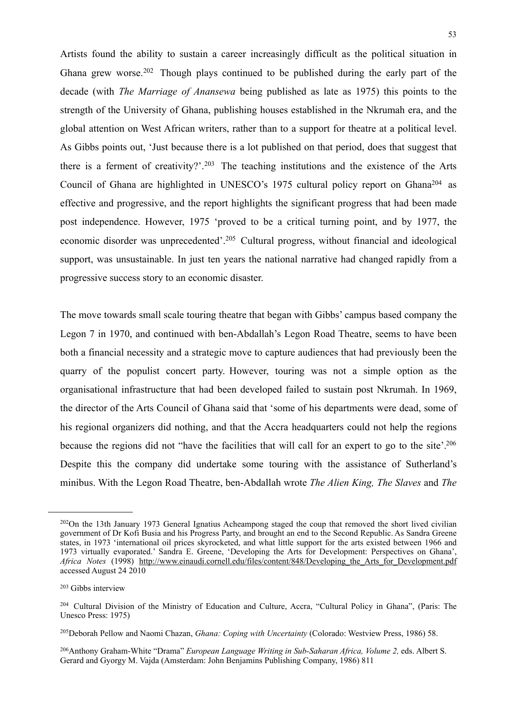Artists found the ability to sustain a career increasingly difficult as the political situation in Ghana grew worse.<sup>[202](#page-54-0)</sup> Though plays continued to be published during the early part of the decade (with *The Marriage of Anansewa* being published as late as 1975) this points to the strength of the University of Ghana, publishing houses established in the Nkrumah era, and the global attention on West African writers, rather than to a support for theatre at a political level. As Gibbs points out, 'Just because there is a lot published on that period, does that suggest that there is a ferment of creativity?'.[203](#page-54-1) The teaching institutions and the existence of the Arts Council of Ghana are highlighted in UNESCO's 1975 cultural policy report on Ghan[a204](#page-54-2) as effective and progressive, and the report highlights the significant progress that had been made post independence. However, 1975 'proved to be a critical turning point, and by 1977, the economic disorder was unprecedented'.[205](#page-54-3) Cultural progress, without financial and ideological support, was unsustainable. In just ten years the national narrative had changed rapidly from a progressive success story to an economic disaster.

The move towards small scale touring theatre that began with Gibbs' campus based company the Legon 7 in 1970, and continued with ben-Abdallah's Legon Road Theatre, seems to have been both a financial necessity and a strategic move to capture audiences that had previously been the quarry of the populist concert party. However, touring was not a simple option as the organisational infrastructure that had been developed failed to sustain post Nkrumah. In 1969, the director of the Arts Council of Ghana said that 'some of his departments were dead, some of his regional organizers did nothing, and that the Accra headquarters could not help the regions because the regions did not "have the facilities that will call for an expert to go to the site'[.206](#page-54-4) Despite this the company did undertake some touring with the assistance of Sutherland's minibus. With the Legon Road Theatre, ben-Abdallah wrote *The Alien King, The Slaves* and *The* 

<span id="page-54-0"></span><sup>202</sup>On the 13th January 1973 General Ignatius Acheampong staged the coup that removed the short lived civilian government of Dr Kofi Busia and his Progress Party, and brought an end to the Second Republic. As Sandra Greene states, in 1973 'international oil prices skyrocketed, and what little support for the arts existed between 1966 and 1973 virtually evaporated.' Sandra E. Greene, 'Developing the Arts for Development: Perspectives on Ghana', *Africa Notes* (1998) [http://www.einaudi.cornell.edu/files/content/848/Developing\\_the\\_Arts\\_for\\_Development.pdf](http://www.einaudi.cornell.edu/files/content/848/Developing_the_Arts_for_Development.pdf) accessed August 24 2010

<span id="page-54-1"></span><sup>203</sup> Gibbs interview

<span id="page-54-2"></span><sup>204</sup> Cultural Division of the Ministry of Education and Culture, Accra, "Cultural Policy in Ghana", (Paris: The Unesco Press: 1975)

<span id="page-54-3"></span><sup>205</sup>Deborah Pellow and Naomi Chazan, *Ghana: Coping with Uncertainty* (Colorado: Westview Press, 1986) 58.

<span id="page-54-4"></span><sup>&</sup>lt;sup>206</sup>Anthony Graham-White "Drama" *European Language Writing in Sub-Saharan Africa, Volume 2, eds. Albert S.* Gerard and Gyorgy M. Vajda (Amsterdam: John Benjamins Publishing Company, 1986) 811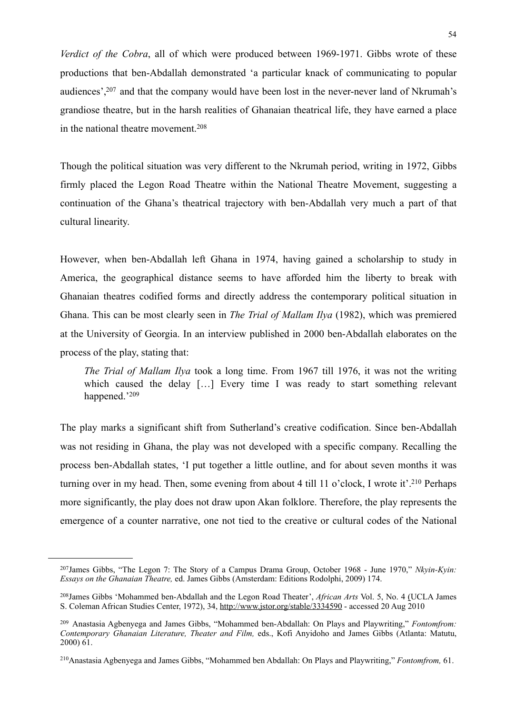*Verdict of the Cobra*, all of which were produced between 1969-1971. Gibbs wrote of these productions that ben-Abdallah demonstrated 'a particular knack of communicating to popular audiences'[,207](#page-55-0) and that the company would have been lost in the never-never land of Nkrumah's grandiose theatre, but in the harsh realities of Ghanaian theatrical life, they have earned a place in the national theatre movement.[208](#page-55-1)

Though the political situation was very different to the Nkrumah period, writing in 1972, Gibbs firmly placed the Legon Road Theatre within the National Theatre Movement, suggesting a continuation of the Ghana's theatrical trajectory with ben-Abdallah very much a part of that cultural linearity.

However, when ben-Abdallah left Ghana in 1974, having gained a scholarship to study in America, the geographical distance seems to have afforded him the liberty to break with Ghanaian theatres codified forms and directly address the contemporary political situation in Ghana. This can be most clearly seen in *The Trial of Mallam Ilya* (1982), which was premiered at the University of Georgia. In an interview published in 2000 ben-Abdallah elaborates on the process of the play, stating that:

*The Trial of Mallam Ilya* took a long time. From 1967 till 1976, it was not the writing which caused the delay [...] Every time I was ready to start something relevant happened.['209](#page-55-2)

The play marks a significant shift from Sutherland's creative codification. Since ben-Abdallah was not residing in Ghana, the play was not developed with a specific company. Recalling the process ben-Abdallah states, 'I put together a little outline, and for about seven months it was turning over in my head. Then, some evening from about 4 till 11 o'clock, I wrote it'[.210](#page-55-3) Perhaps more significantly, the play does not draw upon Akan folklore. Therefore, the play represents the emergence of a counter narrative, one not tied to the creative or cultural codes of the National

<span id="page-55-0"></span><sup>207</sup>James Gibbs, "The Legon 7: The Story of a Campus Drama Group, October 1968 - June 1970," *Nkyin-Kyin: Essays on the Ghanaian Theatre,* ed. James Gibbs (Amsterdam: Editions Rodolphi, 2009) 174.

<span id="page-55-1"></span><sup>208</sup>James Gibbs 'Mohammed ben-Abdallah and the Legon Road Theater', *[African Arts](http://www.jstor.org/action/showPublication?journalCode=africanarts)* Vol. 5, No. 4 [\(UCLA James](http://www.jstor.org/action/showPublisher?publisherCode=jscasc) [S. Coleman African Studies Center,](http://www.jstor.org/action/showPublisher?publisherCode=jscasc) 1972), 34,<http://www.jstor.org/stable/3334590> - accessed 20 Aug 2010

<span id="page-55-2"></span><sup>209</sup> Anastasia Agbenyega and James Gibbs, "Mohammed ben-Abdallah: On Plays and Playwriting," *Fontomfrom: Contemporary Ghanaian Literature, Theater and Film,* eds., Kofi Anyidoho and James Gibbs (Atlanta: Matutu, 2000) 61.

<span id="page-55-3"></span><sup>210</sup>Anastasia Agbenyega and James Gibbs, "Mohammed ben Abdallah: On Plays and Playwriting," *Fontomfrom,* 61.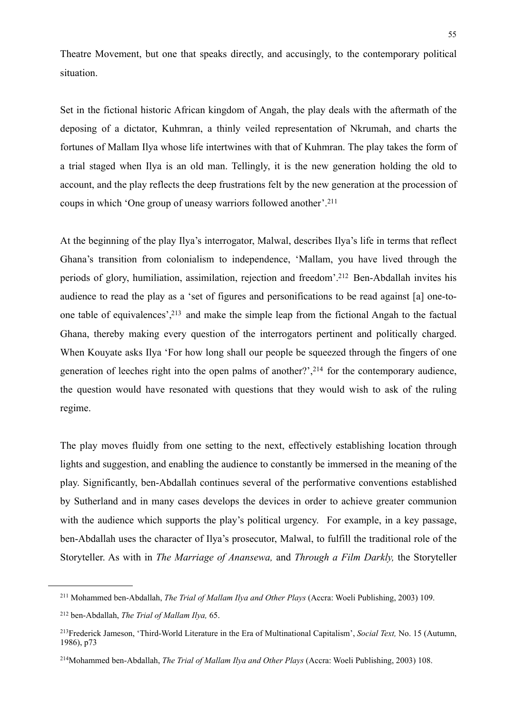Theatre Movement, but one that speaks directly, and accusingly, to the contemporary political situation.

Set in the fictional historic African kingdom of Angah, the play deals with the aftermath of the deposing of a dictator, Kuhmran, a thinly veiled representation of Nkrumah, and charts the fortunes of Mallam Ilya whose life intertwines with that of Kuhmran. The play takes the form of a trial staged when Ilya is an old man. Tellingly, it is the new generation holding the old to account, and the play reflects the deep frustrations felt by the new generation at the procession of coups in which 'One group of uneasy warriors followed another'[.211](#page-56-0)

At the beginning of the play Ilya's interrogator, Malwal, describes Ilya's life in terms that reflect Ghana's transition from colonialism to independence, 'Mallam, you have lived through the periods of glory, humiliation, assimilation, rejection and freedom'[.212](#page-56-1) Ben-Abdallah invites his audience to read the play as a 'set of figures and personifications to be read against [a] one-toone table of equivalences'[,213](#page-56-2) and make the simple leap from the fictional Angah to the factual Ghana, thereby making every question of the interrogators pertinent and politically charged. When Kouyate asks Ilya 'For how long shall our people be squeezed through the fingers of one generation of leeches right into the open palms of another?', $2^{14}$  for the contemporary audience, the question would have resonated with questions that they would wish to ask of the ruling regime.

The play moves fluidly from one setting to the next, effectively establishing location through lights and suggestion, and enabling the audience to constantly be immersed in the meaning of the play. Significantly, ben-Abdallah continues several of the performative conventions established by Sutherland and in many cases develops the devices in order to achieve greater communion with the audience which supports the play's political urgency. For example, in a key passage, ben-Abdallah uses the character of Ilya's prosecutor, Malwal, to fulfill the traditional role of the Storyteller. As with in *The Marriage of Anansewa,* and *Through a Film Darkly,* the Storyteller

<span id="page-56-0"></span><sup>211</sup> Mohammed ben-Abdallah, *The Trial of Mallam Ilya and Other Plays* (Accra: Woeli Publishing, 2003) 109.

<span id="page-56-1"></span><sup>212</sup> ben-Abdallah, *The Trial of Mallam Ilya,* 65.

<span id="page-56-2"></span><sup>213</sup>Frederick Jameson, 'Third-World Literature in the Era of Multinational Capitalism', *Social Text,* No. 15 (Autumn, 1986), p73

<span id="page-56-3"></span><sup>214</sup>Mohammed ben-Abdallah, *The Trial of Mallam Ilya and Other Plays* (Accra: Woeli Publishing, 2003) 108.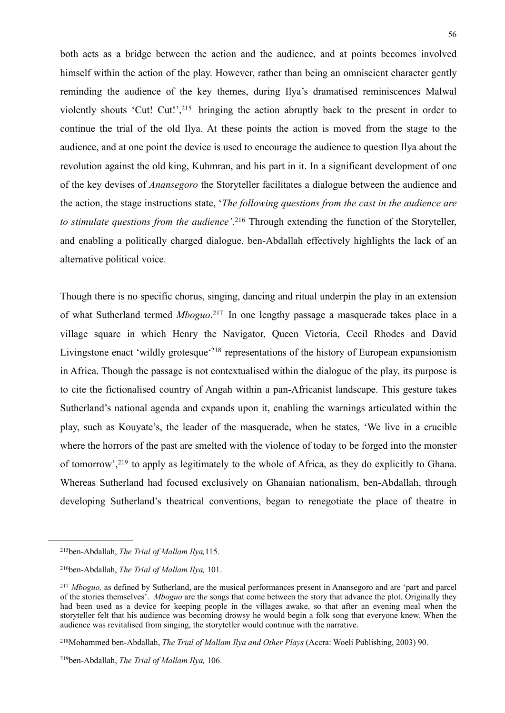both acts as a bridge between the action and the audience, and at points becomes involved himself within the action of the play. However, rather than being an omniscient character gently reminding the audience of the key themes, during Ilya's dramatised reminiscences Malwal violently shouts 'Cut! Cut!'[,215](#page-57-0) bringing the action abruptly back to the present in order to continue the trial of the old Ilya. At these points the action is moved from the stage to the audience, and at one point the device is used to encourage the audience to question Ilya about the revolution against the old king, Kuhmran, and his part in it. In a significant development of one of the key devises of *Anansegoro* the Storyteller facilitates a dialogue between the audience and the action, the stage instructions state, '*The following questions from the cast in the audience are to stimulate questions from the audience'*. [216](#page-57-1) Through extending the function of the Storyteller, and enabling a politically charged dialogue, ben-Abdallah effectively highlights the lack of an alternative political voice.

Though there is no specific chorus, singing, dancing and ritual underpin the play in an extension of what Sutherland termed *Mboguo*. [217](#page-57-2) In one lengthy passage a masquerade takes place in a village square in which Henry the Navigator, Queen Victoria, Cecil Rhodes and David Livingstone enact 'wildly grotesque<sup>'218</sup> representations of the history of European expansionism in Africa. Though the passage is not contextualised within the dialogue of the play, its purpose is to cite the fictionalised country of Angah within a pan-Africanist landscape. This gesture takes Sutherland's national agenda and expands upon it, enabling the warnings articulated within the play, such as Kouyate's, the leader of the masquerade, when he states, 'We live in a crucible where the horrors of the past are smelted with the violence of today to be forged into the monster of tomorrow',[219](#page-57-4) to apply as legitimately to the whole of Africa, as they do explicitly to Ghana. Whereas Sutherland had focused exclusively on Ghanaian nationalism, ben-Abdallah, through developing Sutherland's theatrical conventions, began to renegotiate the place of theatre in

<span id="page-57-0"></span><sup>215</sup>ben-Abdallah, *The Trial of Mallam Ilya,*115.

<span id="page-57-1"></span><sup>216</sup>ben-Abdallah, *The Trial of Mallam Ilya,* 101.

<span id="page-57-2"></span><sup>217</sup> *Mboguo,* as defined by Sutherland, are the musical performances present in Anansegoro and are 'part and parcel of the stories themselves'. *Mboguo* are th*e* songs that come between the story that advance the plot. Originally they had been used as a device for keeping people in the villages awake, so that after an evening meal when the storyteller felt that his audience was becoming drowsy he would begin a folk song that everyone knew. When the audience was revitalised from singing, the storyteller would continue with the narrative.

<span id="page-57-3"></span><sup>218</sup>Mohammed ben-Abdallah, *The Trial of Mallam Ilya and Other Plays* (Accra: Woeli Publishing, 2003) 90.

<span id="page-57-4"></span><sup>219</sup>ben-Abdallah, *The Trial of Mallam Ilya,* 106.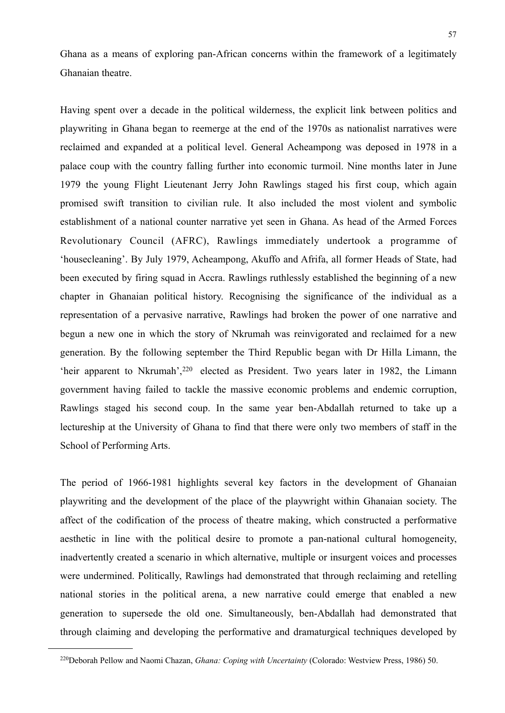Ghana as a means of exploring pan-African concerns within the framework of a legitimately Ghanaian theatre.

Having spent over a decade in the political wilderness, the explicit link between politics and playwriting in Ghana began to reemerge at the end of the 1970s as nationalist narratives were reclaimed and expanded at a political level. General Acheampong was deposed in 1978 in a palace coup with the country falling further into economic turmoil. Nine months later in June 1979 the young Flight Lieutenant Jerry John Rawlings staged his first coup, which again promised swift transition to civilian rule. It also included the most violent and symbolic establishment of a national counter narrative yet seen in Ghana. As head of the Armed Forces Revolutionary Council (AFRC), Rawlings immediately undertook a programme of 'housecleaning'. By July 1979, Acheampong, Akuffo and Afrifa, all former Heads of State, had been executed by firing squad in Accra. Rawlings ruthlessly established the beginning of a new chapter in Ghanaian political history. Recognising the significance of the individual as a representation of a pervasive narrative, Rawlings had broken the power of one narrative and begun a new one in which the story of Nkrumah was reinvigorated and reclaimed for a new generation. By the following september the Third Republic began with Dr Hilla Limann, the 'heir apparent to Nkrumah',<sup>220</sup> elected as President. Two years later in 1982, the Limann government having failed to tackle the massive economic problems and endemic corruption, Rawlings staged his second coup. In the same year ben-Abdallah returned to take up a lectureship at the University of Ghana to find that there were only two members of staff in the School of Performing Arts.

The period of 1966-1981 highlights several key factors in the development of Ghanaian playwriting and the development of the place of the playwright within Ghanaian society. The affect of the codification of the process of theatre making, which constructed a performative aesthetic in line with the political desire to promote a pan-national cultural homogeneity, inadvertently created a scenario in which alternative, multiple or insurgent voices and processes were undermined. Politically, Rawlings had demonstrated that through reclaiming and retelling national stories in the political arena, a new narrative could emerge that enabled a new generation to supersede the old one. Simultaneously, ben-Abdallah had demonstrated that through claiming and developing the performative and dramaturgical techniques developed by

<span id="page-58-0"></span><sup>220</sup>Deborah Pellow and Naomi Chazan, *Ghana: Coping with Uncertainty* (Colorado: Westview Press, 1986) 50.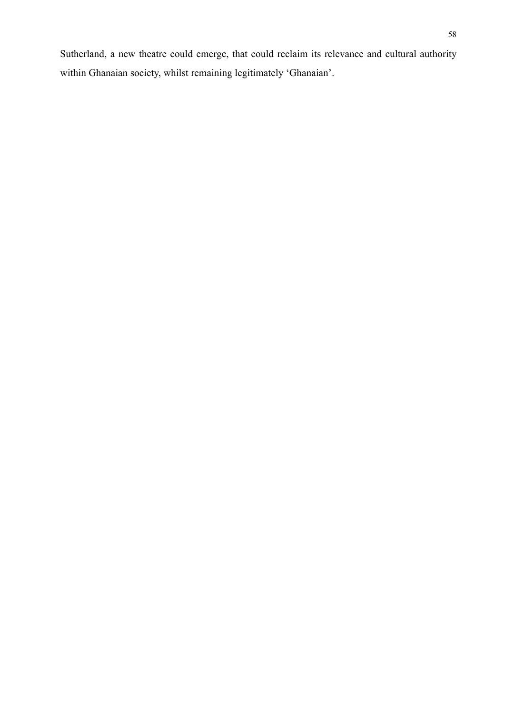Sutherland, a new theatre could emerge, that could reclaim its relevance and cultural authority within Ghanaian society, whilst remaining legitimately 'Ghanaian'.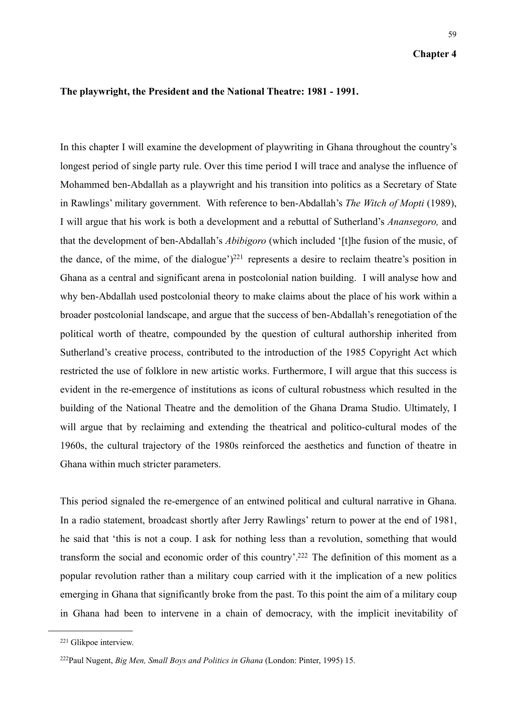## **The playwright, the President and the National Theatre: 1981 - 1991.**

In this chapter I will examine the development of playwriting in Ghana throughout the country's longest period of single party rule. Over this time period I will trace and analyse the influence of Mohammed ben-Abdallah as a playwright and his transition into politics as a Secretary of State in Rawlings' military government. With reference to ben-Abdallah's *The Witch of Mopti* (1989), I will argue that his work is both a development and a rebuttal of Sutherland's *Anansegoro,* and that the development of ben-Abdallah's *Abibigoro* (which included '[t]he fusion of the music, of the dance, of the mime, of the dialogue' $)^{221}$  represents a desire to reclaim theatre's position in Ghana as a central and significant arena in postcolonial nation building. I will analyse how and why ben-Abdallah used postcolonial theory to make claims about the place of his work within a broader postcolonial landscape, and argue that the success of ben-Abdallah's renegotiation of the political worth of theatre, compounded by the question of cultural authorship inherited from Sutherland's creative process, contributed to the introduction of the 1985 Copyright Act which restricted the use of folklore in new artistic works. Furthermore, I will argue that this success is evident in the re-emergence of institutions as icons of cultural robustness which resulted in the building of the National Theatre and the demolition of the Ghana Drama Studio. Ultimately, I will argue that by reclaiming and extending the theatrical and politico-cultural modes of the 1960s, the cultural trajectory of the 1980s reinforced the aesthetics and function of theatre in Ghana within much stricter parameters.

This period signaled the re-emergence of an entwined political and cultural narrative in Ghana. In a radio statement, broadcast shortly after Jerry Rawlings' return to power at the end of 1981, he said that 'this is not a coup. I ask for nothing less than a revolution, something that would transform the social and economic order of this country'[.222](#page-60-1) The definition of this moment as a popular revolution rather than a military coup carried with it the implication of a new politics emerging in Ghana that significantly broke from the past. To this point the aim of a military coup in Ghana had been to intervene in a chain of democracy, with the implicit inevitability of

<span id="page-60-0"></span><sup>221</sup> Glikpoe interview.

<span id="page-60-1"></span><sup>222</sup>Paul Nugent, *Big Men, Small Boys and Politics in Ghana* (London: Pinter, 1995) 15.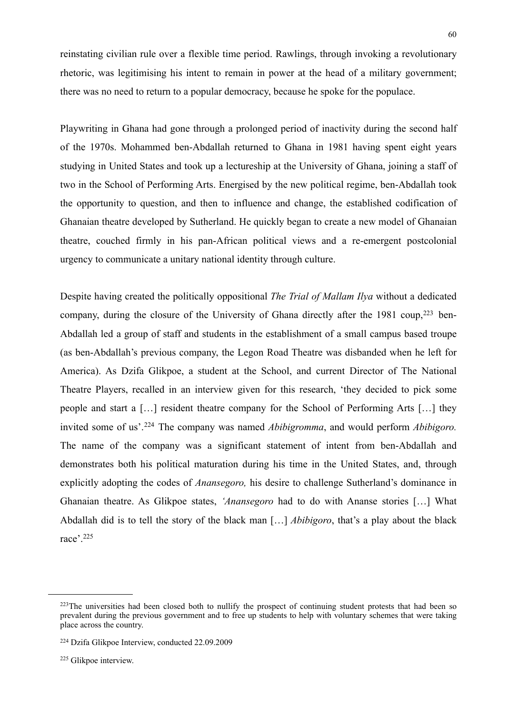reinstating civilian rule over a flexible time period. Rawlings, through invoking a revolutionary rhetoric, was legitimising his intent to remain in power at the head of a military government; there was no need to return to a popular democracy, because he spoke for the populace.

Playwriting in Ghana had gone through a prolonged period of inactivity during the second half of the 1970s. Mohammed ben-Abdallah returned to Ghana in 1981 having spent eight years studying in United States and took up a lectureship at the University of Ghana, joining a staff of two in the School of Performing Arts. Energised by the new political regime, ben-Abdallah took the opportunity to question, and then to influence and change, the established codification of Ghanaian theatre developed by Sutherland. He quickly began to create a new model of Ghanaian theatre, couched firmly in his pan-African political views and a re-emergent postcolonial urgency to communicate a unitary national identity through culture.

Despite having created the politically oppositional *The Trial of Mallam Ilya* without a dedicated company, during the closure of the University of Ghana directly after the 1981 coup, $223$  ben-Abdallah led a group of staff and students in the establishment of a small campus based troupe (as ben-Abdallah's previous company, the Legon Road Theatre was disbanded when he left for America). As Dzifa Glikpoe, a student at the School, and current Director of The National Theatre Players, recalled in an interview given for this research, 'they decided to pick some people and start a […] resident theatre company for the School of Performing Arts […] they invited some of us'.[224](#page-61-1) The company was named *Abibigromma*, and would perform *Abibigoro.* The name of the company was a significant statement of intent from ben-Abdallah and demonstrates both his political maturation during his time in the United States, and, through explicitly adopting the codes of *Anansegoro,* his desire to challenge Sutherland's dominance in Ghanaian theatre. As Glikpoe states, *'Anansegoro* had to do with Ananse stories […] What Abdallah did is to tell the story of the black man […] *Abibigoro*, that's a play about the black race'.[225](#page-61-2)

<span id="page-61-0"></span><sup>&</sup>lt;sup>223</sup>The universities had been closed both to nullify the prospect of continuing student protests that had been so prevalent during the previous government and to free up students to help with voluntary schemes that were taking place across the country.

<span id="page-61-1"></span><sup>224</sup> Dzifa Glikpoe Interview, conducted 22.09.2009

<span id="page-61-2"></span><sup>225</sup> Glikpoe interview.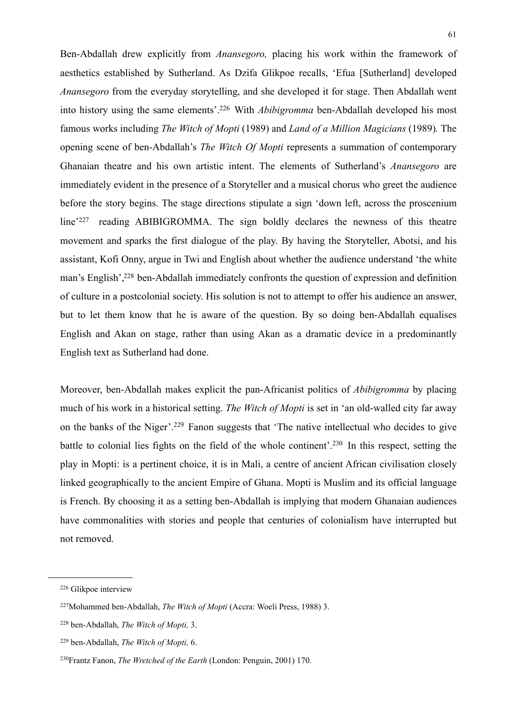Ben-Abdallah drew explicitly from *Anansegoro,* placing his work within the framework of aesthetics established by Sutherland. As Dzifa Glikpoe recalls, 'Efua [Sutherland] developed *Anansegoro* from the everyday storytelling, and she developed it for stage. Then Abdallah went into history using the same elements'[.226](#page-62-0) With *Abibigromma* ben-Abdallah developed his most famous works including *The Witch of Mopti* (1989) and *Land of a Million Magicians* (1989)*.* The opening scene of ben-Abdallah's *The Witch Of Mopti* represents a summation of contemporary Ghanaian theatre and his own artistic intent. The elements of Sutherland's *Anansegoro* are immediately evident in the presence of a Storyteller and a musical chorus who greet the audience before the story begins. The stage directions stipulate a sign 'down left, across the proscenium line<sup>'227</sup> reading ABIBIGROMMA. The sign boldly declares the newness of this theatre movement and sparks the first dialogue of the play. By having the Storyteller, Abotsi, and his assistant, Kofi Onny, argue in Twi and English about whether the audience understand 'the white man's English'[,228](#page-62-2) ben-Abdallah immediately confronts the question of expression and definition of culture in a postcolonial society. His solution is not to attempt to offer his audience an answer, but to let them know that he is aware of the question. By so doing ben-Abdallah equalises English and Akan on stage, rather than using Akan as a dramatic device in a predominantly English text as Sutherland had done.

Moreover, ben-Abdallah makes explicit the pan-Africanist politics of *Abibigromma* by placing much of his work in a historical setting. *The Witch of Mopti* is set in 'an old-walled city far away on the banks of the Niger'.[229](#page-62-3) Fanon suggests that 'The native intellectual who decides to give battle to colonial lies fights on the field of the whole continent'[.230](#page-62-4) In this respect, setting the play in Mopti: is a pertinent choice, it is in Mali, a centre of ancient African civilisation closely linked geographically to the ancient Empire of Ghana. Mopti is Muslim and its official language is French. By choosing it as a setting ben-Abdallah is implying that modern Ghanaian audiences have commonalities with stories and people that centuries of colonialism have interrupted but not removed.

<span id="page-62-0"></span><sup>226</sup> Glikpoe interview

<span id="page-62-1"></span><sup>227</sup>Mohammed ben-Abdallah, *The Witch of Mopti* (Accra: Woeli Press, 1988) 3.

<span id="page-62-2"></span><sup>228</sup> ben-Abdallah, *The Witch of Mopti,* 3.

<span id="page-62-3"></span><sup>229</sup> ben-Abdallah, *The Witch of Mopti,* 6.

<span id="page-62-4"></span><sup>230</sup>Frantz Fanon, *The Wretched of the Earth* (London: Penguin, 2001) 170.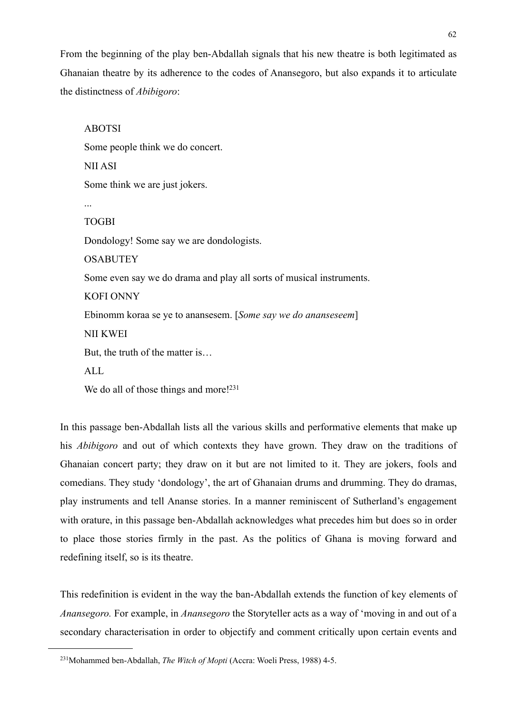From the beginning of the play ben-Abdallah signals that his new theatre is both legitimated as Ghanaian theatre by its adherence to the codes of Anansegoro, but also expands it to articulate the distinctness of *Abibigoro*:

ABOTSI Some people think we do concert. NII ASI Some think we are just jokers. ... TOGBI Dondology! Some say we are dondologists. **OSABUTEY** Some even say we do drama and play all sorts of musical instruments. KOFI ONNY Ebinomm koraa se ye to anansesem. [*Some say we do ananseseem*] NII KWEI But, the truth of the matter is… ALL We do all of those things and more!<sup>231</sup>

In this passage ben-Abdallah lists all the various skills and performative elements that make up his *Abibigoro* and out of which contexts they have grown. They draw on the traditions of Ghanaian concert party; they draw on it but are not limited to it. They are jokers, fools and comedians. They study 'dondology', the art of Ghanaian drums and drumming. They do dramas, play instruments and tell Ananse stories. In a manner reminiscent of Sutherland's engagement with orature, in this passage ben-Abdallah acknowledges what precedes him but does so in order to place those stories firmly in the past. As the politics of Ghana is moving forward and redefining itself, so is its theatre.

This redefinition is evident in the way the ban-Abdallah extends the function of key elements of *Anansegoro.* For example, in *Anansegoro* the Storyteller acts as a way of 'moving in and out of a secondary characterisation in order to objectify and comment critically upon certain events and

<span id="page-63-0"></span><sup>231</sup>Mohammed ben-Abdallah, *The Witch of Mopti* (Accra: Woeli Press, 1988) 4-5.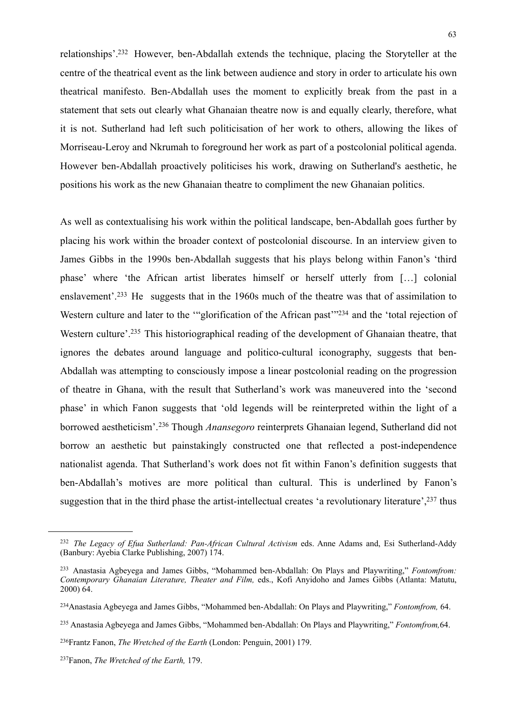relationships'[.232](#page-64-0) However, ben-Abdallah extends the technique, placing the Storyteller at the centre of the theatrical event as the link between audience and story in order to articulate his own theatrical manifesto. Ben-Abdallah uses the moment to explicitly break from the past in a statement that sets out clearly what Ghanaian theatre now is and equally clearly, therefore, what it is not. Sutherland had left such politicisation of her work to others, allowing the likes of Morriseau-Leroy and Nkrumah to foreground her work as part of a postcolonial political agenda. However ben-Abdallah proactively politicises his work, drawing on Sutherland's aesthetic, he positions his work as the new Ghanaian theatre to compliment the new Ghanaian politics.

As well as contextualising his work within the political landscape, ben-Abdallah goes further by placing his work within the broader context of postcolonial discourse. In an interview given to James Gibbs in the 1990s ben-Abdallah suggests that his plays belong within Fanon's 'third phase' where 'the African artist liberates himself or herself utterly from […] colonial enslavement'.<sup>233</sup> He suggests that in the 1960s much of the theatre was that of assimilation to Western culture and later to the ""glorification of the African past"<sup>234</sup> and the 'total rejection of Western culture'[.235](#page-64-3) This historiographical reading of the development of Ghanaian theatre, that ignores the debates around language and politico-cultural iconography, suggests that ben-Abdallah was attempting to consciously impose a linear postcolonial reading on the progression of theatre in Ghana, with the result that Sutherland's work was maneuvered into the 'second phase' in which Fanon suggests that 'old legends will be reinterpreted within the light of a borrowed aestheticism'.[236](#page-64-4) Though *Anansegoro* reinterprets Ghanaian legend, Sutherland did not borrow an aesthetic but painstakingly constructed one that reflected a post-independence nationalist agenda. That Sutherland's work does not fit within Fanon's definition suggests that ben-Abdallah's motives are more political than cultural. This is underlined by Fanon's suggestion that in the third phase the artist-intellectual creates 'a revolutionary literature', <sup>237</sup> thus

<span id="page-64-0"></span><sup>232</sup> *The Legacy of Efua Sutherland: Pan-African Cultural Activism* eds. Anne Adams and, Esi Sutherland-Addy (Banbury: Ayebia Clarke Publishing, 2007) 174.

<span id="page-64-1"></span><sup>233</sup> Anastasia Agbeyega and James Gibbs, "Mohammed ben-Abdallah: On Plays and Playwriting," *Fontomfrom: Contemporary Ghanaian Literature, Theater and Film,* eds., Kofi Anyidoho and James Gibbs (Atlanta: Matutu, 2000) 64.

<span id="page-64-2"></span><sup>234</sup>Anastasia Agbeyega and James Gibbs, "Mohammed ben-Abdallah: On Plays and Playwriting," *Fontomfrom,* 64.

<span id="page-64-3"></span><sup>235</sup> Anastasia Agbeyega and James Gibbs, "Mohammed ben-Abdallah: On Plays and Playwriting," *Fontomfrom,*64.

<span id="page-64-4"></span><sup>236</sup>Frantz Fanon, *The Wretched of the Earth* (London: Penguin, 2001) 179.

<span id="page-64-5"></span><sup>237</sup>Fanon, *The Wretched of the Earth,* 179.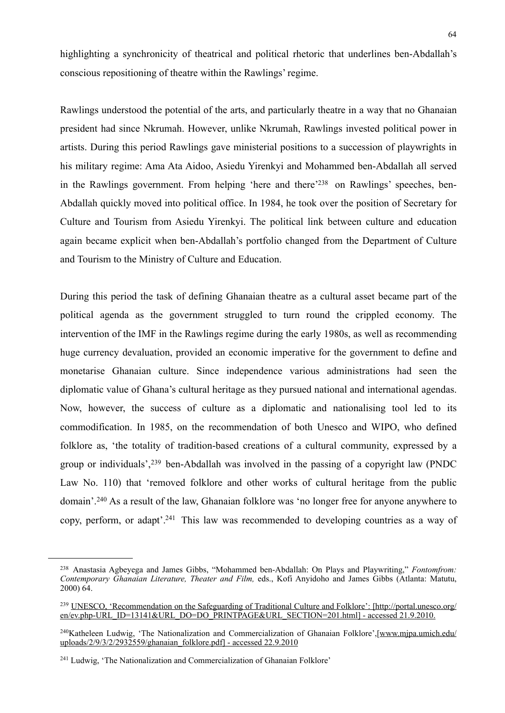highlighting a synchronicity of theatrical and political rhetoric that underlines ben-Abdallah's conscious repositioning of theatre within the Rawlings' regime.

Rawlings understood the potential of the arts, and particularly theatre in a way that no Ghanaian president had since Nkrumah. However, unlike Nkrumah, Rawlings invested political power in artists. During this period Rawlings gave ministerial positions to a succession of playwrights in his military regime: Ama Ata Aidoo, Asiedu Yirenkyi and Mohammed ben-Abdallah all served in the Rawlings government. From helping 'here and there['238](#page-65-0) on Rawlings' speeches, ben-Abdallah quickly moved into political office. In 1984, he took over the position of Secretary for Culture and Tourism from Asiedu Yirenkyi. The political link between culture and education again became explicit when ben-Abdallah's portfolio changed from the Department of Culture and Tourism to the Ministry of Culture and Education.

During this period the task of defining Ghanaian theatre as a cultural asset became part of the political agenda as the government struggled to turn round the crippled economy. The intervention of the IMF in the Rawlings regime during the early 1980s, as well as recommending huge currency devaluation, provided an economic imperative for the government to define and monetarise Ghanaian culture. Since independence various administrations had seen the diplomatic value of Ghana's cultural heritage as they pursued national and international agendas. Now, however, the success of culture as a diplomatic and nationalising tool led to its commodification. In 1985, on the recommendation of both Unesco and WIPO, who defined folklore as, 'the totality of tradition-based creations of a cultural community, expressed by a group or individuals',[239](#page-65-1) ben-Abdallah was involved in the passing of a copyright law (PNDC Law No. 110) that 'removed folklore and other works of cultural heritage from the public domain'.[240](#page-65-2) As a result of the law, Ghanaian folklore was 'no longer free for anyone anywhere to copy, perform, or adapt'[.241](#page-65-3) This law was recommended to developing countries as a way of

<span id="page-65-0"></span><sup>238</sup> Anastasia Agbeyega and James Gibbs, "Mohammed ben-Abdallah: On Plays and Playwriting," *Fontomfrom: Contemporary Ghanaian Literature, Theater and Film,* eds., Kofi Anyidoho and James Gibbs (Atlanta: Matutu, 2000) 64.

<span id="page-65-1"></span><sup>239</sup> UNESCO, ['Recommendation on the Safeguarding of Traditional Culture and Folklore': \[](http://portal.unesco.org/en/ev.php-URL_ID=13141&URL_DO=DO_PRINTPAGE&URL_SECTION=201.html)[http://portal.unesco.org/](http://portal.unesco.org/en/ev.php-URL_ID=13141&URL_DO=DO_PRINTPAGE&URL_SECTION=201.html%5D) [en/ev.php-URL\\_ID=13141&URL\\_DO=DO\\_PRINTPAGE&URL\\_SECTION=201.html\] - accessed 21.9.2010.](http://portal.unesco.org/en/ev.php-URL_ID=13141&URL_DO=DO_PRINTPAGE&URL_SECTION=201.html%5D)

<span id="page-65-2"></span><sup>&</sup>lt;sup>240</sup>Katheleen Ludwig, 'The Nationalization and Commercialization of Ghanaian Folklore',[[www.mjpa.umich.edu/](http://www.mjpa.umich.edu/uploads/2/9/3/2/2932559/ghanaian_folklore.pdf%5D) [uploads/2/9/3/2/2932559/ghanaian\\_folklore.pdf\] - accessed 22.9.2010](http://www.mjpa.umich.edu/uploads/2/9/3/2/2932559/ghanaian_folklore.pdf%5D)

<span id="page-65-3"></span><sup>241</sup> Ludwig, 'The Nationalization and Commercialization of Ghanaian Folklore'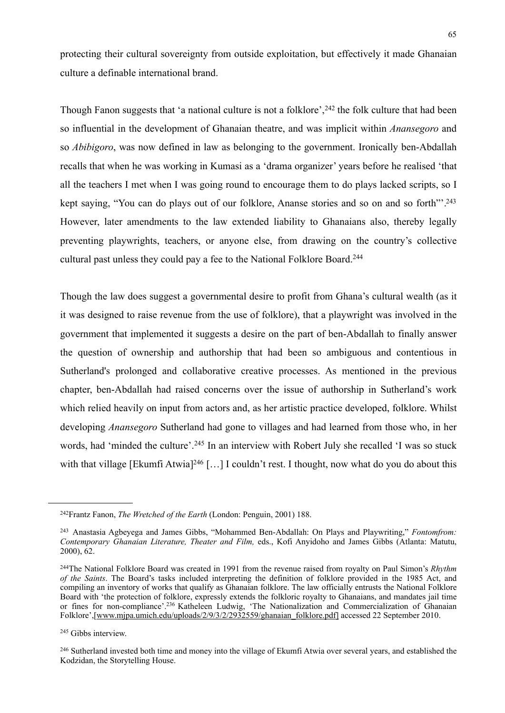protecting their cultural sovereignty from outside exploitation, but effectively it made Ghanaian culture a definable international brand.

Though Fanon suggests that 'a national culture is not a folklore', <sup>242</sup> the folk culture that had been so influential in the development of Ghanaian theatre, and was implicit within *Anansegoro* and so *Abibigoro*, was now defined in law as belonging to the government. Ironically ben-Abdallah recalls that when he was working in Kumasi as a 'drama organizer' years before he realised 'that all the teachers I met when I was going round to encourage them to do plays lacked scripts, so I kept saying, "You can do plays out of our folklore, Ananse stories and so on and so forth"<sup>243</sup> However, later amendments to the law extended liability to Ghanaians also, thereby legally preventing playwrights, teachers, or anyone else, from drawing on the country's collective cultural past unless they could pay a fee to the National Folklore Board.[244](#page-66-2)

Though the law does suggest a governmental desire to profit from Ghana's cultural wealth (as it it was designed to raise revenue from the use of folklore), that a playwright was involved in the government that implemented it suggests a desire on the part of ben-Abdallah to finally answer the question of ownership and authorship that had been so ambiguous and contentious in Sutherland's prolonged and collaborative creative processes. As mentioned in the previous chapter, ben-Abdallah had raised concerns over the issue of authorship in Sutherland's work which relied heavily on input from actors and, as her artistic practice developed, folklore. Whilst developing *Anansegoro* Sutherland had gone to villages and had learned from those who, in her words, had 'minded the culture'.<sup>245</sup> In an interview with Robert July she recalled 'I was so stuck with that village [Ekumfi Atwia]<sup>246</sup> [...] I couldn't rest. I thought, now what do you do about this

<span id="page-66-0"></span><sup>242</sup>Frantz Fanon, *The Wretched of the Earth* (London: Penguin, 2001) 188.

<span id="page-66-1"></span><sup>243</sup> Anastasia Agbeyega and James Gibbs, "Mohammed Ben-Abdallah: On Plays and Playwriting," *Fontomfrom: Contemporary Ghanaian Literature, Theater and Film,* eds., Kofi Anyidoho and James Gibbs (Atlanta: Matutu, 2000), 62.

<span id="page-66-2"></span><sup>244</sup>The National Folklore Board was created in 1991 from the revenue raised from royalty on Paul Simon's *Rhythm of the Saints*. The Board's tasks included interpreting the definition of folklore provided in the 1985 Act, and compiling an inventory of works that qualify as Ghanaian folklore. The law officially entrusts the National Folklore Board with 'the protection of folklore, expressly extends the folkloric royalty to Ghanaians, and mandates jail time or fines for non-compliance'.236 Katheleen Ludwig, 'The Nationalization and Commercialization of Ghanaian Folklore',[\[www.mjpa.umich.edu/uploads/2/9/3/2/2932559/ghanaian\\_folklore.pdf\]](http://www.mjpa.umich.edu/uploads/2/9/3/2/2932559/ghanaian_folklore.pdf%5D) accessed 22 September 2010.

<span id="page-66-3"></span><sup>245</sup> Gibbs interview.

<span id="page-66-4"></span><sup>246</sup> Sutherland invested both time and money into the village of Ekumfi Atwia over several years, and established the Kodzidan, the Storytelling House.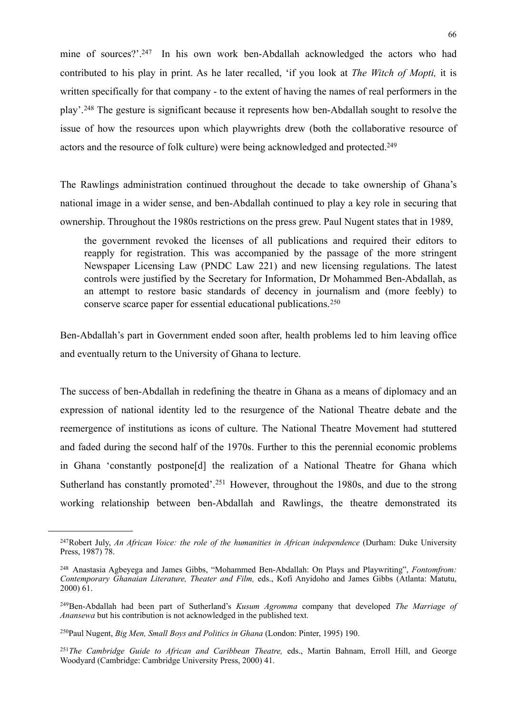mine of sources?'.<sup>247</sup> In his own work ben-Abdallah acknowledged the actors who had contributed to his play in print. As he later recalled, 'if you look at *The Witch of Mopti,* it is written specifically for that company - to the extent of having the names of real performers in the play'.[248](#page-67-1) The gesture is significant because it represents how ben-Abdallah sought to resolve the issue of how the resources upon which playwrights drew (both the collaborative resource of actors and the resource of folk culture) were being acknowledged and protected[.249](#page-67-2)

The Rawlings administration continued throughout the decade to take ownership of Ghana's national image in a wider sense, and ben-Abdallah continued to play a key role in securing that ownership. Throughout the 1980s restrictions on the press grew. Paul Nugent states that in 1989,

the government revoked the licenses of all publications and required their editors to reapply for registration. This was accompanied by the passage of the more stringent Newspaper Licensing Law (PNDC Law 221) and new licensing regulations. The latest controls were justified by the Secretary for Information, Dr Mohammed Ben-Abdallah, as an attempt to restore basic standards of decency in journalism and (more feebly) to conserve scarce paper for essential educational publications.[250](#page-67-3)

Ben-Abdallah's part in Government ended soon after, health problems led to him leaving office and eventually return to the University of Ghana to lecture.

The success of ben-Abdallah in redefining the theatre in Ghana as a means of diplomacy and an expression of national identity led to the resurgence of the National Theatre debate and the reemergence of institutions as icons of culture. The National Theatre Movement had stuttered and faded during the second half of the 1970s. Further to this the perennial economic problems in Ghana 'constantly postpone[d] the realization of a National Theatre for Ghana which Sutherland has constantly promoted'.<sup>251</sup> However, throughout the 1980s, and due to the strong working relationship between ben-Abdallah and Rawlings, the theatre demonstrated its

<span id="page-67-0"></span><sup>247</sup>Robert July, *An African Voice: the role of the humanities in African independence* (Durham: Duke University Press, 1987) 78.

<span id="page-67-1"></span><sup>248</sup> Anastasia Agbeyega and James Gibbs, "Mohammed Ben-Abdallah: On Plays and Playwriting", *Fontomfrom: Contemporary Ghanaian Literature, Theater and Film,* eds., Kofi Anyidoho and James Gibbs (Atlanta: Matutu, 2000) 61.

<span id="page-67-2"></span><sup>249</sup>Ben-Abdallah had been part of Sutherland's *Kusum Agromma* company that developed *The Marriage of Anansewa* but his contribution is not acknowledged in the published text.

<span id="page-67-3"></span><sup>250</sup>Paul Nugent, *Big Men, Small Boys and Politics in Ghana* (London: Pinter, 1995) 190.

<span id="page-67-4"></span><sup>251</sup>*The Cambridge Guide to African and Caribbean Theatre,* eds., Martin Bahnam, Erroll Hill, and George Woodyard (Cambridge: Cambridge University Press, 2000) 41.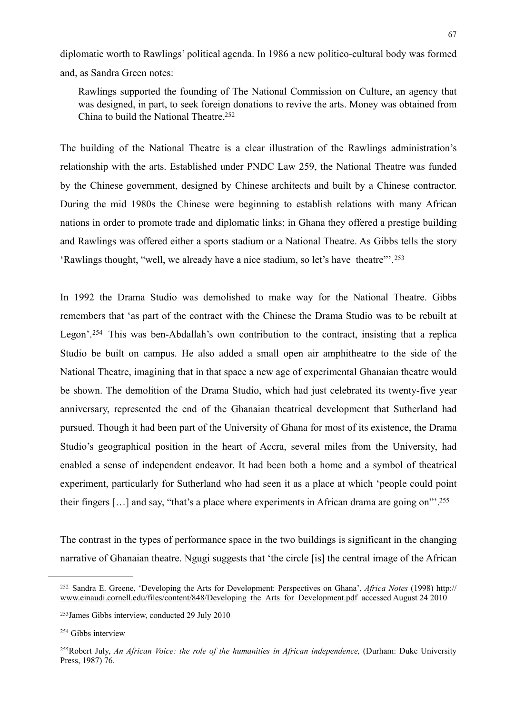diplomatic worth to Rawlings' political agenda. In 1986 a new politico-cultural body was formed and, as Sandra Green notes:

 Rawlings supported the founding of The National Commission on Culture, an agency that was designed, in part, to seek foreign donations to revive the arts. Money was obtained from China to build the National Theatre[.252](#page-68-0)

The building of the National Theatre is a clear illustration of the Rawlings administration's relationship with the arts. Established under PNDC Law 259, the National Theatre was funded by the Chinese government, designed by Chinese architects and built by a Chinese contractor. During the mid 1980s the Chinese were beginning to establish relations with many African nations in order to promote trade and diplomatic links; in Ghana they offered a prestige building and Rawlings was offered either a sports stadium or a National Theatre. As Gibbs tells the story 'Rawlings thought, "well, we already have a nice stadium, so let's have theatre"'.[253](#page-68-1)

In 1992 the Drama Studio was demolished to make way for the National Theatre. Gibbs remembers that 'as part of the contract with the Chinese the Drama Studio was to be rebuilt at Legon'.<sup>254</sup> This was ben-Abdallah's own contribution to the contract, insisting that a replica Studio be built on campus. He also added a small open air amphitheatre to the side of the National Theatre, imagining that in that space a new age of experimental Ghanaian theatre would be shown. The demolition of the Drama Studio, which had just celebrated its twenty-five year anniversary, represented the end of the Ghanaian theatrical development that Sutherland had pursued. Though it had been part of the University of Ghana for most of its existence, the Drama Studio's geographical position in the heart of Accra, several miles from the University, had enabled a sense of independent endeavor. It had been both a home and a symbol of theatrical experiment, particularly for Sutherland who had seen it as a place at which 'people could point their fingers […] and say, "that's a place where experiments in African drama are going on"'[.255](#page-68-3)

The contrast in the types of performance space in the two buildings is significant in the changing narrative of Ghanaian theatre. Ngugi suggests that 'the circle [is] the central image of the African

<span id="page-68-0"></span><sup>252</sup> Sandra E. Greene, 'Developing the Arts for Development: Perspectives on Ghana', *Africa Notes* (1998) [http://](http://www.einaudi.cornell.edu/files/content/848/Developing_the_Arts_for_Development.pdf) [www.einaudi.cornell.edu/files/content/848/Developing\\_the\\_Arts\\_for\\_Development.pdf](http://www.einaudi.cornell.edu/files/content/848/Developing_the_Arts_for_Development.pdf) accessed August 24 2010

<span id="page-68-1"></span><sup>253</sup>James Gibbs interview, conducted 29 July 2010

<span id="page-68-2"></span><sup>254</sup> Gibbs interview

<span id="page-68-3"></span><sup>&</sup>lt;sup>255</sup>Robert July, *An African Voice: the role of the humanities in African independence*, (Durham: Duke University Press, 1987) 76.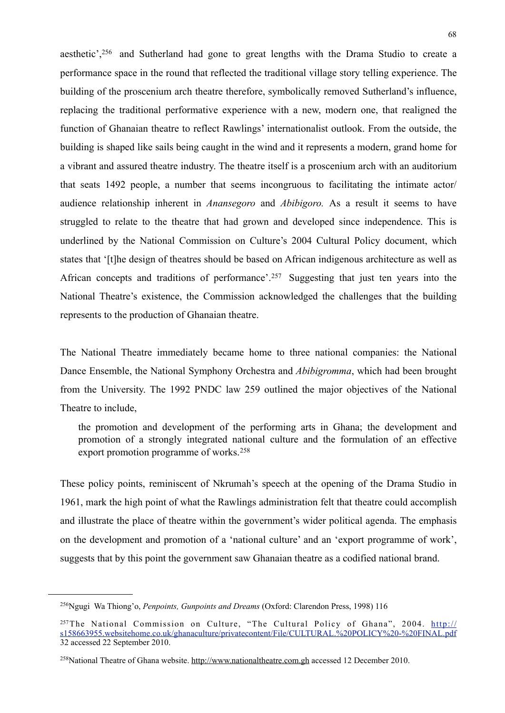aesthetic',[256](#page-69-0) and Sutherland had gone to great lengths with the Drama Studio to create a performance space in the round that reflected the traditional village story telling experience. The building of the proscenium arch theatre therefore, symbolically removed Sutherland's influence, replacing the traditional performative experience with a new, modern one, that realigned the function of Ghanaian theatre to reflect Rawlings' internationalist outlook. From the outside, the building is shaped like sails being caught in the wind and it represents a modern, grand home for a vibrant and assured theatre industry. The theatre itself is a proscenium arch with an auditorium that seats 1492 people, a number that seems incongruous to facilitating the intimate actor/ audience relationship inherent in *Anansegoro* and *Abibigoro.* As a result it seems to have struggled to relate to the theatre that had grown and developed since independence. This is underlined by the National Commission on Culture's 2004 Cultural Policy document, which states that '[t]he design of theatres should be based on African indigenous architecture as well as African concepts and traditions of performance'.[257](#page-69-1) Suggesting that just ten years into the National Theatre's existence, the Commission acknowledged the challenges that the building represents to the production of Ghanaian theatre.

The National Theatre immediately became home to three national companies: the National Dance Ensemble, the National Symphony Orchestra and *Abibigromma*, which had been brought from the University. The 1992 PNDC law 259 outlined the major objectives of the National Theatre to include,

 the promotion and development of the performing arts in Ghana; the development and promotion of a strongly integrated national culture and the formulation of an effective export promotion programme of works.[258](#page-69-2)

These policy points, reminiscent of Nkrumah's speech at the opening of the Drama Studio in 1961, mark the high point of what the Rawlings administration felt that theatre could accomplish and illustrate the place of theatre within the government's wider political agenda. The emphasis on the development and promotion of a 'national culture' and an 'export programme of work', suggests that by this point the government saw Ghanaian theatre as a codified national brand.

<span id="page-69-0"></span><sup>256</sup>Ngugi Wa Thiong'o, *Penpoints, Gunpoints and Dreams* (Oxford: Clarendon Press, 1998) 116

<span id="page-69-1"></span><sup>&</sup>lt;sup>257</sup>The National Commission on Culture, "The Cultural Policy of Ghana", 2004. [http://](http://s158663955.websitehome.co.uk/ghanaculture/privatecontent/File/CULTURAL.%20POLICY%20-%20FINAL.pdf) [s158663955.websitehome.co.uk/ghanaculture/privatecontent/File/CULTURAL.%20POLICY%20-%20FINAL.pdf](http://s158663955.websitehome.co.uk/ghanaculture/privatecontent/File/CULTURAL.%20POLICY%20-%20FINAL.pdf) 32 accessed 22 September 2010.

<span id="page-69-2"></span><sup>258</sup>National Theatre of Ghana website. [http://www.nationaltheatre.com.gh](http://www.nationaltheatre.com.gh/about) accessed 12 December 2010.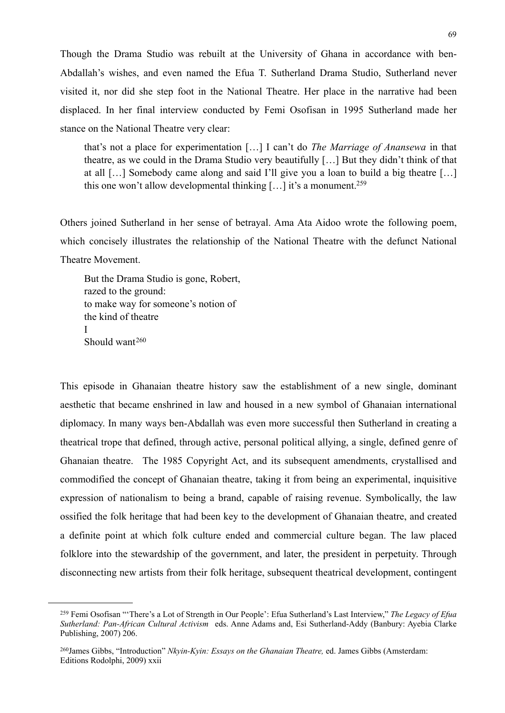Though the Drama Studio was rebuilt at the University of Ghana in accordance with ben-Abdallah's wishes, and even named the Efua T. Sutherland Drama Studio, Sutherland never visited it, nor did she step foot in the National Theatre. Her place in the narrative had been displaced. In her final interview conducted by Femi Osofisan in 1995 Sutherland made her stance on the National Theatre very clear:

that's not a place for experimentation […] I can't do *The Marriage of Anansewa* in that theatre, as we could in the Drama Studio very beautifully […] But they didn't think of that at all […] Somebody came along and said I'll give you a loan to build a big theatre […] this one won't allow developmental thinking  $[...]$  it's a monument.<sup>259</sup>

Others joined Sutherland in her sense of betrayal. Ama Ata Aidoo wrote the following poem, which concisely illustrates the relationship of the National Theatre with the defunct National Theatre Movement.

But the Drama Studio is gone, Robert, razed to the ground: to make way for someone's notion of the kind of theatre I Should want<sup>[260](#page-70-1)</sup>

This episode in Ghanaian theatre history saw the establishment of a new single, dominant aesthetic that became enshrined in law and housed in a new symbol of Ghanaian international diplomacy. In many ways ben-Abdallah was even more successful then Sutherland in creating a theatrical trope that defined, through active, personal political allying, a single, defined genre of Ghanaian theatre. The 1985 Copyright Act, and its subsequent amendments, crystallised and commodified the concept of Ghanaian theatre, taking it from being an experimental, inquisitive expression of nationalism to being a brand, capable of raising revenue. Symbolically, the law ossified the folk heritage that had been key to the development of Ghanaian theatre, and created a definite point at which folk culture ended and commercial culture began. The law placed folklore into the stewardship of the government, and later, the president in perpetuity. Through disconnecting new artists from their folk heritage, subsequent theatrical development, contingent

<span id="page-70-0"></span><sup>259</sup> Femi Osofisan "'There's a Lot of Strength in Our People': Efua Sutherland's Last Interview," *The Legacy of Efua Sutherland: Pan-African Cultural Activism* eds. Anne Adams and, Esi Sutherland-Addy (Banbury: Ayebia Clarke Publishing, 2007) 206.

<span id="page-70-1"></span><sup>260</sup>James Gibbs, "Introduction" *Nkyin-Kyin: Essays on the Ghanaian Theatre,* ed. James Gibbs (Amsterdam: Editions Rodolphi, 2009) xxii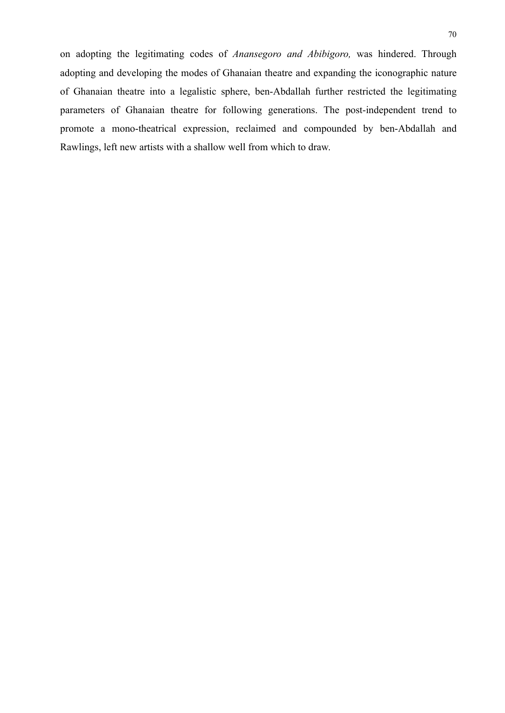on adopting the legitimating codes of *Anansegoro and Abibigoro,* was hindered. Through adopting and developing the modes of Ghanaian theatre and expanding the iconographic nature of Ghanaian theatre into a legalistic sphere, ben-Abdallah further restricted the legitimating parameters of Ghanaian theatre for following generations. The post-independent trend to promote a mono-theatrical expression, reclaimed and compounded by ben-Abdallah and Rawlings, left new artists with a shallow well from which to draw.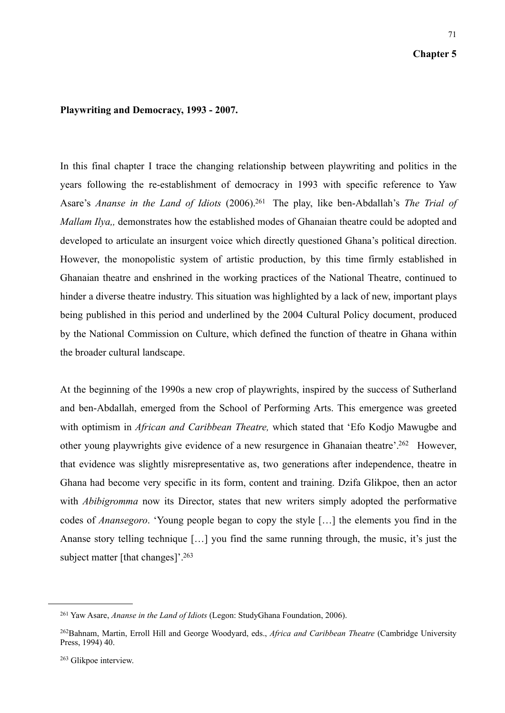#### **Chapter 5**

#### **Playwriting and Democracy, 1993 - 2007.**

In this final chapter I trace the changing relationship between playwriting and politics in the years following the re-establishment of democracy in 1993 with specific reference to Yaw Asare's *Ananse in the Land of Idiots* (2006)[.261](#page-72-0) The play, like ben-Abdallah's *The Trial of Mallam Ilya,, demonstrates how the established modes of Ghanaian theatre could be adopted and* developed to articulate an insurgent voice which directly questioned Ghana's political direction. However, the monopolistic system of artistic production, by this time firmly established in Ghanaian theatre and enshrined in the working practices of the National Theatre, continued to hinder a diverse theatre industry. This situation was highlighted by a lack of new, important plays being published in this period and underlined by the 2004 Cultural Policy document, produced by the National Commission on Culture, which defined the function of theatre in Ghana within the broader cultural landscape.

At the beginning of the 1990s a new crop of playwrights, inspired by the success of Sutherland and ben-Abdallah, emerged from the School of Performing Arts. This emergence was greeted with optimism in *African and Caribbean Theatre,* which stated that 'Efo Kodjo Mawugbe and other young playwrights give evidence of a new resurgence in Ghanaian theatre'[.262](#page-72-1) However, that evidence was slightly misrepresentative as, two generations after independence, theatre in Ghana had become very specific in its form, content and training. Dzifa Glikpoe, then an actor with *Abibigromma* now its Director, states that new writers simply adopted the performative codes of *Anansegoro*. 'Young people began to copy the style […] the elements you find in the Ananse story telling technique […] you find the same running through, the music, it's just the subject matter [that changes]'[.263](#page-72-2)

<span id="page-72-0"></span><sup>261</sup> Yaw Asare, *Ananse in the Land of Idiots* (Legon: StudyGhana Foundation, 2006).

<span id="page-72-1"></span><sup>262</sup>Bahnam, Martin, Erroll Hill and George Woodyard, eds., *Africa and Caribbean Theatre* (Cambridge University Press, 1994) 40.

<span id="page-72-2"></span><sup>263</sup> Glikpoe interview.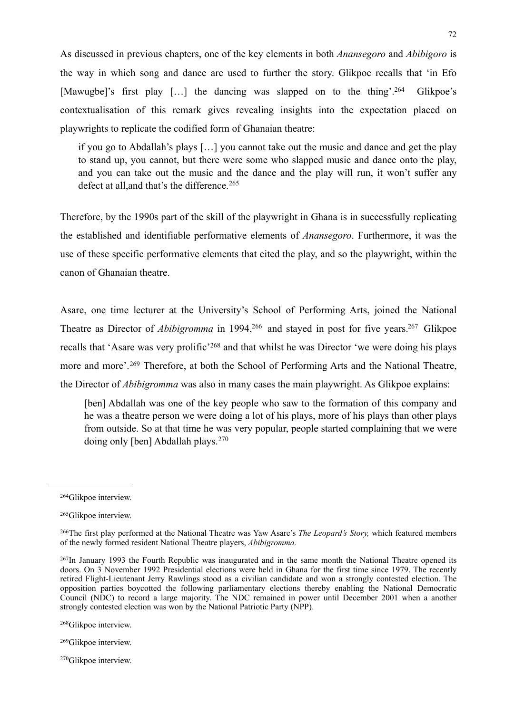As discussed in previous chapters, one of the key elements in both *Anansegoro* and *Abibigoro* is the way in which song and dance are used to further the story. Glikpoe recalls that 'in Efo [Mawugbe]'s first play […] the dancing was slapped on to the thing'[.264](#page-73-0) Glikpoe's contextualisation of this remark gives revealing insights into the expectation placed on playwrights to replicate the codified form of Ghanaian theatre:

 if you go to Abdallah's plays […] you cannot take out the music and dance and get the play to stand up, you cannot, but there were some who slapped music and dance onto the play, and you can take out the music and the dance and the play will run, it won't suffer any defect at all, and that's the difference.<sup>[265](#page-73-1)</sup>

Therefore, by the 1990s part of the skill of the playwright in Ghana is in successfully replicating the established and identifiable performative elements of *Anansegoro*. Furthermore, it was the use of these specific performative elements that cited the play, and so the playwright, within the canon of Ghanaian theatre.

Asare, one time lecturer at the University's School of Performing Arts, joined the National Theatre as Director of *Abibigromma* in 1994,<sup>266</sup> and stayed in post for five years.<sup>267</sup> Glikpoe recalls that 'Asare was very prolific'[268](#page-73-4) and that whilst he was Director 'we were doing his plays more and more'.<sup>269</sup> Therefore, at both the School of Performing Arts and the National Theatre, the Director of *Abibigromma* was also in many cases the main playwright. As Glikpoe explains:

[ben] Abdallah was one of the key people who saw to the formation of this company and he was a theatre person we were doing a lot of his plays, more of his plays than other plays from outside. So at that time he was very popular, people started complaining that we were doing only [ben] Abdallah plays.[270](#page-73-6)

<span id="page-73-4"></span>268Glikpoe interview.

<span id="page-73-6"></span>270Glikpoe interview.

<span id="page-73-0"></span><sup>264</sup>Glikpoe interview.

<span id="page-73-1"></span><sup>265</sup>Glikpoe interview.

<span id="page-73-2"></span><sup>266</sup>The first play performed at the National Theatre was Yaw Asare's *The Leopard's Story,* which featured members of the newly formed resident National Theatre players, *Abibigromma.* 

<span id="page-73-3"></span><sup>267</sup>In January 1993 the Fourth Republic was inaugurated and in the same month the National Theatre opened its doors. On 3 November 1992 Presidential elections were held in Ghana for the first time since 1979. The recently retired Flight-Lieutenant Jerry Rawlings stood as a civilian candidate and won a strongly contested election. The opposition parties boycotted the following parliamentary elections thereby enabling the National Democratic Council (NDC) to record a large majority. The NDC remained in power until December 2001 when a another strongly contested election was won by the National Patriotic Party (NPP).

<span id="page-73-5"></span><sup>269</sup>Glikpoe interview.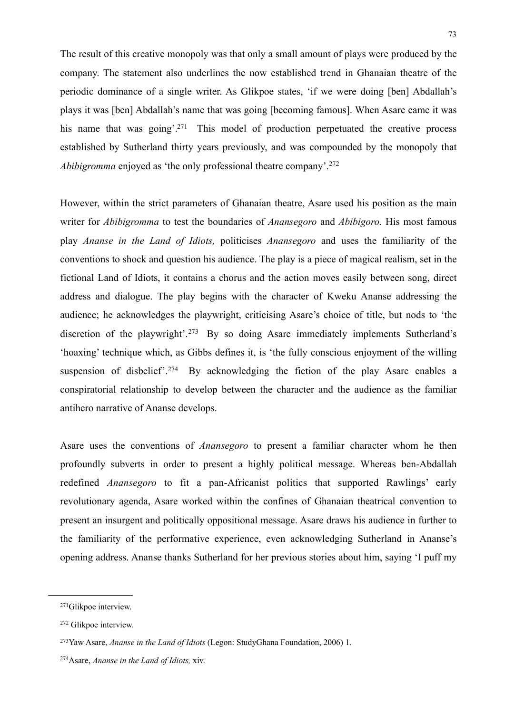The result of this creative monopoly was that only a small amount of plays were produced by the company. The statement also underlines the now established trend in Ghanaian theatre of the periodic dominance of a single writer. As Glikpoe states, 'if we were doing [ben] Abdallah's plays it was [ben] Abdallah's name that was going [becoming famous]. When Asare came it was his name that was going'.<sup>271</sup> This model of production perpetuated the creative process established by Sutherland thirty years previously, and was compounded by the monopoly that *Abibigromma* enjoyed as 'the only professional theatre company'.<sup>[272](#page-74-1)</sup>

However, within the strict parameters of Ghanaian theatre, Asare used his position as the main writer for *Abibigromma* to test the boundaries of *Anansegoro* and *Abibigoro.* His most famous play *Ananse in the Land of Idiots,* politicises *Anansegoro* and uses the familiarity of the conventions to shock and question his audience. The play is a piece of magical realism, set in the fictional Land of Idiots, it contains a chorus and the action moves easily between song, direct address and dialogue. The play begins with the character of Kweku Ananse addressing the audience; he acknowledges the playwright, criticising Asare's choice of title, but nods to 'the discretion of the playwright'.<sup>273</sup> By so doing Asare immediately implements Sutherland's 'hoaxing' technique which, as Gibbs defines it, is 'the fully conscious enjoyment of the willing suspension of disbelief'.<sup>274</sup> By acknowledging the fiction of the play Asare enables a conspiratorial relationship to develop between the character and the audience as the familiar antihero narrative of Ananse develops.

Asare uses the conventions of *Anansegoro* to present a familiar character whom he then profoundly subverts in order to present a highly political message. Whereas ben-Abdallah redefined *Anansegoro* to fit a pan-Africanist politics that supported Rawlings' early revolutionary agenda, Asare worked within the confines of Ghanaian theatrical convention to present an insurgent and politically oppositional message. Asare draws his audience in further to the familiarity of the performative experience, even acknowledging Sutherland in Ananse's opening address. Ananse thanks Sutherland for her previous stories about him, saying 'I puff my

<span id="page-74-0"></span><sup>271</sup>Glikpoe interview.

<span id="page-74-1"></span><sup>272</sup> Glikpoe interview.

<span id="page-74-2"></span><sup>273</sup>Yaw Asare, *Ananse in the Land of Idiots* (Legon: StudyGhana Foundation, 2006) 1.

<span id="page-74-3"></span><sup>274</sup>Asare, *Ananse in the Land of Idiots,* xiv.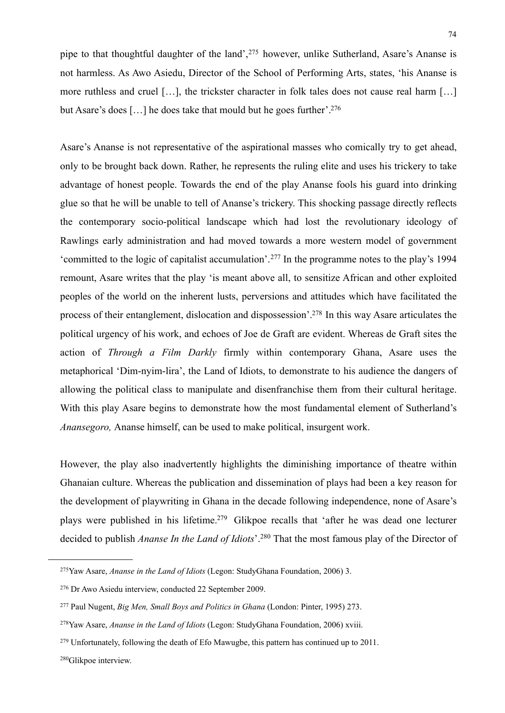pipe to that thoughtful daughter of the land',[275](#page-75-0) however, unlike Sutherland, Asare's Ananse is not harmless. As Awo Asiedu, Director of the School of Performing Arts, states, 'his Ananse is more ruthless and cruel […], the trickster character in folk tales does not cause real harm […] but Asare's does [...] he does take that mould but he goes further'.<sup>276</sup>

Asare's Ananse is not representative of the aspirational masses who comically try to get ahead, only to be brought back down. Rather, he represents the ruling elite and uses his trickery to take advantage of honest people. Towards the end of the play Ananse fools his guard into drinking glue so that he will be unable to tell of Ananse's trickery. This shocking passage directly reflects the contemporary socio-political landscape which had lost the revolutionary ideology of Rawlings early administration and had moved towards a more western model of government 'committed to the logic of capitalist accumulation'.[277](#page-75-2) In the programme notes to the play's 1994 remount, Asare writes that the play 'is meant above all, to sensitize African and other exploited peoples of the world on the inherent lusts, perversions and attitudes which have facilitated the process of their entanglement, dislocation and dispossession'[.278](#page-75-3) In this way Asare articulates the political urgency of his work, and echoes of Joe de Graft are evident. Whereas de Graft sites the action of *Through a Film Darkly* firmly within contemporary Ghana, Asare uses the metaphorical 'Dim-nyim-lira', the Land of Idiots, to demonstrate to his audience the dangers of allowing the political class to manipulate and disenfranchise them from their cultural heritage. With this play Asare begins to demonstrate how the most fundamental element of Sutherland's *Anansegoro,* Ananse himself, can be used to make political, insurgent work.

However, the play also inadvertently highlights the diminishing importance of theatre within Ghanaian culture. Whereas the publication and dissemination of plays had been a key reason for the development of playwriting in Ghana in the decade following independence, none of Asare's plays were published in his lifetime.<sup>279</sup> Glikpoe recalls that 'after he was dead one lecturer decided to publish *Ananse In the Land of Idiots*'.[280](#page-75-5) That the most famous play of the Director of

<span id="page-75-0"></span><sup>275</sup>Yaw Asare, *Ananse in the Land of Idiots* (Legon: StudyGhana Foundation, 2006) 3.

<span id="page-75-1"></span><sup>276</sup> Dr Awo Asiedu interview, conducted 22 September 2009.

<span id="page-75-2"></span><sup>277</sup> Paul Nugent, *Big Men, Small Boys and Politics in Ghana* (London: Pinter, 1995) 273.

<span id="page-75-3"></span><sup>278</sup>Yaw Asare, *Ananse in the Land of Idiots* (Legon: StudyGhana Foundation, 2006) xviii.

<span id="page-75-4"></span> $279$  Unfortunately, following the death of Efo Mawugbe, this pattern has continued up to 2011.

<span id="page-75-5"></span><sup>280</sup>Glikpoe interview.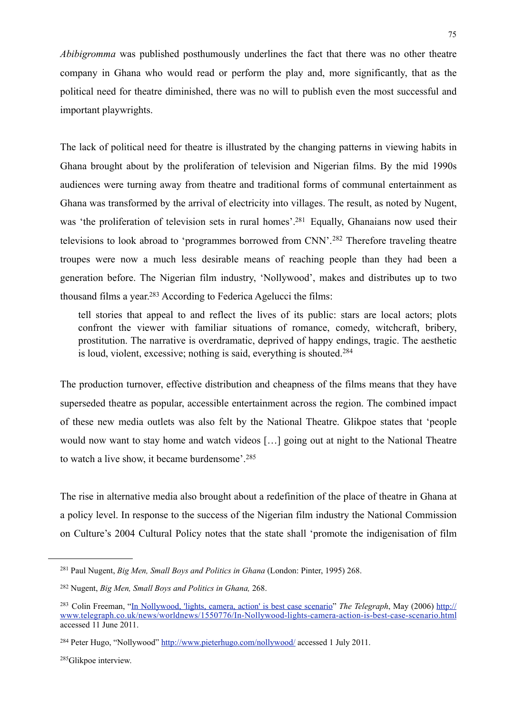*Abibigromma* was published posthumously underlines the fact that there was no other theatre company in Ghana who would read or perform the play and, more significantly, that as the political need for theatre diminished, there was no will to publish even the most successful and important playwrights.

The lack of political need for theatre is illustrated by the changing patterns in viewing habits in Ghana brought about by the proliferation of television and Nigerian films. By the mid 1990s audiences were turning away from theatre and traditional forms of communal entertainment as Ghana was transformed by the arrival of electricity into villages. The result, as noted by Nugent, was 'the proliferation of television sets in rural homes'[.281](#page-76-0) Equally, Ghanaians now used their televisions to look abroad to 'programmes borrowed from CNN'.[282](#page-76-1) Therefore traveling theatre troupes were now a much less desirable means of reaching people than they had been a generation before. The Nigerian film industry, 'Nollywood', makes and distributes up to two thousand films a year[.283](#page-76-2) According to Federica Agelucci the films:

 tell stories that appeal to and reflect the lives of its public: stars are local actors; plots confront the viewer with familiar situations of romance, comedy, witchcraft, bribery, prostitution. The narrative is overdramatic, deprived of happy endings, tragic. The aesthetic is loud, violent, excessive; nothing is said, everything is shouted.[284](#page-76-3)

The production turnover, effective distribution and cheapness of the films means that they have superseded theatre as popular, accessible entertainment across the region. The combined impact of these new media outlets was also felt by the National Theatre. Glikpoe states that 'people would now want to stay home and watch videos […] going out at night to the National Theatre to watch a live show, it became burdensome'.[285](#page-76-4)

The rise in alternative media also brought about a redefinition of the place of theatre in Ghana at a policy level. In response to the success of the Nigerian film industry the National Commission on Culture's 2004 Cultural Policy notes that the state shall 'promote the indigenisation of film

<span id="page-76-4"></span>285Glikpoe interview.

<span id="page-76-0"></span><sup>281</sup> Paul Nugent, *Big Men, Small Boys and Politics in Ghana* (London: Pinter, 1995) 268.

<span id="page-76-1"></span><sup>282</sup> Nugent, *Big Men, Small Boys and Politics in Ghana,* 268.

<span id="page-76-2"></span><sup>283</sup> Colin Freeman, "[In Nollywood, 'lights, camera, action' is best case scenario](http://www.telegraph.co.uk/news/worldnews/1550776/In-Nollywood-lights-camera-action-is-best-case-scenario.html)" *The Telegraph*, May (2006) [http://](http://www.telegraph.co.uk/news/worldnews/1550776/In-Nollywood-lights-camera-action-is-best-case-scenario.html) [www.telegraph.co.uk/news/worldnews/1550776/In-Nollywood-lights-camera-action-is-best-case-scenario.html](http://www.telegraph.co.uk/news/worldnews/1550776/In-Nollywood-lights-camera-action-is-best-case-scenario.html) accessed 11 June 2011.

<span id="page-76-3"></span><sup>&</sup>lt;sup>284</sup> Peter Hugo, "Nollywood"<http://www.pieterhugo.com/nollywood/> accessed 1 July 2011.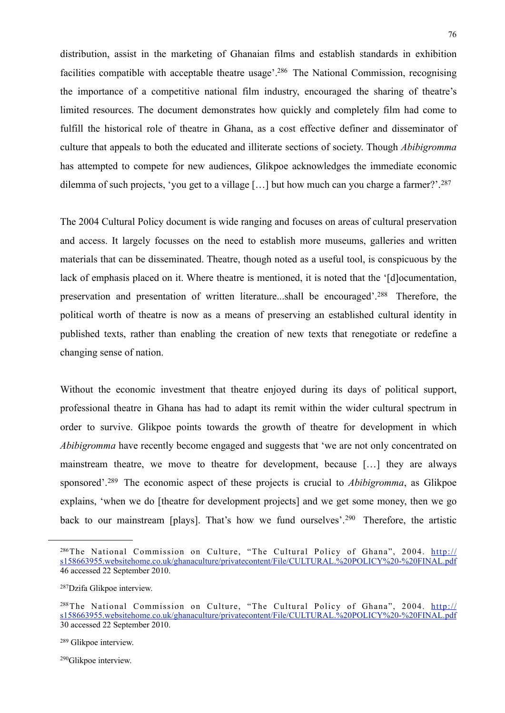distribution, assist in the marketing of Ghanaian films and establish standards in exhibition facilities compatible with acceptable theatre usage<sup>2</sup><sup>286</sup> The National Commission, recognising the importance of a competitive national film industry, encouraged the sharing of theatre's limited resources. The document demonstrates how quickly and completely film had come to fulfill the historical role of theatre in Ghana, as a cost effective definer and disseminator of culture that appeals to both the educated and illiterate sections of society. Though *Abibigromma* has attempted to compete for new audiences, Glikpoe acknowledges the immediate economic dilemma of such projects, 'you get to a village [...] but how much can you charge a farmer?'.<sup>[287](#page-77-1)</sup>

The 2004 Cultural Policy document is wide ranging and focuses on areas of cultural preservation and access. It largely focusses on the need to establish more museums, galleries and written materials that can be disseminated. Theatre, though noted as a useful tool, is conspicuous by the lack of emphasis placed on it. Where theatre is mentioned, it is noted that the '[d]ocumentation, preservation and presentation of written literature...shall be encouraged'.[288](#page-77-2) Therefore, the political worth of theatre is now as a means of preserving an established cultural identity in published texts, rather than enabling the creation of new texts that renegotiate or redefine a changing sense of nation.

Without the economic investment that theatre enjoyed during its days of political support, professional theatre in Ghana has had to adapt its remit within the wider cultural spectrum in order to survive. Glikpoe points towards the growth of theatre for development in which *Abibigromma* have recently become engaged and suggests that 'we are not only concentrated on mainstream theatre, we move to theatre for development, because […] they are always sponsored'.[289](#page-77-3) The economic aspect of these projects is crucial to *Abibigromma*, as Glikpoe explains, 'when we do [theatre for development projects] and we get some money, then we go back to our mainstream [plays]. That's how we fund ourselves'.<sup>290</sup> Therefore, the artistic

<span id="page-77-0"></span><sup>&</sup>lt;sup>286</sup>The National Commission on Culture, "The Cultural Policy of Ghana", 2004. [http://](http://s158663955.websitehome.co.uk/ghanaculture/privatecontent/File/CULTURAL.%20POLICY%20-%20FINAL.pdf) [s158663955.websitehome.co.uk/ghanaculture/privatecontent/File/CULTURAL.%20POLICY%20-%20FINAL.pdf](http://s158663955.websitehome.co.uk/ghanaculture/privatecontent/File/CULTURAL.%20POLICY%20-%20FINAL.pdf) 46 accessed 22 September 2010.

<span id="page-77-1"></span><sup>287</sup>Dzifa Glikpoe interview.

<span id="page-77-2"></span><sup>288</sup>The National Commission on Culture, "The Cultural Policy of Ghana", 2004. [http://](http://s158663955.websitehome.co.uk/ghanaculture/privatecontent/File/CULTURAL.%20POLICY%20-%20FINAL.pdf) [s158663955.websitehome.co.uk/ghanaculture/privatecontent/File/CULTURAL.%20POLICY%20-%20FINAL.pdf](http://s158663955.websitehome.co.uk/ghanaculture/privatecontent/File/CULTURAL.%20POLICY%20-%20FINAL.pdf) 30 accessed 22 September 2010.

<span id="page-77-3"></span><sup>289</sup> Glikpoe interview.

<span id="page-77-4"></span><sup>290</sup>Glikpoe interview.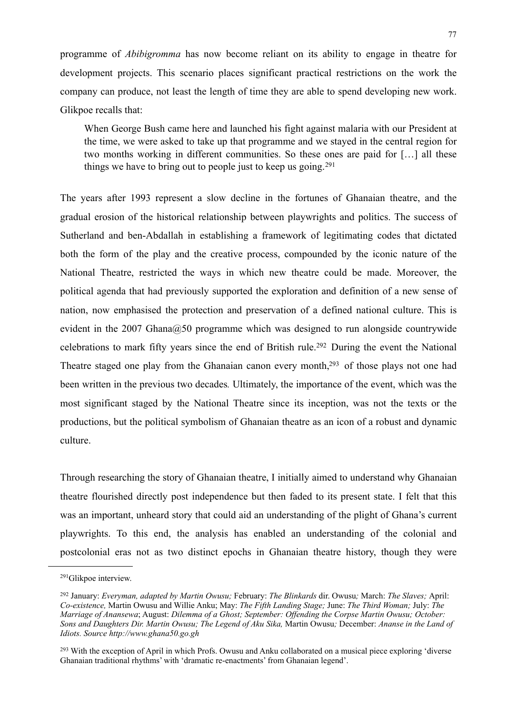programme of *Abibigromma* has now become reliant on its ability to engage in theatre for development projects. This scenario places significant practical restrictions on the work the company can produce, not least the length of time they are able to spend developing new work. Glikpoe recalls that:

When George Bush came here and launched his fight against malaria with our President at the time, we were asked to take up that programme and we stayed in the central region for two months working in different communities. So these ones are paid for […] all these things we have to bring out to people just to keep us going.<sup>[291](#page-78-0)</sup>

The years after 1993 represent a slow decline in the fortunes of Ghanaian theatre, and the gradual erosion of the historical relationship between playwrights and politics. The success of Sutherland and ben-Abdallah in establishing a framework of legitimating codes that dictated both the form of the play and the creative process, compounded by the iconic nature of the National Theatre, restricted the ways in which new theatre could be made. Moreover, the political agenda that had previously supported the exploration and definition of a new sense of nation, now emphasised the protection and preservation of a defined national culture. This is evident in the 2007 Ghana $@50$  programme which was designed to run alongside countrywide celebrations to mark fifty years since the end of British rule.[292](#page-78-1) During the event the National Theatre staged one play from the Ghanaian canon every month,<sup>293</sup> of those plays not one had been written in the previous two decades*.* Ultimately, the importance of the event, which was the most significant staged by the National Theatre since its inception, was not the texts or the productions, but the political symbolism of Ghanaian theatre as an icon of a robust and dynamic culture.

Through researching the story of Ghanaian theatre, I initially aimed to understand why Ghanaian theatre flourished directly post independence but then faded to its present state. I felt that this was an important, unheard story that could aid an understanding of the plight of Ghana's current playwrights. To this end, the analysis has enabled an understanding of the colonial and postcolonial eras not as two distinct epochs in Ghanaian theatre history, though they were

<span id="page-78-0"></span><sup>291</sup>Glikpoe interview.

<span id="page-78-1"></span><sup>292</sup> January: *Everyman, adapted by Martin Owusu;* February: *The Blinkards* dir. Owusu*;* March: *The Slaves;* April: *Co-existence,* Martin Owusu and Willie Anku; May: *The Fifth Landing Stage;* June: *The Third Woman;* July: *The Marriage of Anansewa*; August: *Dilemma of a Ghost; September: Offending the Corpse Martin Owusu; October: Sons and Daughters Dir. Martin Owusu; The Legend of Aku Sika,* Martin Owusu*;* December: *Ananse in the Land of Idiots. Source http://www.ghana50.go.gh*

<span id="page-78-2"></span><sup>&</sup>lt;sup>293</sup> With the exception of April in which Profs. Owusu and Anku collaborated on a musical piece exploring 'diverse Ghanaian traditional rhythms' with 'dramatic re-enactments' from Ghanaian legend'.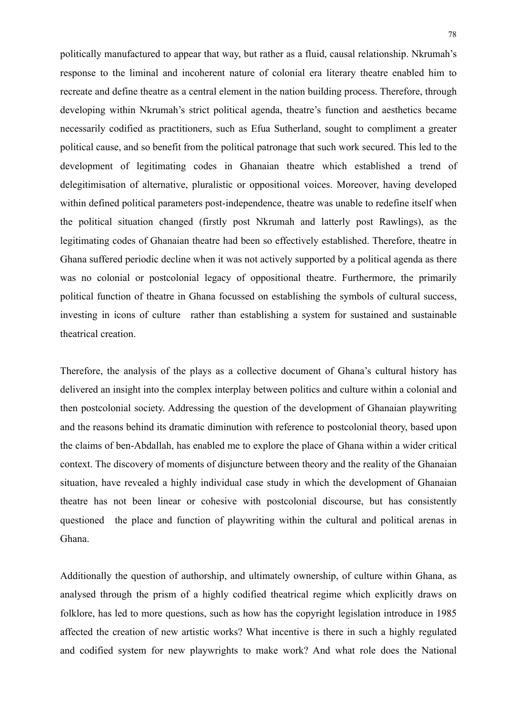politically manufactured to appear that way, but rather as a fluid, causal relationship. Nkrumah's response to the liminal and incoherent nature of colonial era literary theatre enabled him to recreate and define theatre as a central element in the nation building process. Therefore, through developing within Nkrumah's strict political agenda, theatre's function and aesthetics became necessarily codified as practitioners, such as Efua Sutherland, sought to compliment a greater political cause, and so benefit from the political patronage that such work secured. This led to the development of legitimating codes in Ghanaian theatre which established a trend of delegitimisation of alternative, pluralistic or oppositional voices. Moreover, having developed within defined political parameters post-independence, theatre was unable to redefine itself when the political situation changed (firstly post Nkrumah and latterly post Rawlings), as the legitimating codes of Ghanaian theatre had been so effectively established. Therefore, theatre in Ghana suffered periodic decline when it was not actively supported by a political agenda as there was no colonial or postcolonial legacy of oppositional theatre. Furthermore, the primarily political function of theatre in Ghana focussed on establishing the symbols of cultural success, investing in icons of culture rather than establishing a system for sustained and sustainable theatrical creation.

Therefore, the analysis of the plays as a collective document of Ghana's cultural history has delivered an insight into the complex interplay between politics and culture within a colonial and then postcolonial society. Addressing the question of the development of Ghanaian playwriting and the reasons behind its dramatic diminution with reference to postcolonial theory, based upon the claims of ben-Abdallah, has enabled me to explore the place of Ghana within a wider critical context. The discovery of moments of disjuncture between theory and the reality of the Ghanaian situation, have revealed a highly individual case study in which the development of Ghanaian theatre has not been linear or cohesive with postcolonial discourse, but has consistently questioned the place and function of playwriting within the cultural and political arenas in Ghana.

Additionally the question of authorship, and ultimately ownership, of culture within Ghana, as analysed through the prism of a highly codified theatrical regime which explicitly draws on folklore, has led to more questions, such as how has the copyright legislation introduce in 1985 affected the creation of new artistic works? What incentive is there in such a highly regulated and codified system for new playwrights to make work? And what role does the National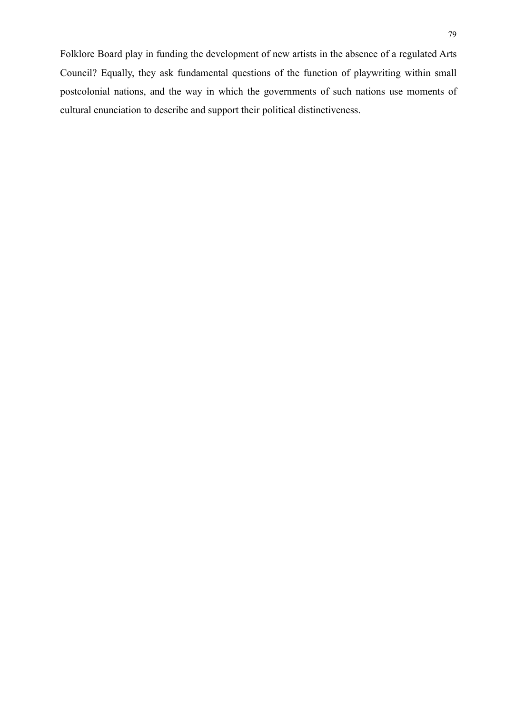Folklore Board play in funding the development of new artists in the absence of a regulated Arts Council? Equally, they ask fundamental questions of the function of playwriting within small postcolonial nations, and the way in which the governments of such nations use moments of cultural enunciation to describe and support their political distinctiveness.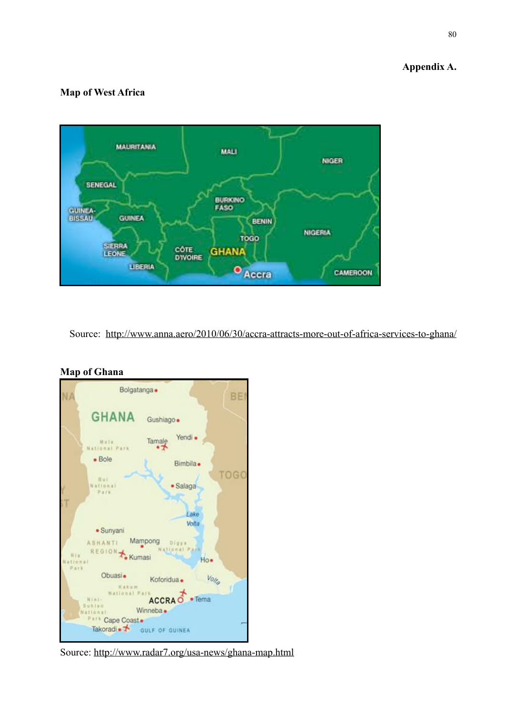## **Appendix A.**

### **Map of West Africa**



Source: <http://www.anna.aero/2010/06/30/accra-attracts-more-out-of-africa-services-to-ghana/>



## **Map of Ghana**

Source: <http://www.radar7.org/usa-news/ghana-map.html>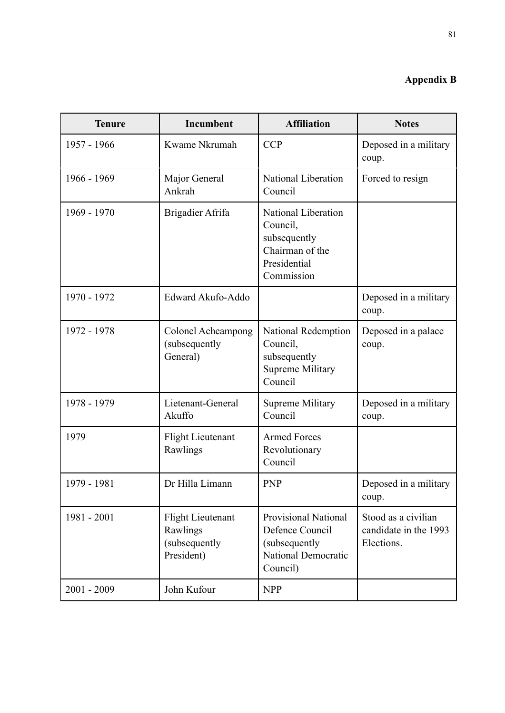# **Appendix B**

| <b>Tenure</b> | Incumbent                                                           | <b>Affiliation</b>                                                                                 | <b>Notes</b>                                               |
|---------------|---------------------------------------------------------------------|----------------------------------------------------------------------------------------------------|------------------------------------------------------------|
| 1957 - 1966   | Kwame Nkrumah                                                       | <b>CCP</b>                                                                                         | Deposed in a military<br>coup.                             |
| 1966 - 1969   | Major General<br>Ankrah                                             | National Liberation<br>Council                                                                     | Forced to resign                                           |
| 1969 - 1970   | Brigadier Afrifa                                                    | National Liberation<br>Council,<br>subsequently<br>Chairman of the<br>Presidential<br>Commission   |                                                            |
| 1970 - 1972   | Edward Akufo-Addo                                                   |                                                                                                    | Deposed in a military<br>coup.                             |
| 1972 - 1978   | Colonel Acheampong<br>(subsequently<br>General)                     | National Redemption<br>Council,<br>subsequently<br><b>Supreme Military</b><br>Council              | Deposed in a palace<br>coup.                               |
| 1978 - 1979   | Lietenant-General<br>Akuffo                                         | <b>Supreme Military</b><br>Council                                                                 | Deposed in a military<br>coup.                             |
| 1979          | <b>Flight Lieutenant</b><br>Rawlings                                | <b>Armed Forces</b><br>Revolutionary<br>Council                                                    |                                                            |
| 1979 - 1981   | Dr Hilla Limann                                                     | <b>PNP</b>                                                                                         | Deposed in a military<br>coup.                             |
| 1981 - 2001   | <b>Flight Lieutenant</b><br>Rawlings<br>(subsequently<br>President) | <b>Provisional National</b><br>Defence Council<br>(subsequently<br>National Democratic<br>Council) | Stood as a civilian<br>candidate in the 1993<br>Elections. |
| $2001 - 2009$ | John Kufour                                                         | <b>NPP</b>                                                                                         |                                                            |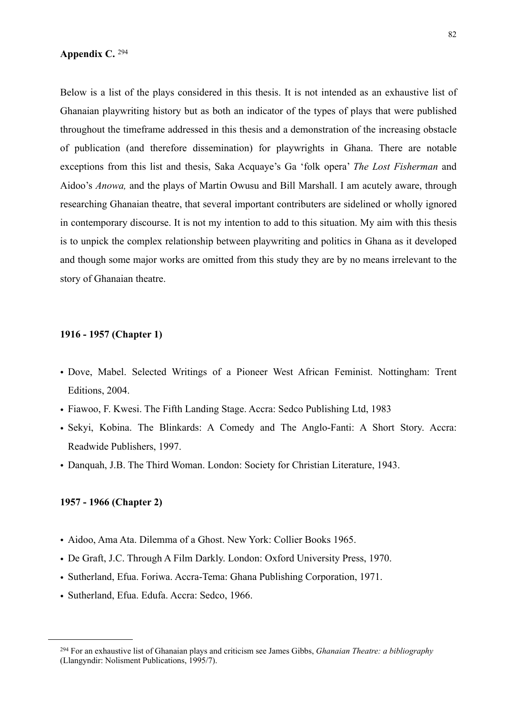#### **Appendix C.** [294](#page-83-0)

Below is a list of the plays considered in this thesis. It is not intended as an exhaustive list of Ghanaian playwriting history but as both an indicator of the types of plays that were published throughout the timeframe addressed in this thesis and a demonstration of the increasing obstacle of publication (and therefore dissemination) for playwrights in Ghana. There are notable exceptions from this list and thesis, Saka Acquaye's Ga 'folk opera' *The Lost Fisherman* and Aidoo's *Anowa,* and the plays of Martin Owusu and Bill Marshall. I am acutely aware, through researching Ghanaian theatre, that several important contributers are sidelined or wholly ignored in contemporary discourse. It is not my intention to add to this situation. My aim with this thesis is to unpick the complex relationship between playwriting and politics in Ghana as it developed and though some major works are omitted from this study they are by no means irrelevant to the story of Ghanaian theatre.

#### **1916 - 1957 (Chapter 1)**

- Dove, Mabel. Selected Writings of a Pioneer West African Feminist. Nottingham: Trent Editions, 2004.
- Fiawoo, F. Kwesi. The Fifth Landing Stage. Accra: Sedco Publishing Ltd, 1983
- Sekyi, Kobina. The Blinkards: A Comedy and The Anglo-Fanti: A Short Story. Accra: Readwide Publishers, 1997.
- Danquah, J.B. The Third Woman. London: Society for Christian Literature, 1943.

#### **1957 - 1966 (Chapter 2)**

- Aidoo, Ama Ata. Dilemma of a Ghost. New York: Collier Books 1965.
- De Graft, J.C. Through A Film Darkly. London: Oxford University Press, 1970.
- Sutherland, Efua. Foriwa. Accra-Tema: Ghana Publishing Corporation, 1971.
- Sutherland, Efua. Edufa. Accra: Sedco, 1966.

<span id="page-83-0"></span><sup>294</sup> For an exhaustive list of Ghanaian plays and criticism see James Gibbs, *Ghanaian Theatre: a bibliography* (Llangyndir: Nolisment Publications, 1995/7).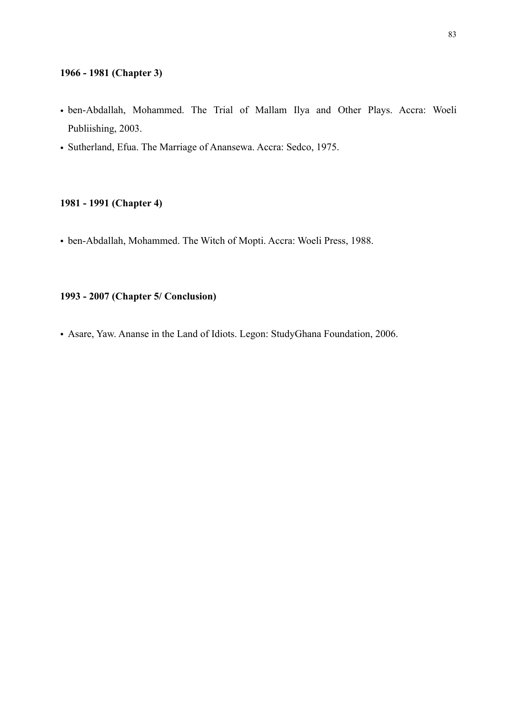#### **1966 - 1981 (Chapter 3)**

- ben-Abdallah, Mohammed. The Trial of Mallam Ilya and Other Plays. Accra: Woeli Publiishing, 2003.
- Sutherland, Efua. The Marriage of Anansewa. Accra: Sedco, 1975.

#### **1981 - 1991 (Chapter 4)**

• ben-Abdallah, Mohammed. The Witch of Mopti. Accra: Woeli Press, 1988.

# **1993 - 2007 (Chapter 5/ Conclusion)**

• Asare, Yaw. Ananse in the Land of Idiots. Legon: StudyGhana Foundation, 2006.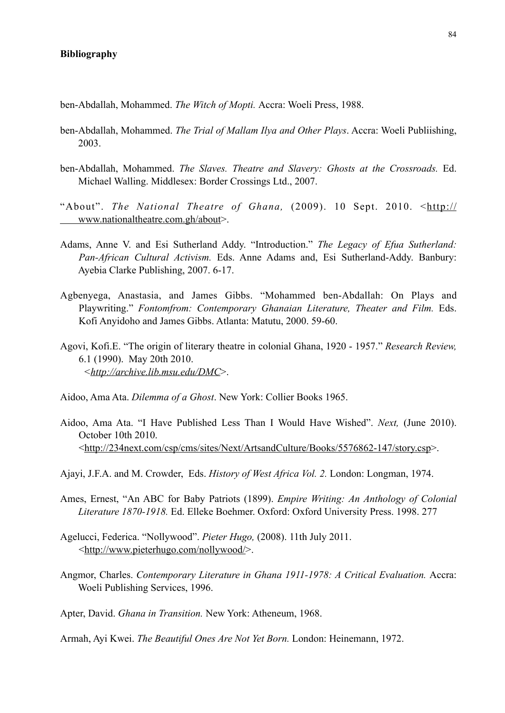#### **Bibliography**

ben-Abdallah, Mohammed. *The Witch of Mopti.* Accra: Woeli Press, 1988.

- ben-Abdallah, Mohammed. *The Trial of Mallam Ilya and Other Plays*. Accra: Woeli Publiishing, 2003.
- ben-Abdallah, Mohammed. *The Slaves. Theatre and Slavery: Ghosts at the Crossroads.* Ed. Michael Walling. Middlesex: Border Crossings Ltd., 2007.
- "About". *The National Theatre of Ghana*, (2009). 10 Sept. 2010. <[http://](http://www.nationaltheatre.com.gh/about)  [www.nationaltheatre.com.gh/about](http://www.nationaltheatre.com.gh/about)>.
- Adams, Anne V. and Esi Sutherland Addy. "Introduction." *The Legacy of Efua Sutherland: Pan-African Cultural Activism.* Eds. Anne Adams and, Esi Sutherland-Addy. Banbury: Ayebia Clarke Publishing, 2007. 6-17.
- Agbenyega, Anastasia, and James Gibbs. "Mohammed ben-Abdallah: On Plays and Playwriting." *Fontomfrom: Contemporary Ghanaian Literature, Theater and Film.* Eds. Kofi Anyidoho and James Gibbs. Atlanta: Matutu, 2000. 59-60.
- Agovi, Kofi.E. "The origin of literary theatre in colonial Ghana, 1920 1957." *Research Review,*  6.1 (1990). May 20th 2010. *<<http://archive.lib.msu.edu/DMC>*>.
- Aidoo, Ama Ata. *Dilemma of a Ghost*. New York: Collier Books 1965.
- Aidoo, Ama Ata. "I Have Published Less Than I Would Have Wished". *Next,* (June 2010). October 10th 2010. <<http://234next.com/csp/cms/sites/Next/ArtsandCulture/Books/5576862-147/story.csp>>.
- Ajayi, J.F.A. and M. Crowder, Eds. *History of West Africa Vol. 2.* London: Longman, 1974.
- Ames, Ernest, "An ABC for Baby Patriots (1899). *Empire Writing: An Anthology of Colonial Literature 1870-1918.* Ed. Elleke Boehmer. Oxford: Oxford University Press. 1998. 277
- Agelucci, Federica. "Nollywood". *Pieter Hugo,* (2008). 11th July 2011. <<http://www.pieterhugo.com/nollywood/>>.
- Angmor, Charles. *Contemporary Literature in Ghana 1911-1978: A Critical Evaluation*. Accra: Woeli Publishing Services, 1996.
- Apter, David. *Ghana in Transition.* New York: Atheneum, 1968.

Armah, Ayi Kwei. *The Beautiful Ones Are Not Yet Born.* London: Heinemann, 1972.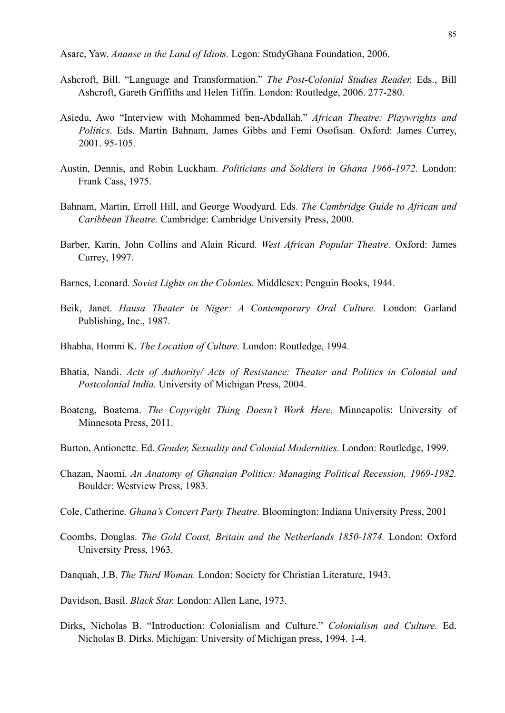Asare, Yaw. *Ananse in the Land of Idiots.* Legon: StudyGhana Foundation, 2006.

- Ashcroft, Bill. "Language and Transformation." *The Post-Colonial Studies Reader.* Eds., Bill Ashcroft, Gareth Griffiths and Helen Tiffin. London: Routledge, 2006. 277-280.
- Asiedu, Awo "Interview with Mohammed ben-Abdallah." *African Theatre: Playwrights and Politics*. Eds. Martin Bahnam, James Gibbs and Femi Osofisan. Oxford: James Currey, 2001. 95-105.
- Austin, Dennis, and Robin Luckham. *Politicians and Soldiers in Ghana 1966-1972*. London: Frank Cass, 1975.
- Bahnam, Martin, Erroll Hill, and George Woodyard. Eds. *The Cambridge Guide to African and Caribbean Theatre.* Cambridge: Cambridge University Press, 2000.
- Barber, Karin, John Collins and Alain Ricard. *West African Popular Theatre.* Oxford: James Currey, 1997.
- Barnes, Leonard. *Soviet Lights on the Colonies.* Middlesex: Penguin Books, 1944.
- Beik, Janet. *Hausa Theater in Niger: A Contemporary Oral Culture.* London: Garland Publishing, Inc., 1987.
- Bhabha, Homni K. *The Location of Culture.* London: Routledge, 1994.
- Bhatia, Nandi. *Acts of Authority/ Acts of Resistance: Theater and Politics in Colonial and Postcolonial India.* University of Michigan Press, 2004.
- Boateng, Boatema. *The Copyright Thing Doesn't Work Here.* Minneapolis: University of Minnesota Press, 2011.
- Burton, Antionette. Ed. *Gender, Sexuality and Colonial Modernities.* London: Routledge, 1999.
- Chazan, Naomi. *An Anatomy of Ghanaian Politics: Managing Political Recession, 1969-1982.*  Boulder: Westview Press, 1983.
- Cole, Catherine. *Ghana's Concert Party Theatre.* Bloomington: Indiana University Press, 2001
- Coombs, Douglas. *The Gold Coast, Britain and the Netherlands 1850-1874.* London: Oxford University Press, 1963.
- Danquah, J.B. *The Third Woman.* London: Society for Christian Literature, 1943.
- Davidson, Basil. *Black Star.* London: Allen Lane, 1973.
- Dirks, Nicholas B. "Introduction: Colonialism and Culture." *Colonialism and Culture.* Ed. Nicholas B. Dirks. Michigan: University of Michigan press, 1994. 1-4.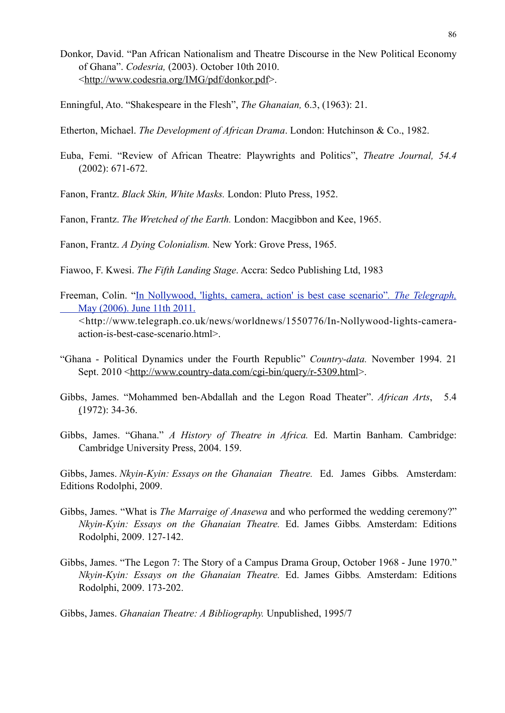- Donkor, David. "Pan African Nationalism and Theatre Discourse in the New Political Economy of Ghana". *Codesria,* (2003). October 10th 2010. <[http://www.codesria.org/IMG/pdf/donkor.pdf>](http://www.codesria.org/IMG/pdf/donkor.pdf).
- Enningful, Ato. "Shakespeare in the Flesh", *The Ghanaian,* 6.3, (1963): 21.
- Etherton, Michael. *The Development of African Drama*. London: Hutchinson & Co., 1982.
- Euba, Femi. "Review of African Theatre: Playwrights and Politics", *Theatre Journal, 54.4*  (2002): 671-672.

Fanon, Frantz. *Black Skin, White Masks.* London: Pluto Press, 1952.

Fanon, Frantz. *The Wretched of the Earth.* London: Macgibbon and Kee, 1965.

Fanon, Frantz. *A Dying Colonialism.* New York: Grove Press, 1965.

Fiawoo, F. Kwesi. *The Fifth Landing Stage*. Accra: Sedco Publishing Ltd, 1983

Freeman, Colin. "[In Nollywood, 'lights, camera, action' is best case scenario"](http://www.telegraph.co.uk/news/worldnews/1550776/In-Nollywood-lights-camera-action-is-best-case-scenario.html)*. The Telegraph,*  [May \(2006\). June 11th 2011.](http://www.telegraph.co.uk/news/worldnews/1550776/In-Nollywood-lights-camera-action-is-best-case-scenario.html)

 *<*[http://www.telegraph.co.uk/news/worldnews/1550776/In-Nollywood-lights-camera](http://www.telegraph.co.uk/news/worldnews/1550776/In-Nollywood-lights-camera-action-is-best-case-scenario.html)  [action-is-best-case-scenario.html>](http://www.telegraph.co.uk/news/worldnews/1550776/In-Nollywood-lights-camera-action-is-best-case-scenario.html).

- "Ghana Political Dynamics under the Fourth Republic" *Country-data.* November 1994. 21 Sept. 2010 [<http://www.country-data.com/cgi-bin/query/r-5309.html>](http://www.country-data.com/cgi-bin/query/r-5309.html).
- Gibbs, James. "Mohammed ben-Abdallah and the Legon Road Theater". *[African Arts](http://www.jstor.org/action/showPublication?journalCode=africanarts)*, 5.4 (1972): 34-36.
- Gibbs, James. "Ghana." *A History of Theatre in Africa.* Ed. Martin Banham. Cambridge: Cambridge University Press, 2004. 159.

Gibbs, James. *Nkyin-Kyin: Essays on the Ghanaian Theatre.* Ed. James Gibbs*.* Amsterdam: Editions Rodolphi, 2009.

- Gibbs, James. "What is *The Marraige of Anasewa* and who performed the wedding ceremony?" *Nkyin-Kyin: Essays on the Ghanaian Theatre.* Ed. James Gibbs*.* Amsterdam: Editions Rodolphi, 2009. 127-142.
- Gibbs, James. "The Legon 7: The Story of a Campus Drama Group, October 1968 June 1970."  *Nkyin-Kyin: Essays on the Ghanaian Theatre.* Ed. James Gibbs*.* Amsterdam: Editions Rodolphi, 2009. 173-202.

Gibbs, James. *Ghanaian Theatre: A Bibliography.* Unpublished, 1995/7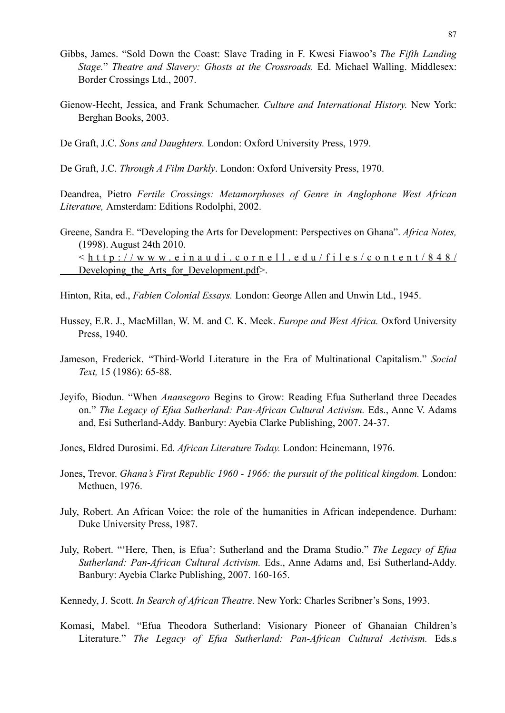- Gibbs, James. "Sold Down the Coast: Slave Trading in F. Kwesi Fiawoo's *The Fifth Landing Stage.*" *Theatre and Slavery: Ghosts at the Crossroads.* Ed. Michael Walling. Middlesex: Border Crossings Ltd., 2007.
- Gienow-Hecht, Jessica, and Frank Schumacher. *Culture and International History.* New York: Berghan Books, 2003.
- De Graft, J.C. *Sons and Daughters.* London: Oxford University Press, 1979.

De Graft, J.C. *Through A Film Darkly*. London: Oxford University Press, 1970.

Deandrea, Pietro *Fertile Crossings: Metamorphoses of Genre in Anglophone West African Literature,* Amsterdam: Editions Rodolphi, 2002.

- Greene, Sandra E. "Developing the Arts for Development: Perspectives on Ghana". *Africa Notes,*  (1998). August 24th 2010.  $\le$  h t t p : //www.einaudi.cornell.edu/files/content/848/ Developing the Arts for Development.pdf>.
- Hinton, Rita, ed., *Fabien Colonial Essays.* London: George Allen and Unwin Ltd., 1945.
- Hussey, E.R. J., MacMillan, W. M. and C. K. Meek. *Europe and West Africa.* Oxford University Press, 1940.
- Jameson, Frederick. "Third-World Literature in the Era of Multinational Capitalism." *Social Text,* 15 (1986): 65-88.
- Jeyifo, Biodun. "When *Anansegoro* Begins to Grow: Reading Efua Sutherland three Decades on." *The Legacy of Efua Sutherland: Pan-African Cultural Activism.* Eds., Anne V. Adams and, Esi Sutherland-Addy. Banbury: Ayebia Clarke Publishing, 2007. 24-37.
- Jones, Eldred Durosimi. Ed. *African Literature Today.* London: Heinemann, 1976.
- Jones, Trevor. *Ghana's First Republic 1960 1966: the pursuit of the political kingdom.* London: Methuen, 1976.
- July, Robert. An African Voice: the role of the humanities in African independence. Durham: Duke University Press, 1987.
- July, Robert. "'Here, Then, is Efua': Sutherland and the Drama Studio." *The Legacy of Efua Sutherland: Pan-African Cultural Activism.* Eds., Anne Adams and, Esi Sutherland-Addy. Banbury: Ayebia Clarke Publishing, 2007. 160-165.
- Kennedy, J. Scott. *In Search of African Theatre.* New York: Charles Scribner's Sons, 1993.
- Komasi, Mabel. "Efua Theodora Sutherland: Visionary Pioneer of Ghanaian Children's Literature." *The Legacy of Efua Sutherland: Pan-African Cultural Activism.* Eds.s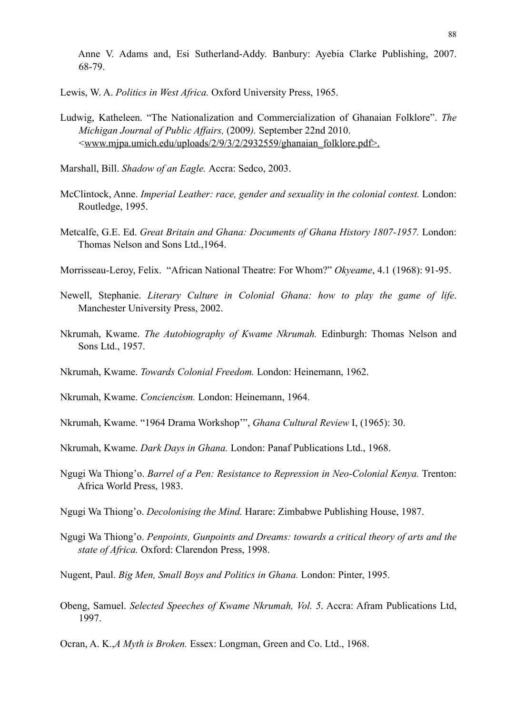Anne V. Adams and, Esi Sutherland-Addy. Banbury: Ayebia Clarke Publishing, 2007. 68-79.

Lewis, W. A. *Politics in West Africa.* Oxford University Press, 1965.

- Ludwig, Katheleen. "The Nationalization and Commercialization of Ghanaian Folklore". *The Michigan Journal of Public Affairs,* (2009*).* September 22nd 2010. <[www.mjpa.umich.edu/uploads/2/9/3/2/2932559/ghanaian\\_folklore.pdf>.](http://www.mjpa.umich.edu/uploads/2/9/3/2/2932559/ghanaian_folklore.pdf%5D)
- Marshall, Bill. *Shadow of an Eagle.* Accra: Sedco, 2003.
- McClintock, Anne. *Imperial Leather: race, gender and sexuality in the colonial contest*. London: Routledge, 1995.
- Metcalfe, G.E. Ed. *Great Britain and Ghana: Documents of Ghana History 1807-1957.* London: Thomas Nelson and Sons Ltd.,1964.
- Morrisseau-Leroy, Felix. "African National Theatre: For Whom?" *Okyeame*, 4.1 (1968): 91-95.
- Newell, Stephanie. *Literary Culture in Colonial Ghana: how to play the game of life*. Manchester University Press, 2002.
- Nkrumah, Kwame. *The Autobiography of Kwame Nkrumah.* Edinburgh: Thomas Nelson and Sons Ltd., 1957.
- Nkrumah, Kwame. *Towards Colonial Freedom.* London: Heinemann, 1962.
- Nkrumah, Kwame. *Conciencism.* London: Heinemann, 1964.
- Nkrumah, Kwame. "1964 Drama Workshop'", *Ghana Cultural Review* I, (1965): 30.
- Nkrumah, Kwame. *Dark Days in Ghana.* London: Panaf Publications Ltd., 1968.
- Ngugi Wa Thiong'o. *Barrel of a Pen: Resistance to Repression in Neo-Colonial Kenya.* Trenton: Africa World Press, 1983.
- Ngugi Wa Thiong'o. *Decolonising the Mind.* Harare: Zimbabwe Publishing House, 1987.
- Ngugi Wa Thiong'o. *Penpoints, Gunpoints and Dreams: towards a critical theory of arts and the state of Africa.* Oxford: Clarendon Press, 1998.
- Nugent, Paul. *Big Men, Small Boys and Politics in Ghana.* London: Pinter, 1995.
- Obeng, Samuel. *Selected Speeches of Kwame Nkrumah, Vol. 5*. Accra: Afram Publications Ltd, 1997.
- Ocran, A. K.,*A Myth is Broken.* Essex: Longman, Green and Co. Ltd., 1968.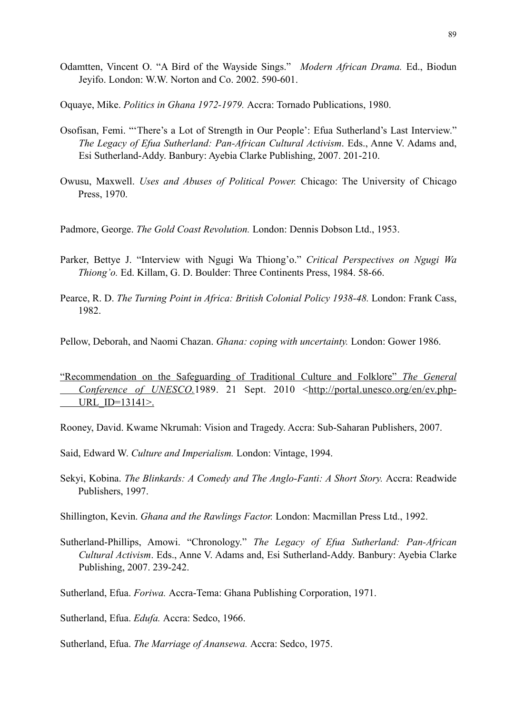- Odamtten, Vincent O. "A Bird of the Wayside Sings." *Modern African Drama.* Ed., Biodun Jeyifo. London: W.W. Norton and Co. 2002. 590-601.
- Oquaye, Mike. *Politics in Ghana 1972-1979.* Accra: Tornado Publications, 1980.
- Osofisan, Femi. "'There's a Lot of Strength in Our People': Efua Sutherland's Last Interview."  *The Legacy of Efua Sutherland: Pan-African Cultural Activism*. Eds., Anne V. Adams and, Esi Sutherland-Addy. Banbury: Ayebia Clarke Publishing, 2007. 201-210.
- Owusu, Maxwell. *Uses and Abuses of Political Power.* Chicago: The University of Chicago Press, 1970.
- Padmore, George. *The Gold Coast Revolution.* London: Dennis Dobson Ltd., 1953.
- Parker, Bettye J. "Interview with Ngugi Wa Thiong'o." *Critical Perspectives on Ngugi Wa Thiong'o.* Ed. Killam, G. D. Boulder: Three Continents Press, 1984. 58-66.
- Pearce, R. D. *The Turning Point in Africa: British Colonial Policy 1938-48*. London: Frank Cass, 1982.
- Pellow, Deborah, and Naomi Chazan. *Ghana: coping with uncertainty.* London: Gower 1986.
- ["Recommendation on the Safeguarding of Traditional Culture and Folklore"](http://portal.unesco.org/en/ev.php-URL_ID=13141&URL_DO=DO_PRINTPAGE&URL_SECTION=201.html) *The General Conference of UNESCO*.1989. 21 Sept. 2010 <[http://portal.unesco.org/en/ev.php-](http://portal.unesco.org/en/ev.php-URL_ID=13141&URL_DO=DO_PRINTPAGE&URL_SECTION=201.html%5D) URL  $ID=13141$
- Rooney, David. Kwame Nkrumah: Vision and Tragedy. Accra: Sub-Saharan Publishers, 2007.
- Said, Edward W. *Culture and Imperialism.* London: Vintage, 1994.
- Sekyi, Kobina. *The Blinkards: A Comedy and The Anglo-Fanti: A Short Story.* Accra: Readwide Publishers, 1997.
- Shillington, Kevin. *Ghana and the Rawlings Factor.* London: Macmillan Press Ltd., 1992.
- Sutherland-Phillips, Amowi. "Chronology." *The Legacy of Efua Sutherland: Pan-African Cultural Activism*. Eds., Anne V. Adams and, Esi Sutherland-Addy. Banbury: Ayebia Clarke Publishing, 2007. 239-242.
- Sutherland, Efua. *Foriwa.* Accra-Tema: Ghana Publishing Corporation, 1971.

Sutherland, Efua. *Edufa.* Accra: Sedco, 1966.

Sutherland, Efua. *The Marriage of Anansewa.* Accra: Sedco, 1975.